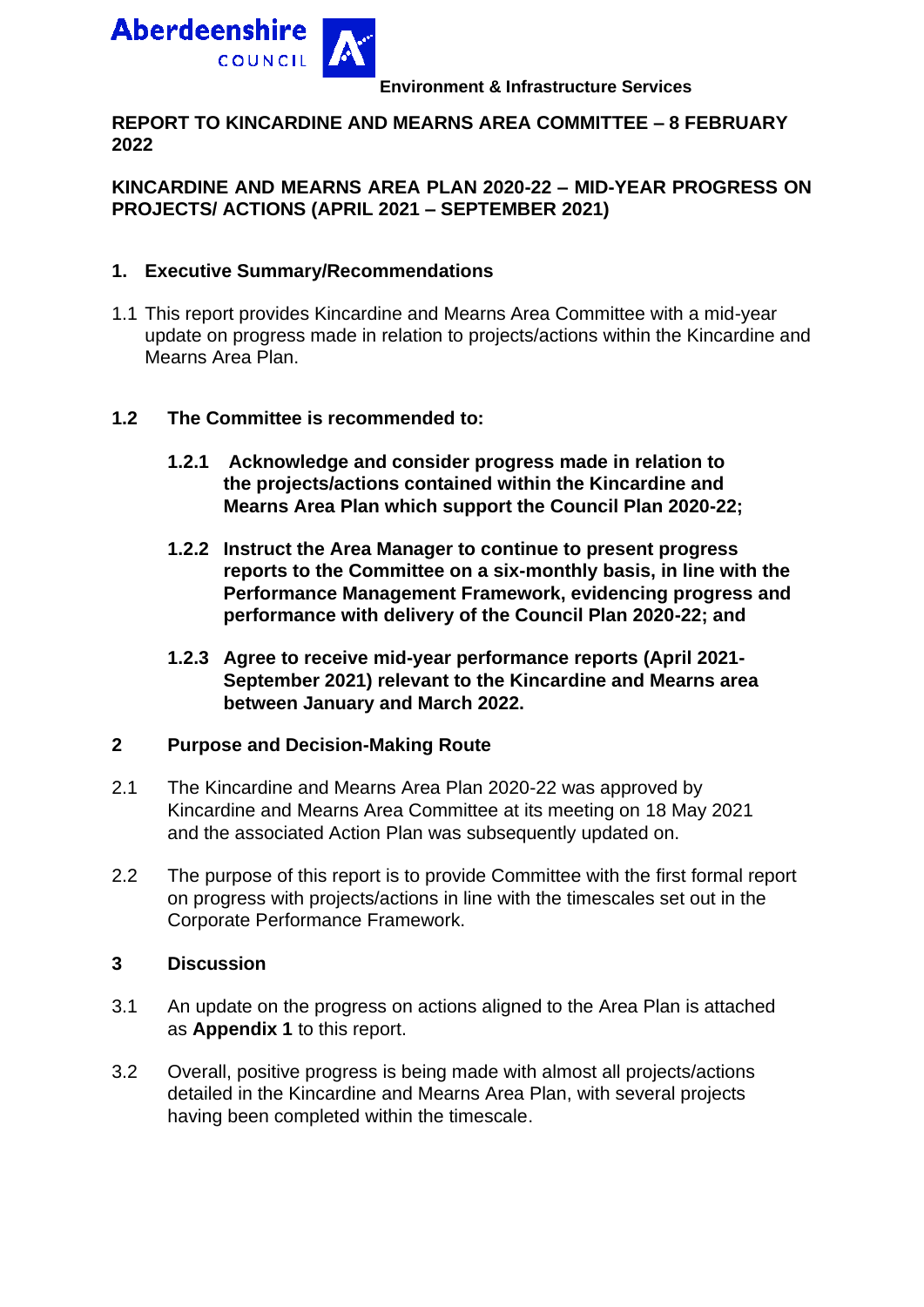

#### **Environment & Infrastructure Services**

#### **REPORT TO KINCARDINE AND MEARNS AREA COMMITTEE – 8 FEBRUARY 2022**

#### **KINCARDINE AND MEARNS AREA PLAN 2020-22 – MID-YEAR PROGRESS ON PROJECTS/ ACTIONS (APRIL 2021 – SEPTEMBER 2021)**

#### **1. Executive Summary/Recommendations**

1.1 This report provides Kincardine and Mearns Area Committee with a mid-year update on progress made in relation to projects/actions within the Kincardine and Mearns Area Plan.

#### **1.2 The Committee is recommended to:**

- **1.2.1 Acknowledge and consider progress made in relation to the projects/actions contained within the Kincardine and Mearns Area Plan which support the Council Plan 2020-22;**
- **1.2.2 Instruct the Area Manager to continue to present progress reports to the Committee on a six-monthly basis, in line with the Performance Management Framework, evidencing progress and performance with delivery of the Council Plan 2020-22; and**
- **1.2.3 Agree to receive mid-year performance reports (April 2021- September 2021) relevant to the Kincardine and Mearns area between January and March 2022.**

#### **2 Purpose and Decision-Making Route**

- 2.1 The Kincardine and Mearns Area Plan 2020-22 was approved by Kincardine and Mearns Area Committee at its meeting on 18 May 2021 and the associated Action Plan was subsequently updated on.
- 2.2 The purpose of this report is to provide Committee with the first formal report on progress with projects/actions in line with the timescales set out in the Corporate Performance Framework.

#### **3 Discussion**

- 3.1 An update on the progress on actions aligned to the Area Plan is attached as **Appendix 1** to this report.
- 3.2 Overall, positive progress is being made with almost all projects/actions detailed in the Kincardine and Mearns Area Plan, with several projects having been completed within the timescale.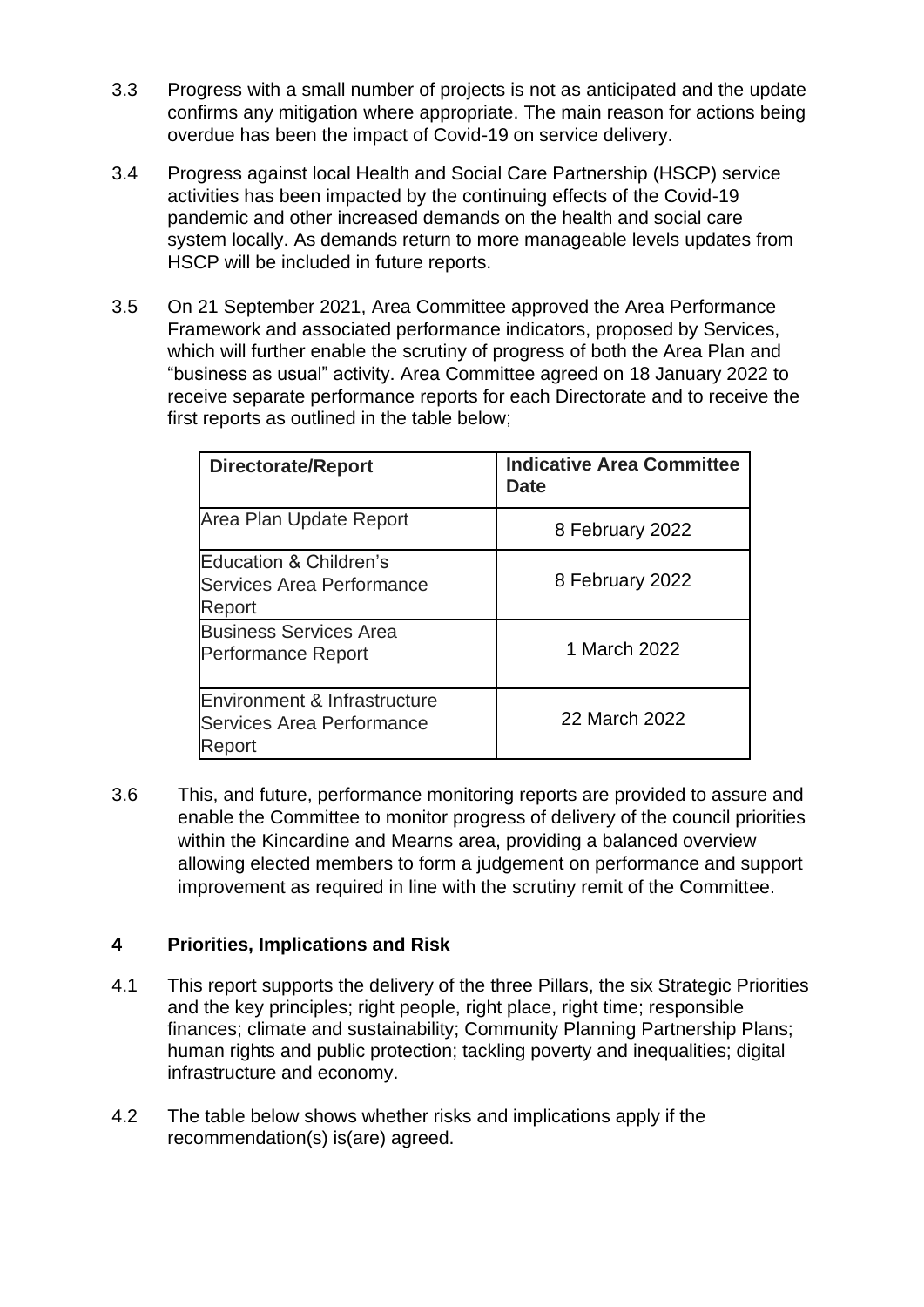- 3.3 Progress with a small number of projects is not as anticipated and the update confirms any mitigation where appropriate. The main reason for actions being overdue has been the impact of Covid-19 on service delivery.
- 3.4 Progress against local Health and Social Care Partnership (HSCP) service activities has been impacted by the continuing effects of the Covid-19 pandemic and other increased demands on the health and social care system locally. As demands return to more manageable levels updates from HSCP will be included in future reports.
- 3.5 On 21 September 2021, Area Committee approved the Area Performance Framework and associated performance indicators, proposed by Services, which will further enable the scrutiny of progress of both the Area Plan and "business as usual" activity. Area Committee agreed on 18 January 2022 to receive separate performance reports for each Directorate and to receive the first reports as outlined in the table below;

| <b>Directorate/Report</b>                                                  | <b>Indicative Area Committee</b><br>Date |
|----------------------------------------------------------------------------|------------------------------------------|
| Area Plan Update Report                                                    | 8 February 2022                          |
| Education & Children's<br>Services Area Performance<br>Report              | 8 February 2022                          |
| <b>Business Services Area</b><br><b>Performance Report</b>                 | 1 March 2022                             |
| Environment & Infrastructure<br><b>Services Area Performance</b><br>Report | 22 March 2022                            |

3.6 This, and future, performance monitoring reports are provided to assure and enable the Committee to monitor progress of delivery of the council priorities within the Kincardine and Mearns area, providing a balanced overview allowing elected members to form a judgement on performance and support improvement as required in line with the scrutiny remit of the Committee.

#### **4 Priorities, Implications and Risk**

- 4.1 This report supports the delivery of the three Pillars, the six Strategic Priorities and the key principles; right people, right place, right time; responsible finances; climate and sustainability; Community Planning Partnership Plans; human rights and public protection; tackling poverty and inequalities; digital infrastructure and economy.
- 4.2 The table below shows whether risks and implications apply if the recommendation(s) is(are) agreed.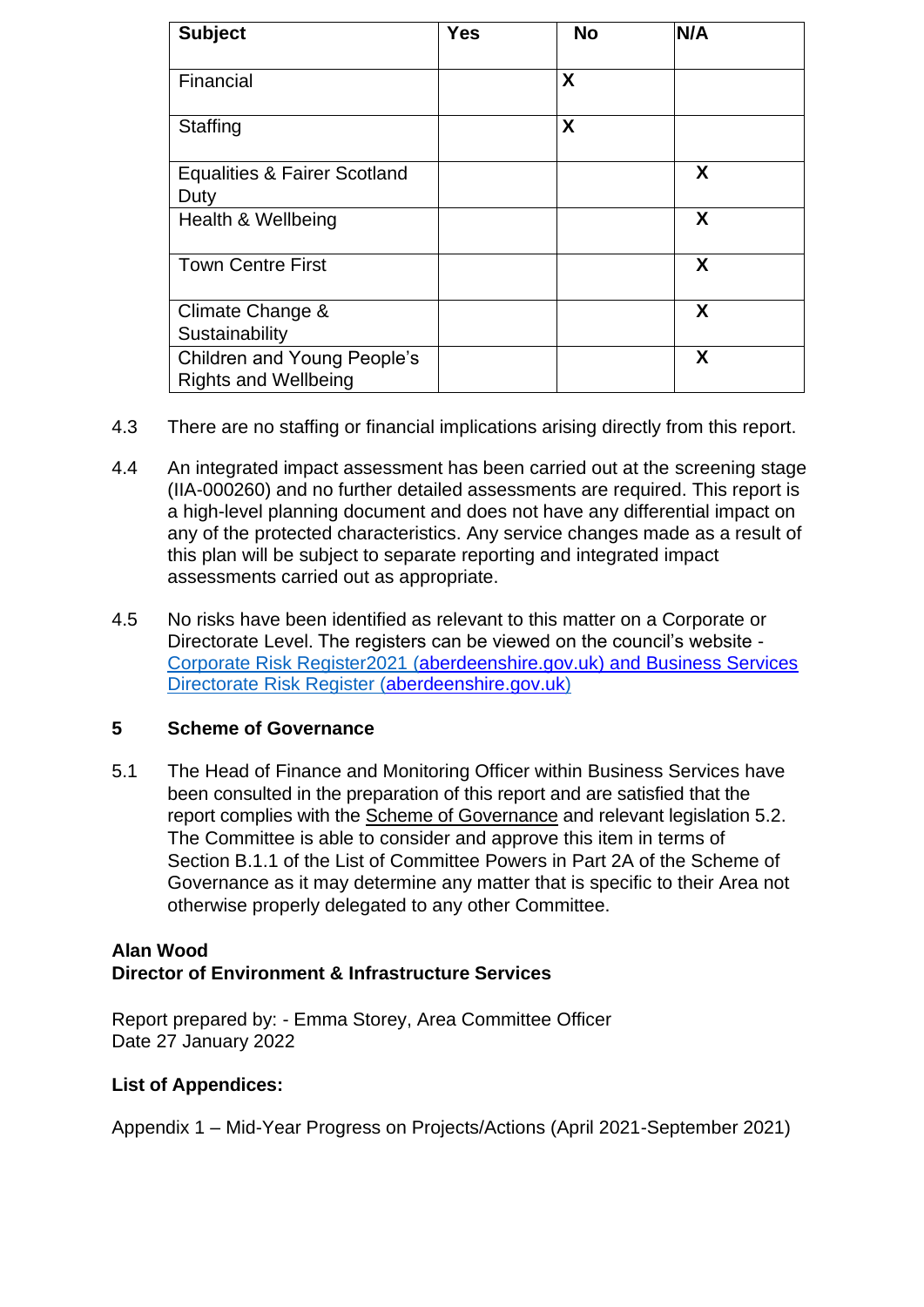|                                                                   |            |           | Item No: 09                |
|-------------------------------------------------------------------|------------|-----------|----------------------------|
| <b>Subject</b>                                                    | <b>Yes</b> | <b>No</b> | N/A <sub>age No: 102</sub> |
| Financial                                                         |            | X         |                            |
| Staffing                                                          |            | X         |                            |
| <b>Equalities &amp; Fairer Scotland</b>                           |            |           | X                          |
| Duty                                                              |            |           |                            |
| Health & Wellbeing                                                |            |           | X                          |
| <b>Town Centre First</b>                                          |            |           | X                          |
| Climate Change &                                                  |            |           | X                          |
| Sustainability                                                    |            |           |                            |
| <b>Children and Young People's</b><br><b>Rights and Wellbeing</b> |            |           | X                          |

- 4.3 There are no staffing or financial implications arising directly from this report.
- 4.4 An integrated impact assessment has been carried out at the screening stage (IIA-000260) and no further detailed assessments are required. This report is a high-level planning document and does not have any differential impact on any of the protected characteristics. Any service changes made as a result of this plan will be subject to separate reporting and integrated impact assessments carried out as appropriate.
- 4.5 No risks have been identified as relevant to this matter on a Corporate or Directorate Level. The registers can be viewed on the council's website - [Corporate Risk Register2021](https://www.aberdeenshire.gov.uk/media/26308/corporaterisks.pdf) (aberdeenshire.gov.uk) and Business Services [Directorate Risk Register](https://www.aberdeenshire.gov.uk/media/26309/directoraterisks.pdf) [\(aberdeenshire.gov.uk\)](http://aberdeenshire.gov.uk/)

#### **5 Scheme of Governance**

5.1 The Head of Finance and Monitoring Officer within Business Services have been consulted in the preparation of this report and are satisfied that the report complies with the Scheme of Governance and relevant legislation 5.2. The Committee is able to consider and approve this item in terms of Section B.1.1 of the List of Committee Powers in Part 2A of the Scheme of Governance as it may determine any matter that is specific to their Area not otherwise properly delegated to any other Committee.

#### **Alan Wood Director of Environment & Infrastructure Services**

Report prepared by: - Emma Storey, Area Committee Officer Date 27 January 2022

#### **List of Appendices:**

Appendix 1 – Mid-Year Progress on Projects/Actions (April 2021-September 2021)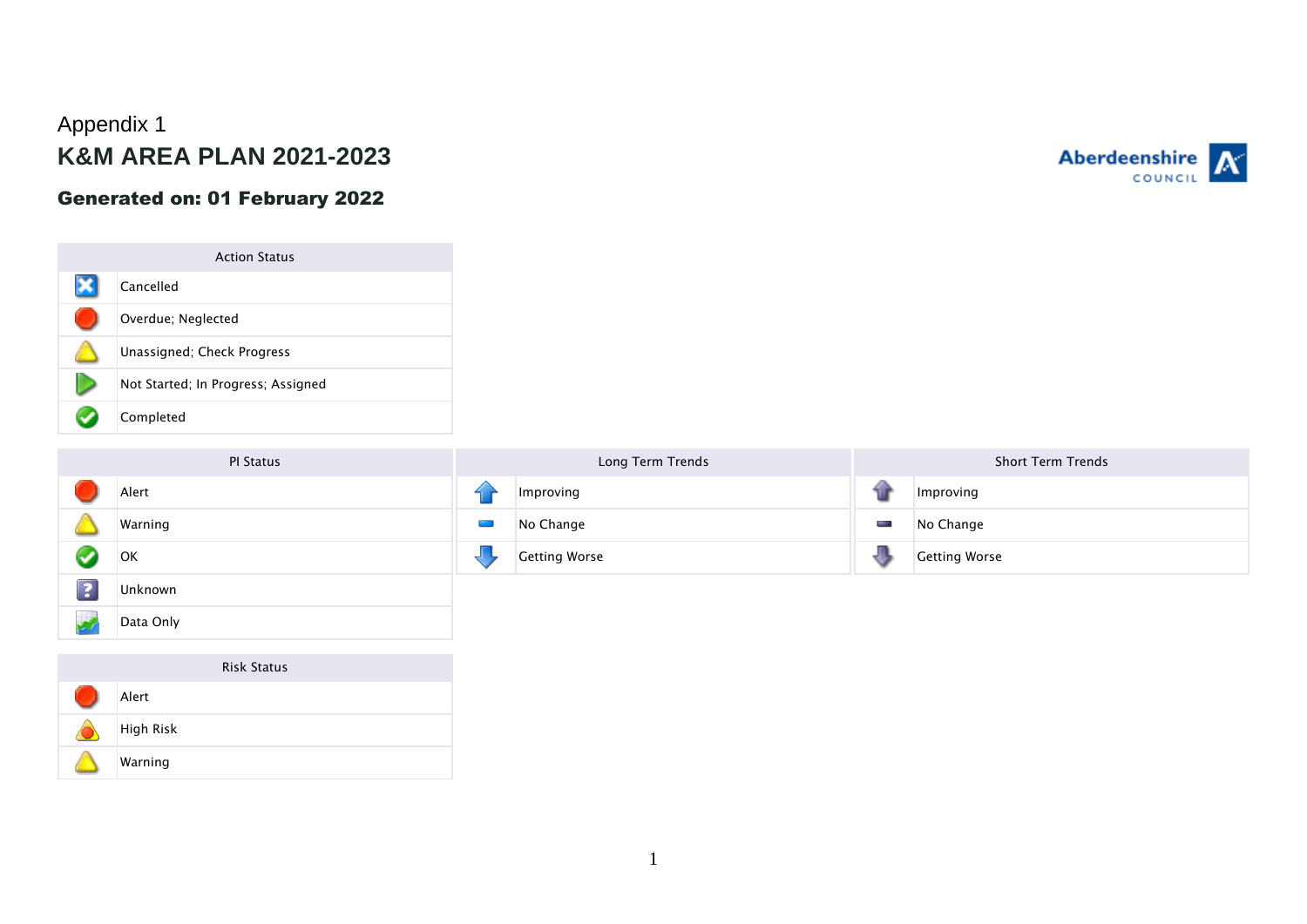# Appendix 1 **K&M AREA PLAN 2021-2023**

### Generated on: 01 February 2022



PI Status

Alert

**OK** 

 $\triangle$ 

Ø

 $\boxed{2}$ 

 $\mathbb{Z}^{\mathbb{Z}}$ 

Warning

Unknown

Data Only

|  | Long Term Trends     |   | <b>Short Term Trends</b> |
|--|----------------------|---|--------------------------|
|  | Improving            |   | Improving                |
|  | No Change            | ł | No Change                |
|  | <b>Getting Worse</b> |   | <b>Getting Worse</b>     |

# Risk Status Alert High Risk Warning

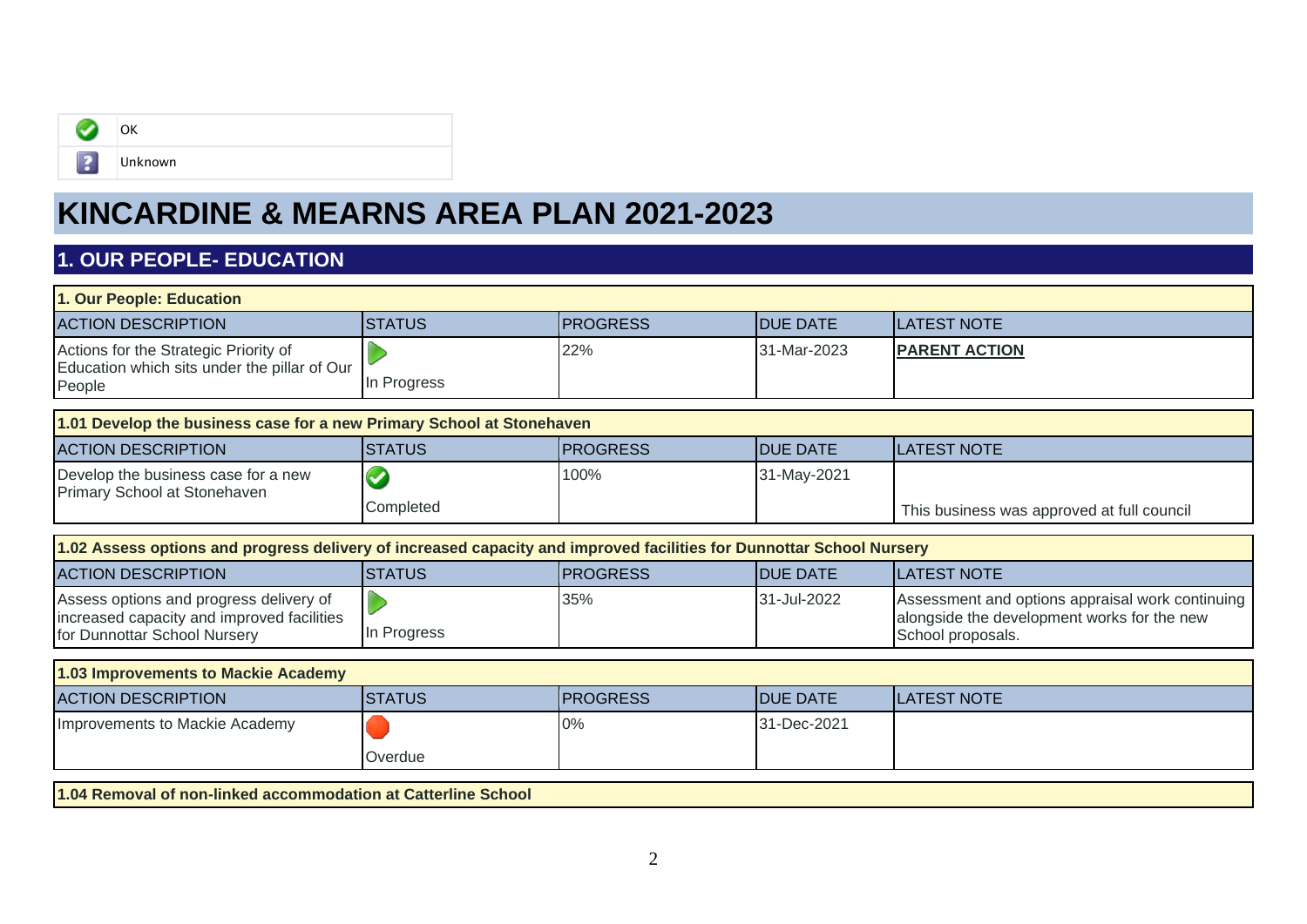

# **KINCARDINE & MEARNS AREA PLAN 2021-2023**

## **1. OUR PEOPLE- EDUCATION**

| 1. Our People: Education                                                                                              |               |                 |                 |                                                                                                                      |  |
|-----------------------------------------------------------------------------------------------------------------------|---------------|-----------------|-----------------|----------------------------------------------------------------------------------------------------------------------|--|
| <b>ACTION DESCRIPTION</b>                                                                                             | <b>STATUS</b> | <b>PROGRESS</b> | <b>DUE DATE</b> | <b>LATEST NOTE</b>                                                                                                   |  |
| Actions for the Strategic Priority of<br>Education which sits under the pillar of Our<br>People                       | In Progress   | 22%             | 31-Mar-2023     | <b>PARENT ACTION</b>                                                                                                 |  |
| 1.01 Develop the business case for a new Primary School at Stonehaven                                                 |               |                 |                 |                                                                                                                      |  |
| <b>ACTION DESCRIPTION</b>                                                                                             | <b>STATUS</b> | <b>PROGRESS</b> | <b>DUE DATE</b> | <b>LATEST NOTE</b>                                                                                                   |  |
| Develop the business case for a new<br>Primary School at Stonehaven                                                   | Completed     | 100%            | 31-May-2021     | This business was approved at full council                                                                           |  |
|                                                                                                                       |               |                 |                 |                                                                                                                      |  |
| 1.02 Assess options and progress delivery of increased capacity and improved facilities for Dunnottar School Nursery  |               |                 |                 |                                                                                                                      |  |
| <b>ACTION DESCRIPTION</b>                                                                                             | <b>STATUS</b> | <b>PROGRESS</b> | <b>DUE DATE</b> | <b>LATEST NOTE</b>                                                                                                   |  |
| Assess options and progress delivery of<br>increased capacity and improved facilities<br>for Dunnottar School Nursery | In Progress   | 35%             | 31-Jul-2022     | Assessment and options appraisal work continuing<br>alongside the development works for the new<br>School proposals. |  |
| 1.03 Improvements to Mackie Academy                                                                                   |               |                 |                 |                                                                                                                      |  |
| <b>ACTION DESCRIPTION</b>                                                                                             | <b>STATUS</b> | <b>PROGRESS</b> | <b>DUE DATE</b> | <b>LATEST NOTE</b>                                                                                                   |  |
| Improvements to Mackie Academy                                                                                        | Overdue       | 0%              | 31-Dec-2021     |                                                                                                                      |  |
|                                                                                                                       |               |                 |                 |                                                                                                                      |  |

**1.04 Removal of non-linked accommodation at Catterline School**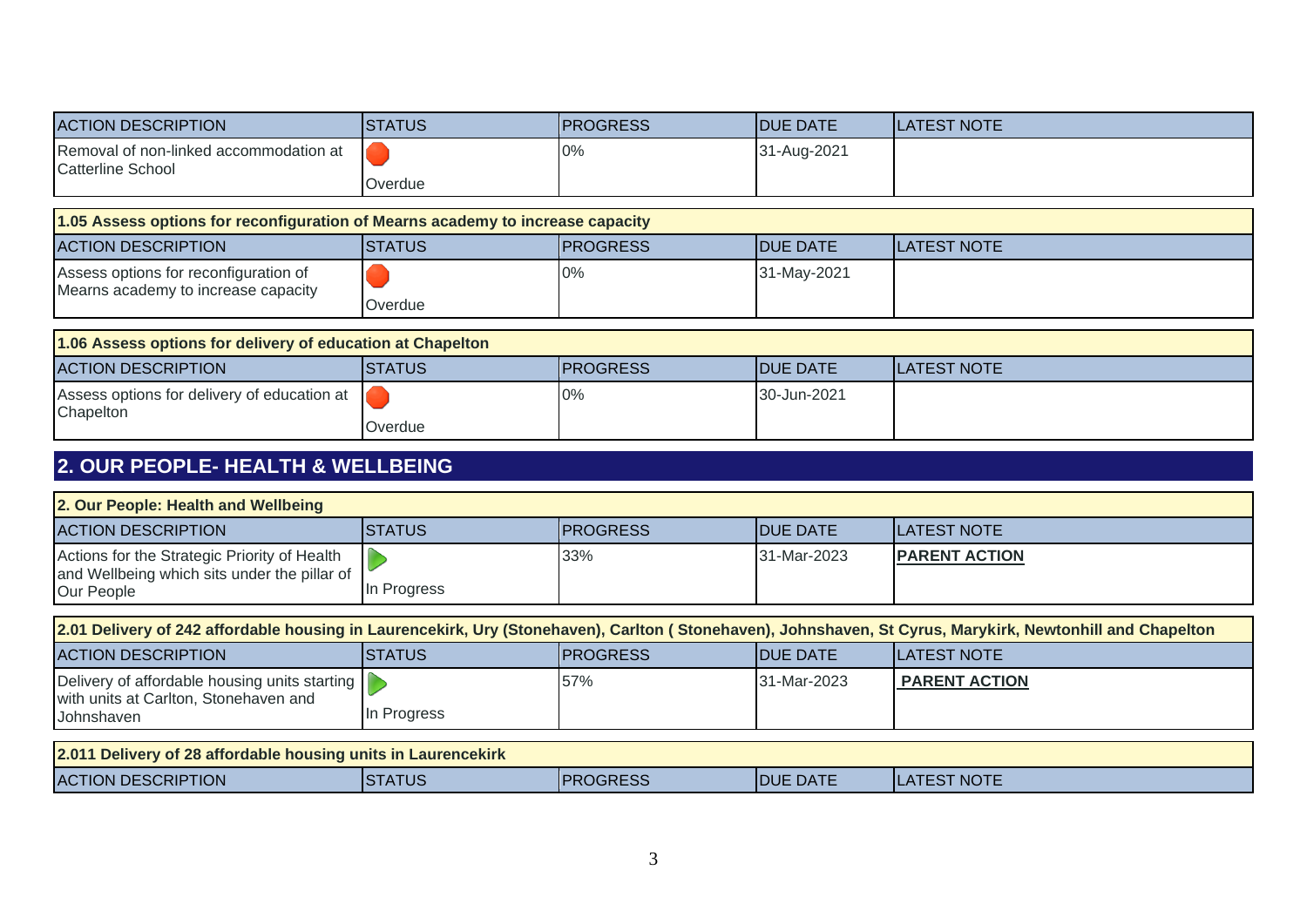| <b>ACTION DESCRIPTION</b>                                                      | <b>STATUS</b> | <b>PROGRESS</b> | <b>DUE DATE</b> | <b>LATEST NOTE</b> |  |
|--------------------------------------------------------------------------------|---------------|-----------------|-----------------|--------------------|--|
| Removal of non-linked accommodation at<br><b>Catterline School</b>             |               | 0%              | 31-Aug-2021     |                    |  |
|                                                                                | Overdue       |                 |                 |                    |  |
| 1.05 Assess options for reconfiguration of Mearns academy to increase capacity |               |                 |                 |                    |  |
| <b>ACTION DESCRIPTION</b>                                                      | <b>STATUS</b> | <b>PROGRESS</b> | <b>DUE DATE</b> | <b>LATEST NOTE</b> |  |
| Assess options for reconfiguration of                                          |               | 0%              | 31-May-2021     |                    |  |
| Mearns academy to increase capacity                                            | Overdue       |                 |                 |                    |  |
| 1.06 Assess options for delivery of education at Chapelton                     |               |                 |                 |                    |  |
| <b>ACTION DESCRIPTION</b>                                                      | <b>STATUS</b> | <b>PROGRESS</b> | <b>DUE DATE</b> | <b>LATEST NOTE</b> |  |
| Assess options for delivery of education at<br>Chapelton                       |               | 0%              | 30-Jun-2021     |                    |  |
|                                                                                | Overdue       |                 |                 |                    |  |
| $\alpha$ and deadle the althous well denote                                    |               |                 |                 |                    |  |

### **2. OUR PEOPLE- HEALTH & WELLBEING**

| 2. Our People: Health and Wellbeing                                                                                                                       |                |                 |                  |                      |  |
|-----------------------------------------------------------------------------------------------------------------------------------------------------------|----------------|-----------------|------------------|----------------------|--|
| <b>ACTION DESCRIPTION</b>                                                                                                                                 | <b>STATUS</b>  | <b>PROGRESS</b> | <b>IDUE DATE</b> | <b>ILATEST NOTE</b>  |  |
| Actions for the Strategic Priority of Health<br>and Wellbeing which sits under the pillar of<br>Our People                                                | In Progress    | 33%             | 31-Mar-2023      | <b>PARENT ACTION</b> |  |
| 2.01 Delivery of 242 affordable housing in Laurencekirk, Ury (Stonehaven), Carlton (Stonehaven), Johnshaven, St Cyrus, Marykirk, Newtonhill and Chapelton |                |                 |                  |                      |  |
| <b>ACTION DESCRIPTION</b>                                                                                                                                 | <b>ISTATUS</b> | <b>PROGRESS</b> | <b>IDUE DATE</b> | <b>ILATEST NOTE</b>  |  |
| Delivery of affordable housing units starting<br>with units at Carlton, Stonehaven and<br>Johnshaven                                                      | In Progress    | 57%             | 31-Mar-2023      | <b>PARENT ACTION</b> |  |
|                                                                                                                                                           |                |                 |                  |                      |  |
| 2.011 Delivery of 28 affordable housing units in Laurencekirk                                                                                             |                |                 |                  |                      |  |
| <b>ACTION DESCRIPTION</b>                                                                                                                                 | <b>ISTATUS</b> | <b>PROGRESS</b> | <b>IDUE DATE</b> | <b>LATEST NOTE</b>   |  |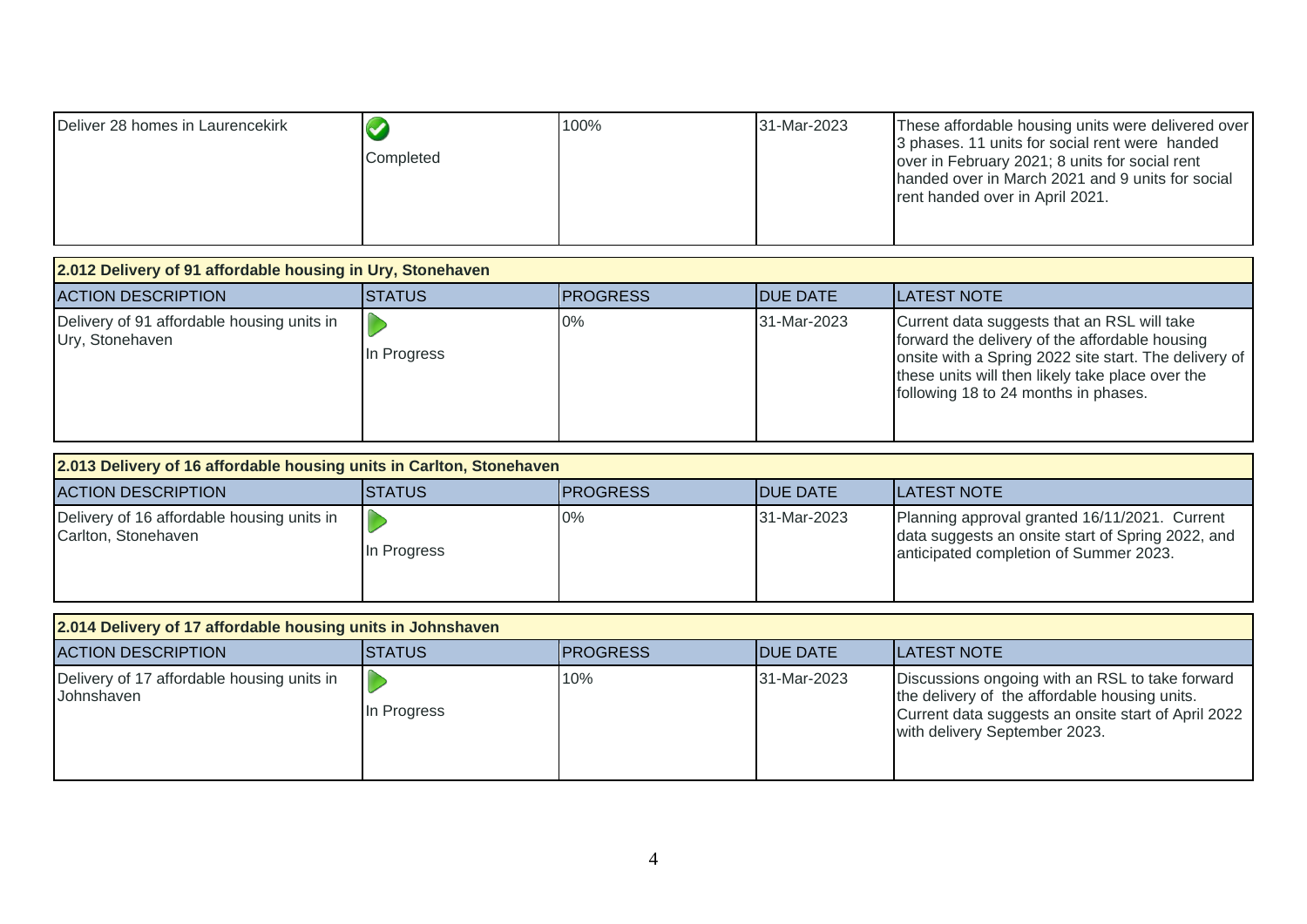| Deliver 28 homes in Laurencekirk<br>Completed | 100% | 31-Mar-2023 | These affordable housing units were delivered over<br>3 phases. 11 units for social rent were handed<br>over in February 2021; 8 units for social rent<br>handed over in March 2021 and 9 units for social<br>rent handed over in April 2021. |
|-----------------------------------------------|------|-------------|-----------------------------------------------------------------------------------------------------------------------------------------------------------------------------------------------------------------------------------------------|
|-----------------------------------------------|------|-------------|-----------------------------------------------------------------------------------------------------------------------------------------------------------------------------------------------------------------------------------------------|

| 2.012 Delivery of 91 affordable housing in Ury, Stonehaven    |                |                 |                  |                                                                                                                                                                                                                                                    |  |  |
|---------------------------------------------------------------|----------------|-----------------|------------------|----------------------------------------------------------------------------------------------------------------------------------------------------------------------------------------------------------------------------------------------------|--|--|
| <b>ACTION DESCRIPTION</b>                                     | <b>ISTATUS</b> | <b>PROGRESS</b> | <b>IDUE DATE</b> | <b>ILATEST NOTE</b>                                                                                                                                                                                                                                |  |  |
| Delivery of 91 affordable housing units in<br>Ury, Stonehaven | In Progress    | $0\%$           | 31-Mar-2023      | Current data suggests that an RSL will take<br>forward the delivery of the affordable housing<br>onsite with a Spring 2022 site start. The delivery of<br>these units will then likely take place over the<br>following 18 to 24 months in phases. |  |  |

| 2.013 Delivery of 16 affordable housing units in Carlton, Stonehaven |                |                  |                  |                                                                                                                                              |
|----------------------------------------------------------------------|----------------|------------------|------------------|----------------------------------------------------------------------------------------------------------------------------------------------|
| <b>ACTION DESCRIPTION</b>                                            | <b>ISTATUS</b> | <b>IPROGRESS</b> | <b>IDUE DATE</b> | <b>ILATEST NOTE</b>                                                                                                                          |
| Delivery of 16 affordable housing units in<br>Carlton, Stonehaven    | In Progress    | $0\%$            | 31-Mar-2023      | Planning approval granted 16/11/2021. Current<br>data suggests an onsite start of Spring 2022, and<br>anticipated completion of Summer 2023. |

| 2.014 Delivery of 17 affordable housing units in Johnshaven |                |                  |                  |                                                                                                                                                                                          |  |
|-------------------------------------------------------------|----------------|------------------|------------------|------------------------------------------------------------------------------------------------------------------------------------------------------------------------------------------|--|
| <b>ACTION DESCRIPTION</b>                                   | <b>ISTATUS</b> | <b>IPROGRESS</b> | <b>IDUE DATE</b> | <b>ILATEST NOTE</b>                                                                                                                                                                      |  |
| Delivery of 17 affordable housing units in<br>Johnshaven    | In Progress    | 10%              | 31-Mar-2023      | Discussions ongoing with an RSL to take forward<br>the delivery of the affordable housing units.<br>Current data suggests an onsite start of April 2022<br>with delivery September 2023. |  |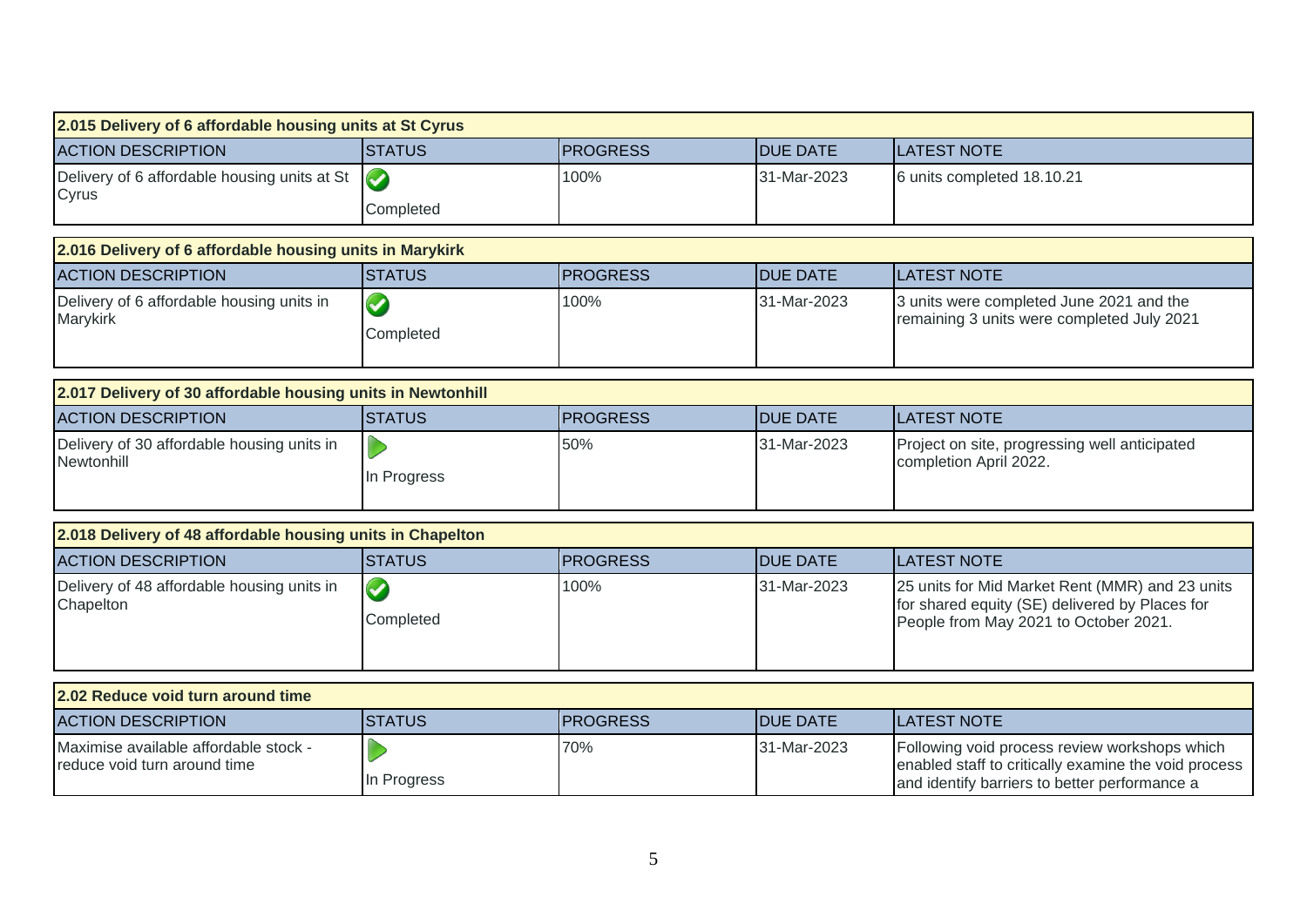| 2.015 Delivery of 6 affordable housing units at St Cyrus              |                         |                 |                 |                                                                                                                                                        |
|-----------------------------------------------------------------------|-------------------------|-----------------|-----------------|--------------------------------------------------------------------------------------------------------------------------------------------------------|
| <b>ACTION DESCRIPTION</b>                                             | <b>STATUS</b>           | <b>PROGRESS</b> | <b>DUE DATE</b> | <b>LATEST NOTE</b>                                                                                                                                     |
| Delivery of 6 affordable housing units at St<br>Cyrus                 | $\bullet$<br>Completed  | 100%            | 31-Mar-2023     | 6 units completed 18.10.21                                                                                                                             |
|                                                                       |                         |                 |                 |                                                                                                                                                        |
| 2.016 Delivery of 6 affordable housing units in Marykirk              |                         |                 |                 |                                                                                                                                                        |
| <b>ACTION DESCRIPTION</b>                                             | <b>STATUS</b>           | <b>PROGRESS</b> | <b>DUE DATE</b> | <b>LATEST NOTE</b>                                                                                                                                     |
| Delivery of 6 affordable housing units in<br>Marykirk                 | $\bigcirc$<br>Completed | 100%            | 31-Mar-2023     | 3 units were completed June 2021 and the<br>remaining 3 units were completed July 2021                                                                 |
| 2.017 Delivery of 30 affordable housing units in Newtonhill           |                         |                 |                 |                                                                                                                                                        |
| <b>ACTION DESCRIPTION</b>                                             | ISTATUS                 | <b>PROGRESS</b> | <b>DUE DATE</b> | <b>LATEST NOTE</b>                                                                                                                                     |
| Delivery of 30 affordable housing units in<br>Newtonhill              | In Progress             | 50%             | 31-Mar-2023     | Project on site, progressing well anticipated<br>completion April 2022.                                                                                |
| 2.018 Delivery of 48 affordable housing units in Chapelton            |                         |                 |                 |                                                                                                                                                        |
| <b>ACTION DESCRIPTION</b>                                             | <b>STATUS</b>           | <b>PROGRESS</b> | <b>DUE DATE</b> | <b>LATEST NOTE</b>                                                                                                                                     |
| Delivery of 48 affordable housing units in<br>Chapelton               | $\bullet$<br>Completed  | 100%            | 31-Mar-2023     | 25 units for Mid Market Rent (MMR) and 23 units<br>for shared equity (SE) delivered by Places for<br>People from May 2021 to October 2021.             |
| 2.02 Reduce void turn around time                                     |                         |                 |                 |                                                                                                                                                        |
| <b>ACTION DESCRIPTION</b>                                             | <b>STATUS</b>           | <b>PROGRESS</b> | <b>DUE DATE</b> | <b>LATEST NOTE</b>                                                                                                                                     |
| Maximise available affordable stock -<br>reduce void turn around time | In Progress             | 70%             | 31-Mar-2023     | Following void process review workshops which<br>enabled staff to critically examine the void process<br>and identify barriers to better performance a |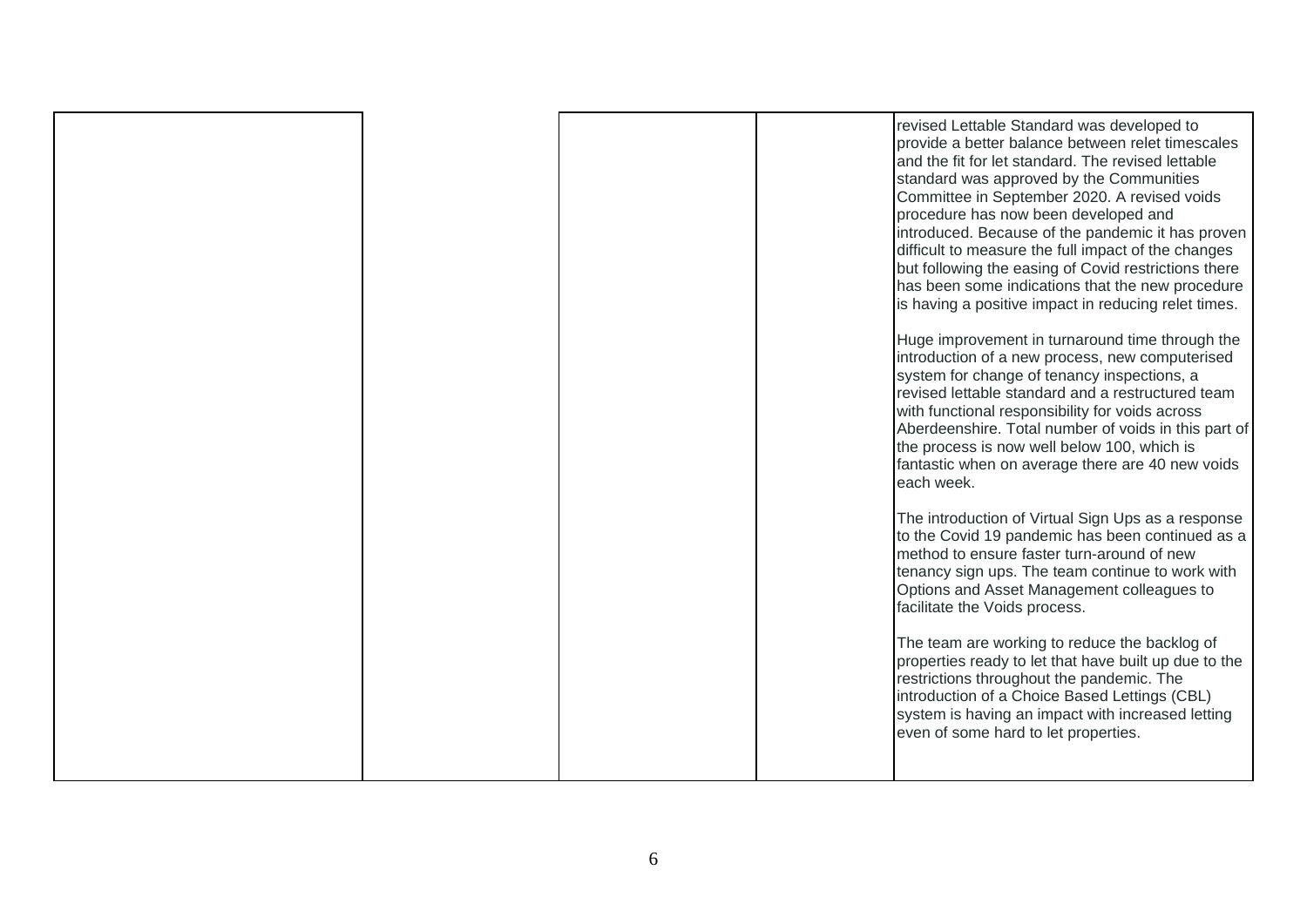|  |  | revised Lettable Standard was developed to<br>provide a better balance between relet timescales<br>and the fit for let standard. The revised lettable<br>standard was approved by the Communities<br>Committee in September 2020. A revised voids<br>procedure has now been developed and<br>introduced. Because of the pandemic it has proven<br>difficult to measure the full impact of the changes<br>but following the easing of Covid restrictions there<br>has been some indications that the new procedure<br>is having a positive impact in reducing relet times.<br>Huge improvement in turnaround time through the<br>introduction of a new process, new computerised<br>system for change of tenancy inspections, a<br>revised lettable standard and a restructured team<br>with functional responsibility for voids across<br>Aberdeenshire. Total number of voids in this part of<br>the process is now well below 100, which is<br>fantastic when on average there are 40 new voids<br>each week.<br>The introduction of Virtual Sign Ups as a response<br>to the Covid 19 pandemic has been continued as a<br>method to ensure faster turn-around of new<br>tenancy sign ups. The team continue to work with<br>Options and Asset Management colleagues to<br>facilitate the Voids process.<br>The team are working to reduce the backlog of<br>properties ready to let that have built up due to the<br>restrictions throughout the pandemic. The<br>introduction of a Choice Based Lettings (CBL)<br>system is having an impact with increased letting<br>even of some hard to let properties. |
|--|--|-----------------------------------------------------------------------------------------------------------------------------------------------------------------------------------------------------------------------------------------------------------------------------------------------------------------------------------------------------------------------------------------------------------------------------------------------------------------------------------------------------------------------------------------------------------------------------------------------------------------------------------------------------------------------------------------------------------------------------------------------------------------------------------------------------------------------------------------------------------------------------------------------------------------------------------------------------------------------------------------------------------------------------------------------------------------------------------------------------------------------------------------------------------------------------------------------------------------------------------------------------------------------------------------------------------------------------------------------------------------------------------------------------------------------------------------------------------------------------------------------------------------------------------------------------------------------------------------------------------------|
|  |  |                                                                                                                                                                                                                                                                                                                                                                                                                                                                                                                                                                                                                                                                                                                                                                                                                                                                                                                                                                                                                                                                                                                                                                                                                                                                                                                                                                                                                                                                                                                                                                                                                 |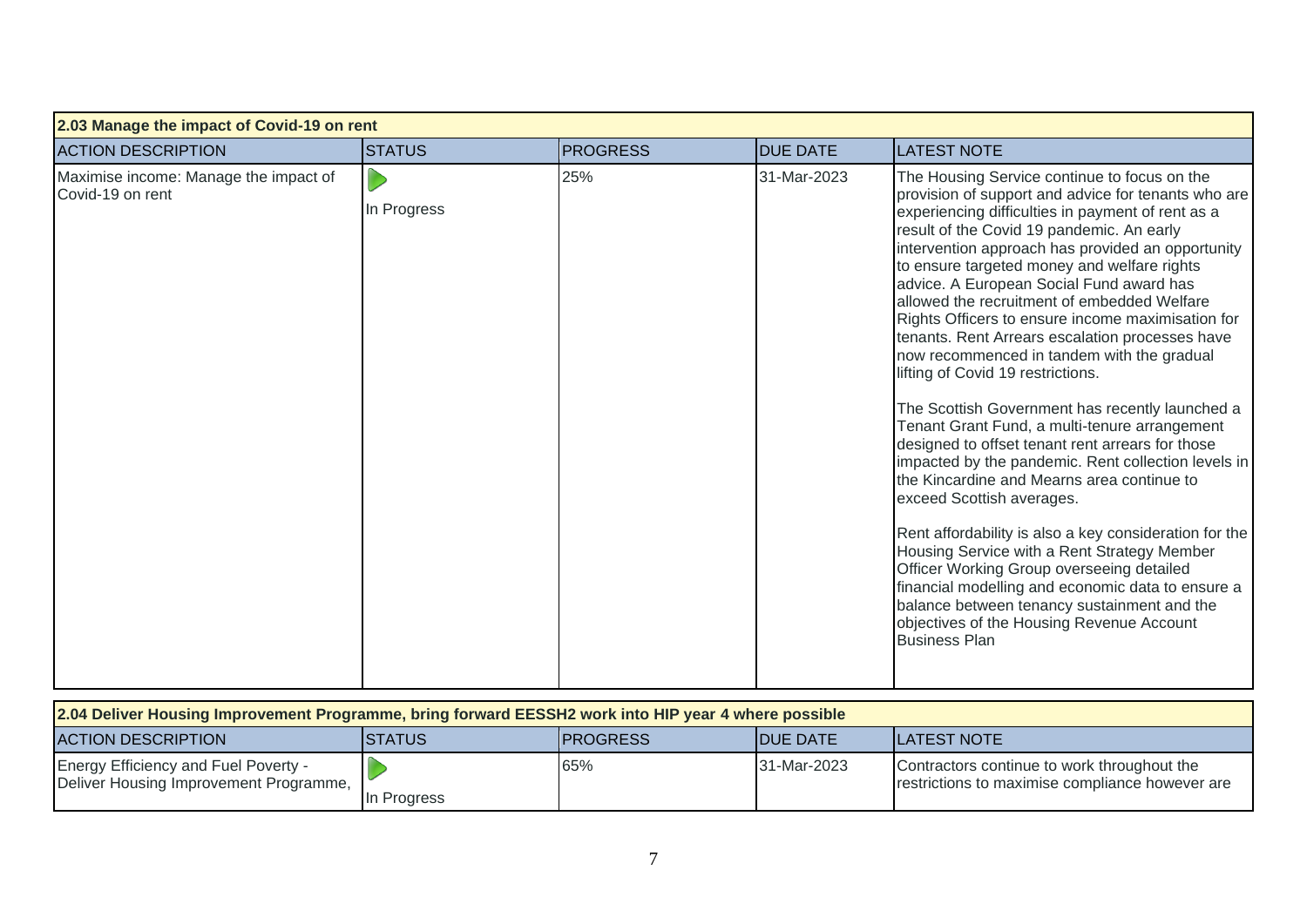| 2.03 Manage the impact of Covid-19 on rent                |               |                 |                 |                                                                                                                                                                                                                                                                                                                                                                                                                                                                                                                                                                                                                                                                                                                                                                                                                                                                                                                                                                                                                                                                                                                                                                                                                          |  |  |
|-----------------------------------------------------------|---------------|-----------------|-----------------|--------------------------------------------------------------------------------------------------------------------------------------------------------------------------------------------------------------------------------------------------------------------------------------------------------------------------------------------------------------------------------------------------------------------------------------------------------------------------------------------------------------------------------------------------------------------------------------------------------------------------------------------------------------------------------------------------------------------------------------------------------------------------------------------------------------------------------------------------------------------------------------------------------------------------------------------------------------------------------------------------------------------------------------------------------------------------------------------------------------------------------------------------------------------------------------------------------------------------|--|--|
| <b>ACTION DESCRIPTION</b>                                 | <b>STATUS</b> | <b>PROGRESS</b> | <b>DUE DATE</b> | <b>LATEST NOTE</b>                                                                                                                                                                                                                                                                                                                                                                                                                                                                                                                                                                                                                                                                                                                                                                                                                                                                                                                                                                                                                                                                                                                                                                                                       |  |  |
| Maximise income: Manage the impact of<br>Covid-19 on rent | In Progress   | 25%             | 31-Mar-2023     | The Housing Service continue to focus on the<br>provision of support and advice for tenants who are<br>experiencing difficulties in payment of rent as a<br>result of the Covid 19 pandemic. An early<br>intervention approach has provided an opportunity<br>to ensure targeted money and welfare rights<br>advice. A European Social Fund award has<br>allowed the recruitment of embedded Welfare<br>Rights Officers to ensure income maximisation for<br>tenants. Rent Arrears escalation processes have<br>now recommenced in tandem with the gradual<br>lifting of Covid 19 restrictions.<br>The Scottish Government has recently launched a<br>Tenant Grant Fund, a multi-tenure arrangement<br>designed to offset tenant rent arrears for those<br>impacted by the pandemic. Rent collection levels in<br>the Kincardine and Mearns area continue to<br>exceed Scottish averages.<br>Rent affordability is also a key consideration for the<br>Housing Service with a Rent Strategy Member<br>Officer Working Group overseeing detailed<br>financial modelling and economic data to ensure a<br>balance between tenancy sustainment and the<br>objectives of the Housing Revenue Account<br><b>Business Plan</b> |  |  |

| 2.04 Deliver Housing Improvement Programme, bring forward EESSH2 work into HIP year 4 where possible |                |                  |                  |                                                                                                |  |
|------------------------------------------------------------------------------------------------------|----------------|------------------|------------------|------------------------------------------------------------------------------------------------|--|
| <b>ACTION DESCRIPTION</b>                                                                            | <b>ISTATUS</b> | <b>IPROGRESS</b> | <b>IDUE DATE</b> | <b>ILATEST NOTE</b>                                                                            |  |
| <b>Energy Efficiency and Fuel Poverty -</b><br>Deliver Housing Improvement Programme,                | In Progress    | 65%              | 31-Mar-2023      | Contractors continue to work throughout the<br>restrictions to maximise compliance however are |  |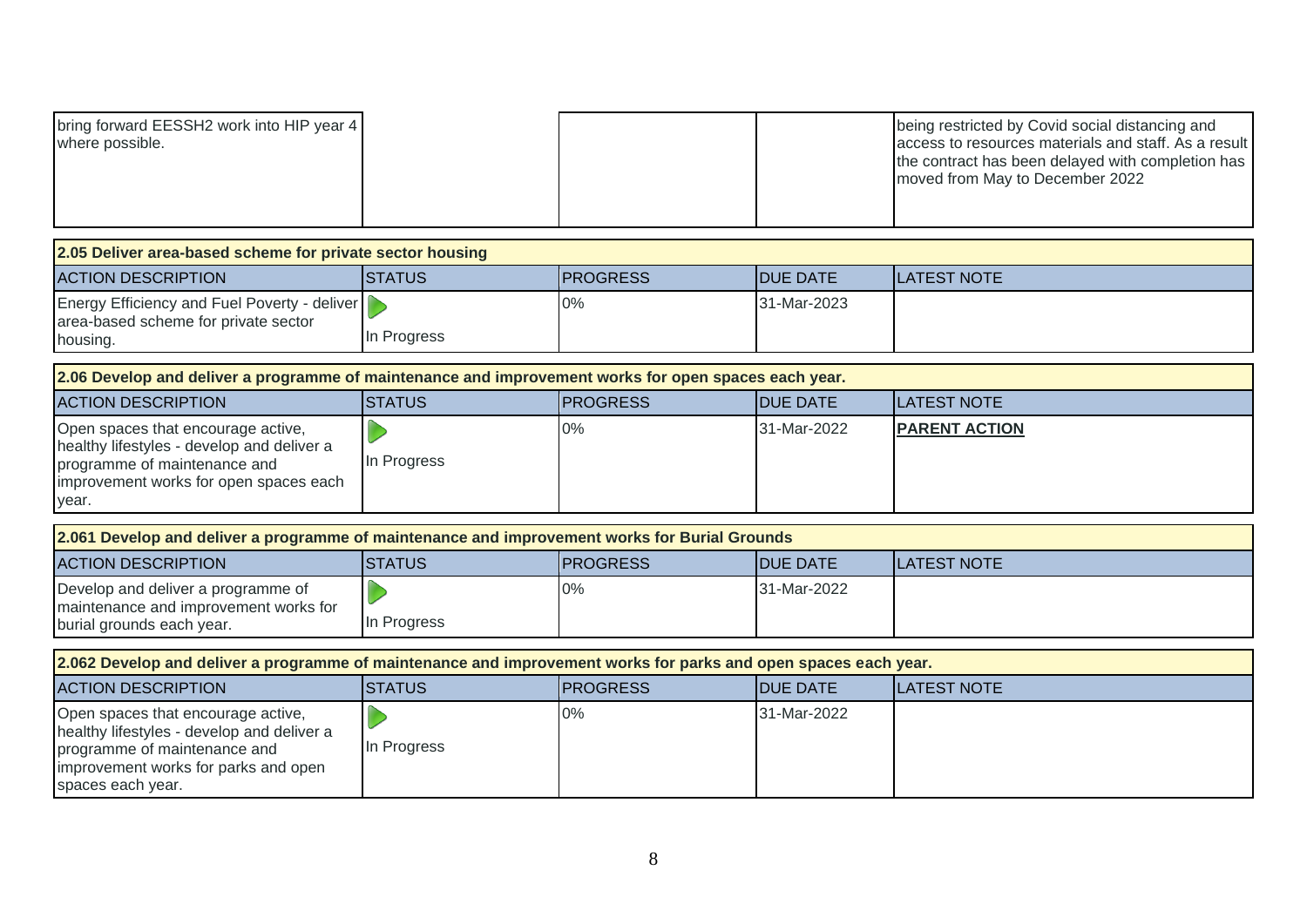| bring forward EESSH2 work into HIP year 4<br>where possible. |  | being restricted by Covid social distancing and<br>access to resources materials and staff. As a result<br>the contract has been delayed with completion has<br>moved from May to December 2022 |
|--------------------------------------------------------------|--|-------------------------------------------------------------------------------------------------------------------------------------------------------------------------------------------------|
|--------------------------------------------------------------|--|-------------------------------------------------------------------------------------------------------------------------------------------------------------------------------------------------|

| 2.05 Deliver area-based scheme for private sector housing                                                                                                           |               |                 |                 |                      |  |  |
|---------------------------------------------------------------------------------------------------------------------------------------------------------------------|---------------|-----------------|-----------------|----------------------|--|--|
| <b>ACTION DESCRIPTION</b>                                                                                                                                           | <b>STATUS</b> | <b>PROGRESS</b> | <b>DUE DATE</b> | <b>LATEST NOTE</b>   |  |  |
| Energy Efficiency and Fuel Poverty - deliver<br>area-based scheme for private sector                                                                                |               | 0%              | 31-Mar-2023     |                      |  |  |
| housing.                                                                                                                                                            | In Progress   |                 |                 |                      |  |  |
| 2.06 Develop and deliver a programme of maintenance and improvement works for open spaces each year.                                                                |               |                 |                 |                      |  |  |
| <b>ACTION DESCRIPTION</b>                                                                                                                                           | <b>STATUS</b> | <b>PROGRESS</b> | <b>DUE DATE</b> | <b>LATEST NOTE</b>   |  |  |
| Open spaces that encourage active,<br>healthy lifestyles - develop and deliver a<br>programme of maintenance and<br>improvement works for open spaces each<br>year. | In Progress   | 0%              | 31-Mar-2022     | <b>PARENT ACTION</b> |  |  |
|                                                                                                                                                                     |               |                 |                 |                      |  |  |
| 2.061 Develop and deliver a programme of maintenance and improvement works for Burial Grounds                                                                       |               |                 |                 |                      |  |  |
| <b>ACTION DESCRIPTION</b>                                                                                                                                           | <b>STATUS</b> | <b>PROGRESS</b> | <b>DUE DATE</b> | <b>LATEST NOTE</b>   |  |  |
| Develop and deliver a programme of                                                                                                                                  |               | 0%              | 31-Mar-2022     |                      |  |  |
| maintenance and improvement works for<br>burial grounds each year.                                                                                                  | In Progress   |                 |                 |                      |  |  |
|                                                                                                                                                                     |               |                 |                 |                      |  |  |
| 2.062 Develop and deliver a programme of maintenance and improvement works for parks and open spaces each year.                                                     |               |                 |                 |                      |  |  |
| <b>ACTION DESCRIPTION</b>                                                                                                                                           | <b>STATUS</b> | <b>PROGRESS</b> | <b>DUE DATE</b> | <b>LATEST NOTE</b>   |  |  |
| Open spaces that encourage active,<br>healthy lifestyles - develop and deliver a<br>programme of maintenance and                                                    | In Progress   | 0%              | 31-Mar-2022     |                      |  |  |

programme of maintenance and improvement works for parks and open

spaces each year.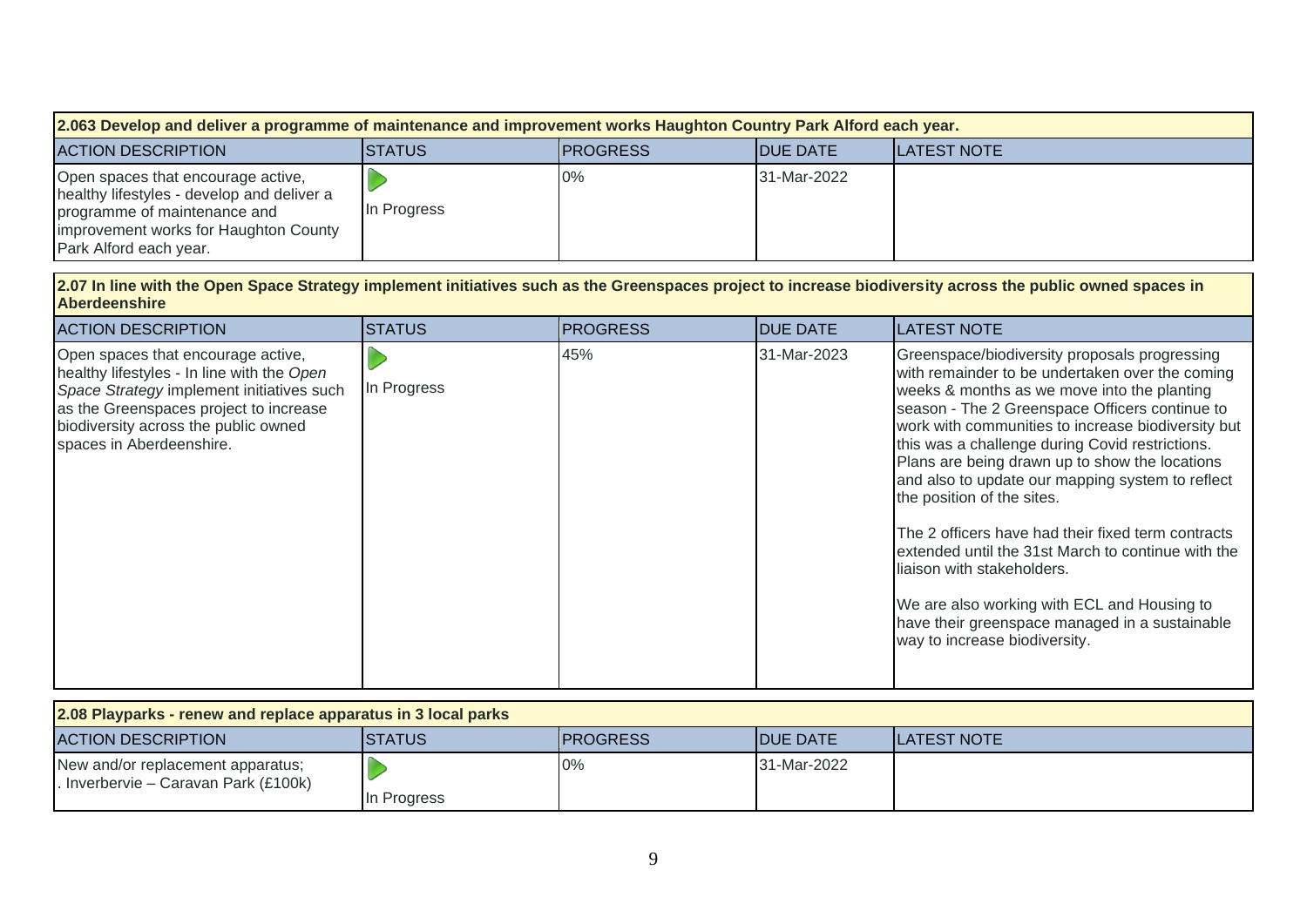| 2.063 Develop and deliver a programme of maintenance and improvement works Haughton Country Park Alford each year.                                                                  |                |                 |                  |                     |  |
|-------------------------------------------------------------------------------------------------------------------------------------------------------------------------------------|----------------|-----------------|------------------|---------------------|--|
| <b>ACTION DESCRIPTION</b>                                                                                                                                                           | <b>ISTATUS</b> | <b>PROGRESS</b> | <b>IDUE DATE</b> | <b>ILATEST NOTE</b> |  |
| Open spaces that encourage active,<br>healthy lifestyles - develop and deliver a<br>programme of maintenance and<br>improvement works for Haughton County<br>Park Alford each year. | In Progress    | 0%              | 31-Mar-2022      |                     |  |

#### **2.07 In line with the Open Space Strategy implement initiatives such as the Greenspaces project to increase biodiversity across the public owned spaces in Aberdeenshire**

| <b>ACTION DESCRIPTION</b>                                                                                                                                                                                                                   | <b>STATUS</b> | <b>PROGRESS</b> | <b>DUE DATE</b> | <b>LATEST NOTE</b>                                                                                                                                                                                                                                                                                                                                                                                                                                                                                                                                                                                                                                                                                                         |
|---------------------------------------------------------------------------------------------------------------------------------------------------------------------------------------------------------------------------------------------|---------------|-----------------|-----------------|----------------------------------------------------------------------------------------------------------------------------------------------------------------------------------------------------------------------------------------------------------------------------------------------------------------------------------------------------------------------------------------------------------------------------------------------------------------------------------------------------------------------------------------------------------------------------------------------------------------------------------------------------------------------------------------------------------------------------|
| Open spaces that encourage active,<br>healthy lifestyles - In line with the Open<br>Space Strategy implement initiatives such<br>as the Greenspaces project to increase<br>biodiversity across the public owned<br>spaces in Aberdeenshire. | In Progress   | 45%             | 31-Mar-2023     | Greenspace/biodiversity proposals progressing<br>with remainder to be undertaken over the coming<br>weeks & months as we move into the planting<br>season - The 2 Greenspace Officers continue to<br>work with communities to increase biodiversity but<br>this was a challenge during Covid restrictions.<br>Plans are being drawn up to show the locations<br>and also to update our mapping system to reflect<br>the position of the sites.<br>The 2 officers have had their fixed term contracts<br>extended until the 31st March to continue with the<br>liaison with stakeholders.<br>We are also working with ECL and Housing to<br>have their greenspace managed in a sustainable<br>way to increase biodiversity. |

| 2.08 Playparks - renew and replace apparatus in 3 local parks             |                |                  |                    |                     |  |
|---------------------------------------------------------------------------|----------------|------------------|--------------------|---------------------|--|
| <b>ACTION DESCRIPTION</b>                                                 | <b>ISTATUS</b> | <b>IPROGRESS</b> | <b>IDUE DATE</b>   | <b>ILATEST NOTE</b> |  |
| New and/or replacement apparatus;<br>. Inverbervie – Caravan Park (£100k) | In Progress    | 0%               | <b>31-Mar-2022</b> |                     |  |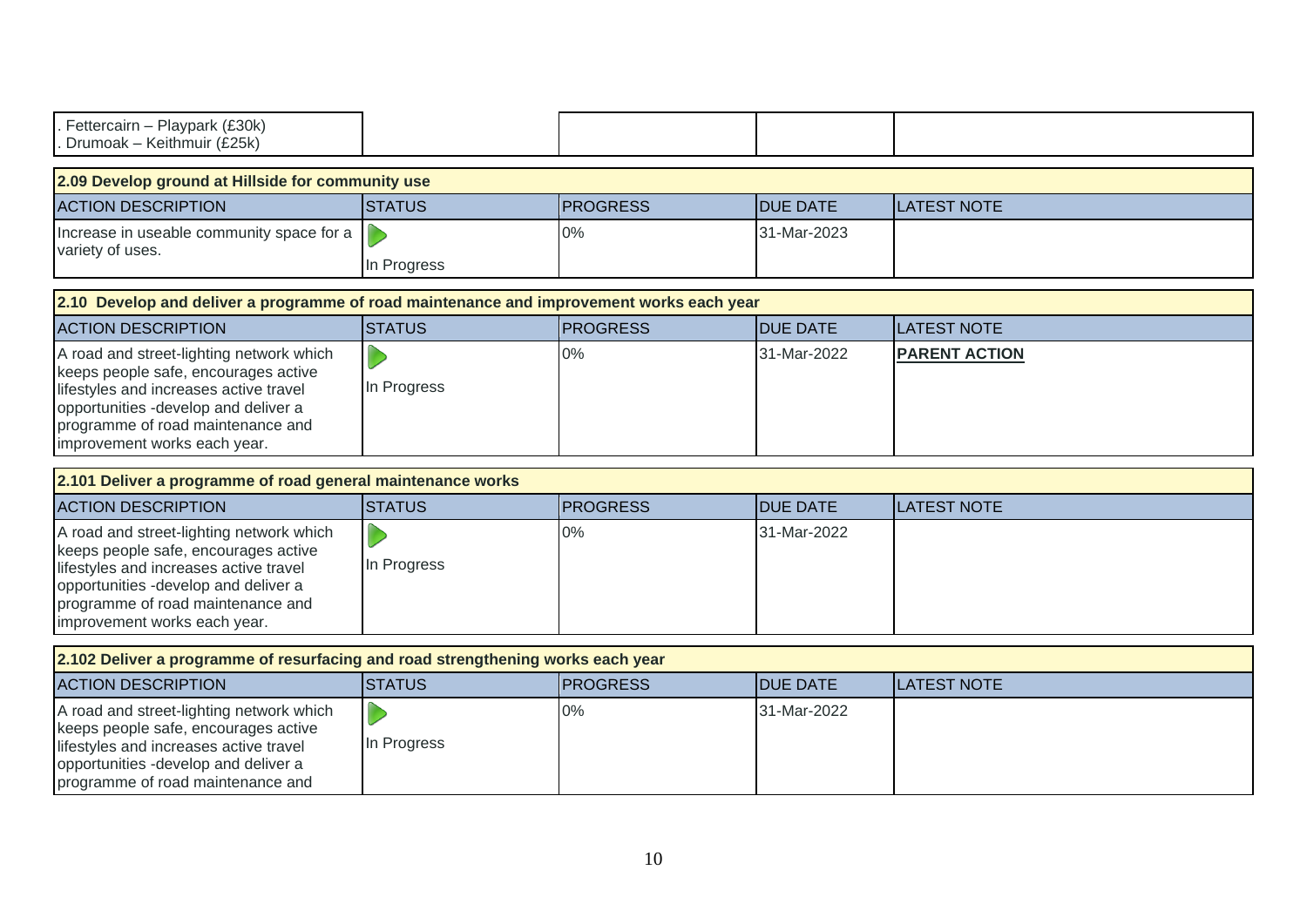| Fettercairn - Playpark (£30k)<br>Drumoak - Keithmuir (£25k)                                                                                                                                                                             |               |                 |                 |                      |  |  |  |
|-----------------------------------------------------------------------------------------------------------------------------------------------------------------------------------------------------------------------------------------|---------------|-----------------|-----------------|----------------------|--|--|--|
| 2.09 Develop ground at Hillside for community use                                                                                                                                                                                       |               |                 |                 |                      |  |  |  |
| <b>ACTION DESCRIPTION</b>                                                                                                                                                                                                               | <b>STATUS</b> | <b>PROGRESS</b> | <b>DUE DATE</b> | <b>LATEST NOTE</b>   |  |  |  |
| Increase in useable community space for a<br>variety of uses.                                                                                                                                                                           | In Progress   | $0\%$           | 31-Mar-2023     |                      |  |  |  |
| 2.10 Develop and deliver a programme of road maintenance and improvement works each year                                                                                                                                                |               |                 |                 |                      |  |  |  |
| <b>ACTION DESCRIPTION</b>                                                                                                                                                                                                               | <b>STATUS</b> | <b>PROGRESS</b> | <b>DUE DATE</b> | <b>LATEST NOTE</b>   |  |  |  |
| A road and street-lighting network which<br>keeps people safe, encourages active<br>lifestyles and increases active travel<br>opportunities -develop and deliver a<br>programme of road maintenance and<br>improvement works each year. | In Progress   | 0%              | 31-Mar-2022     | <b>PARENT ACTION</b> |  |  |  |
| 2.101 Deliver a programme of road general maintenance works                                                                                                                                                                             |               |                 |                 |                      |  |  |  |
| <b>ACTION DESCRIPTION</b>                                                                                                                                                                                                               | <b>STATUS</b> | <b>PROGRESS</b> | <b>DUE DATE</b> | <b>LATEST NOTE</b>   |  |  |  |
| A road and street-lighting network which<br>keeps people safe, encourages active<br>lifestyles and increases active travel<br>opportunities -develop and deliver a<br>programme of road maintenance and<br>improvement works each year. | In Progress   | $0\%$           | 31-Mar-2022     |                      |  |  |  |
| 2.102 Deliver a programme of resurfacing and road strengthening works each year                                                                                                                                                         |               |                 |                 |                      |  |  |  |
| <b>ACTION DESCRIPTION</b>                                                                                                                                                                                                               | <b>STATUS</b> | <b>PROGRESS</b> | <b>DUE DATE</b> | <b>LATEST NOTE</b>   |  |  |  |
| A road and street-lighting network which<br>keeps people safe, encourages active<br>lifestyles and increases active travel<br>opportunities -develop and deliver a<br>programme of road maintenance and                                 | In Progress   | $0\%$           | 31-Mar-2022     |                      |  |  |  |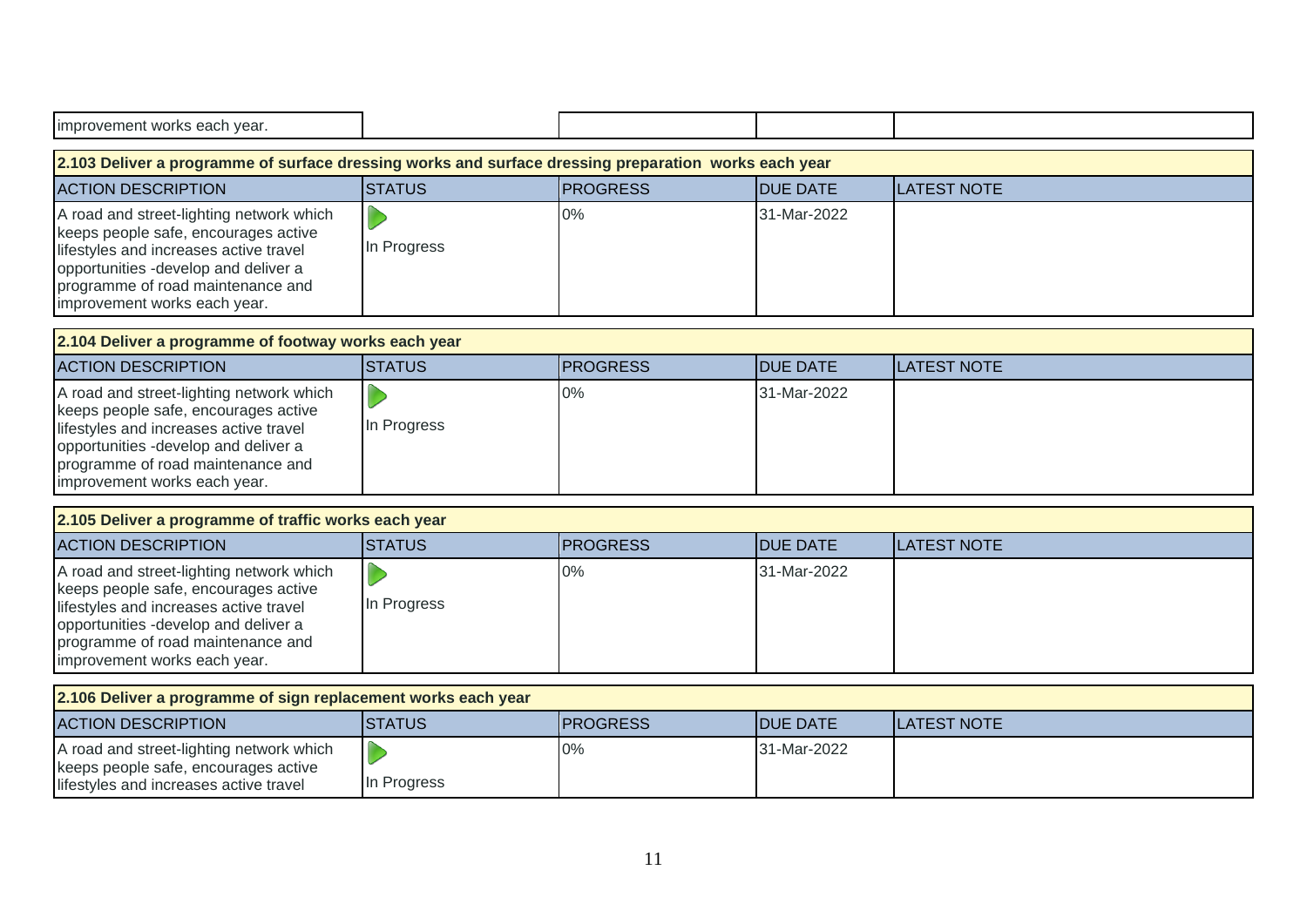| improvement works each year.                                                                                                                                                                                                            |               |                 |                 |                    |  |  |  |
|-----------------------------------------------------------------------------------------------------------------------------------------------------------------------------------------------------------------------------------------|---------------|-----------------|-----------------|--------------------|--|--|--|
| 2.103 Deliver a programme of surface dressing works and surface dressing preparation works each year                                                                                                                                    |               |                 |                 |                    |  |  |  |
| <b>ACTION DESCRIPTION</b>                                                                                                                                                                                                               | <b>STATUS</b> | <b>PROGRESS</b> | <b>DUE DATE</b> | <b>LATEST NOTE</b> |  |  |  |
| A road and street-lighting network which<br>keeps people safe, encourages active<br>lifestyles and increases active travel<br>opportunities -develop and deliver a<br>programme of road maintenance and<br>improvement works each year. | In Progress   | 0%              | 31-Mar-2022     |                    |  |  |  |
| 2.104 Deliver a programme of footway works each year                                                                                                                                                                                    |               |                 |                 |                    |  |  |  |
| <b>ACTION DESCRIPTION</b>                                                                                                                                                                                                               | <b>STATUS</b> | <b>PROGRESS</b> | <b>DUE DATE</b> | <b>LATEST NOTE</b> |  |  |  |
| A road and street-lighting network which<br>keeps people safe, encourages active<br>lifestyles and increases active travel<br>opportunities -develop and deliver a<br>programme of road maintenance and<br>improvement works each year. | In Progress   | 0%              | 31-Mar-2022     |                    |  |  |  |
| 2.105 Deliver a programme of traffic works each year                                                                                                                                                                                    |               |                 |                 |                    |  |  |  |
| <b>ACTION DESCRIPTION</b>                                                                                                                                                                                                               | <b>STATUS</b> | <b>PROGRESS</b> | <b>DUE DATE</b> | <b>LATEST NOTE</b> |  |  |  |
| A road and street-lighting network which<br>keeps people safe, encourages active<br>lifestyles and increases active travel<br>opportunities -develop and deliver a<br>programme of road maintenance and<br>improvement works each year. | In Progress   | 0%              | 31-Mar-2022     |                    |  |  |  |
| 2.106 Deliver a programme of sign replacement works each year                                                                                                                                                                           |               |                 |                 |                    |  |  |  |
| <b>ACTION DESCRIPTION</b>                                                                                                                                                                                                               | <b>STATUS</b> | <b>PROGRESS</b> | <b>DUE DATE</b> | <b>LATEST NOTE</b> |  |  |  |

| TAUTIUN DESURIPTIUN.                                                             | פטואופו     | <u>IPRUGRESS</u> | IDUE DATE   | TLATEST NUTE |
|----------------------------------------------------------------------------------|-------------|------------------|-------------|--------------|
| A road and street-lighting network which<br>Reeps people safe, encourages active |             | 0%               | 31-Mar-2022 |              |
| lifestyles and increases active travel                                           | In Progress |                  |             |              |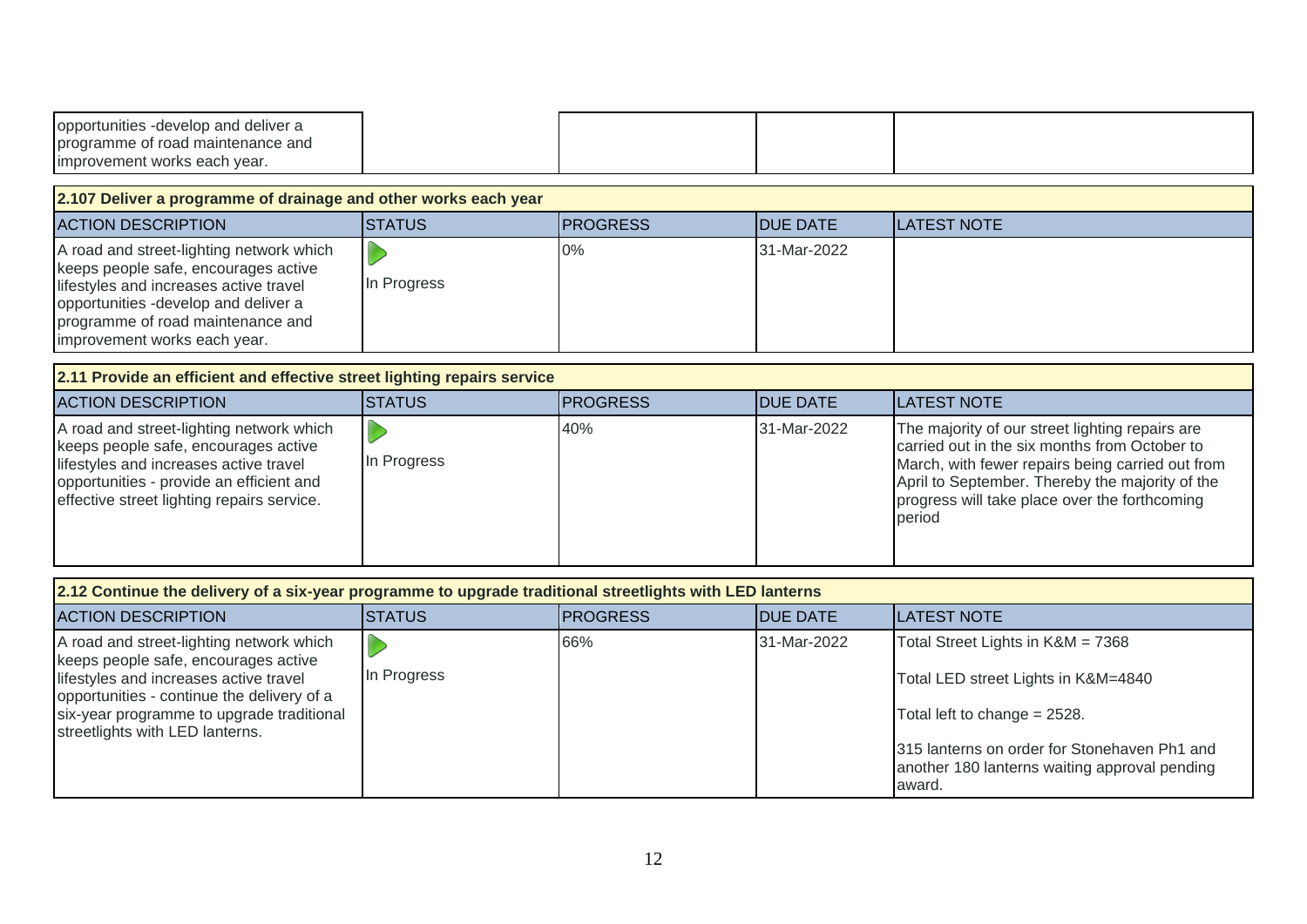| opportunities -develop and deliver a |  |  |
|--------------------------------------|--|--|
| programme of road maintenance and    |  |  |
| improvement works each year.         |  |  |

**2.107 Deliver a programme of drainage and other works each year**

| <b>IACTION DESCRIPTION</b>                                                                                                                                                                                                              | ISTATUS     | <b>IPROGRESS</b> | <b>IDUE DATE</b> | <b>ILATEST NOTE</b> |
|-----------------------------------------------------------------------------------------------------------------------------------------------------------------------------------------------------------------------------------------|-------------|------------------|------------------|---------------------|
| A road and street-lighting network which<br>keeps people safe, encourages active<br>lifestyles and increases active travel<br>opportunities -develop and deliver a<br>programme of road maintenance and<br>improvement works each year. | In Progress | 0%               | 31-Mar-2022      |                     |

#### **2.11 Provide an efficient and effective street lighting repairs service**

| <b>ACTION DESCRIPTION</b>                                                                                                                                                                                            | ISTATUS     | <b>IPROGRESS</b> | <b>IDUE DATE</b> | <b>ILATEST NOTE</b>                                                                                                                                                                                                                                                |  |  |
|----------------------------------------------------------------------------------------------------------------------------------------------------------------------------------------------------------------------|-------------|------------------|------------------|--------------------------------------------------------------------------------------------------------------------------------------------------------------------------------------------------------------------------------------------------------------------|--|--|
| A road and street-lighting network which<br>keeps people safe, encourages active<br>lifestyles and increases active travel<br>opportunities - provide an efficient and<br>effective street lighting repairs service. | In Progress | 40%              | 31-Mar-2022      | The majority of our street lighting repairs are<br>carried out in the six months from October to<br>March, with fewer repairs being carried out from<br>April to September. Thereby the majority of the<br>progress will take place over the forthcoming<br>period |  |  |

| 2.12 Continue the delivery of a six-year programme to upgrade traditional streetlights with LED lanterns                                                                                                                                                 |                |                 |                  |                                                                                                                                                                                                                     |  |  |  |
|----------------------------------------------------------------------------------------------------------------------------------------------------------------------------------------------------------------------------------------------------------|----------------|-----------------|------------------|---------------------------------------------------------------------------------------------------------------------------------------------------------------------------------------------------------------------|--|--|--|
| <b>ACTION DESCRIPTION</b>                                                                                                                                                                                                                                | <b>ISTATUS</b> | <b>PROGRESS</b> | <b>IDUE DATE</b> | <b>ILATEST NOTE</b>                                                                                                                                                                                                 |  |  |  |
| A road and street-lighting network which<br>keeps people safe, encourages active<br>lifestyles and increases active travel<br>opportunities - continue the delivery of a<br>six-year programme to upgrade traditional<br>streetlights with LED lanterns. | In Progress    | 66%             | 31-Mar-2022      | Total Street Lights in K&M = 7368<br>Total LED street Lights in K&M=4840<br>Total left to change = 2528.<br>315 lanterns on order for Stonehaven Ph1 and<br>another 180 lanterns waiting approval pending<br>award. |  |  |  |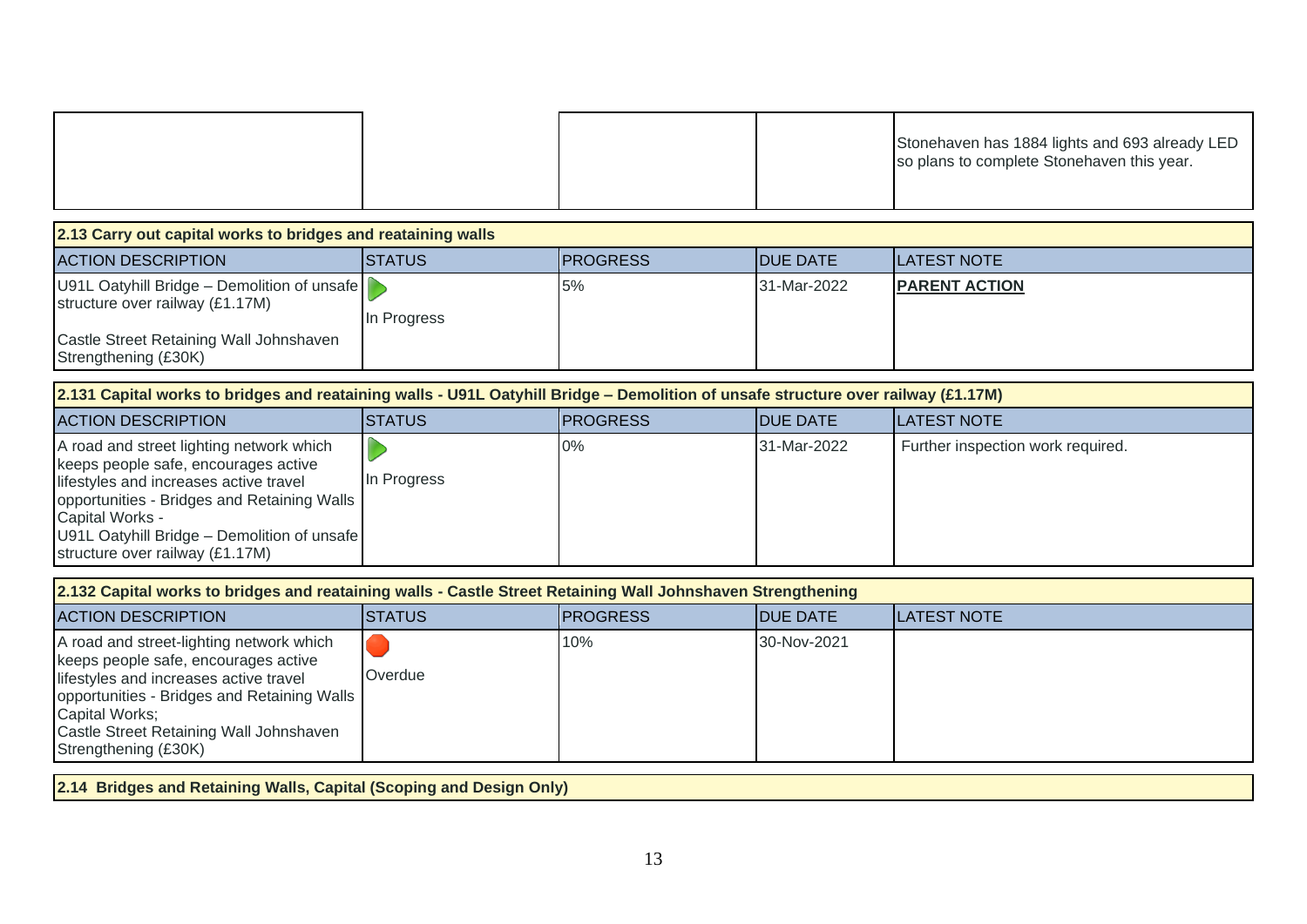|  |  | Stonehaven has 1884 lights and 693 already LED<br>so plans to complete Stonehaven this year. |
|--|--|----------------------------------------------------------------------------------------------|
|--|--|----------------------------------------------------------------------------------------------|

| 2.13 Carry out capital works to bridges and reataining walls                   |             |                  |                  |                       |  |  |  |
|--------------------------------------------------------------------------------|-------------|------------------|------------------|-----------------------|--|--|--|
| <b>ACTION DESCRIPTION</b>                                                      | ISTATUS     | <b>IPROGRESS</b> | <b>IDUE DATE</b> | <b>ILATEST NOTE</b>   |  |  |  |
| U91L Oatyhill Bridge – Demolition of unsafe<br>structure over railway (£1.17M) | In Progress | 5%               | 31-Mar-2022      | <b>IPARENT ACTION</b> |  |  |  |
| Castle Street Retaining Wall Johnshaven<br>Strengthening (£30K)                |             |                  |                  |                       |  |  |  |

| [2.131 Capital works to bridges and reataining walls - U91L Oatyhill Bridge – Demolition of unsafe structure over railway (£1.17M)                                                                                                                                             |             |                  |                  |                                   |  |  |  |
|--------------------------------------------------------------------------------------------------------------------------------------------------------------------------------------------------------------------------------------------------------------------------------|-------------|------------------|------------------|-----------------------------------|--|--|--|
| <b>ACTION DESCRIPTION</b>                                                                                                                                                                                                                                                      | ISTATUS     | <b>IPROGRESS</b> | <b>IDUE DATE</b> | <b>ILATEST NOTE</b>               |  |  |  |
| A road and street lighting network which<br>keeps people safe, encourages active<br>lifestyles and increases active travel<br>opportunities - Bridges and Retaining Walls<br>Capital Works -<br>U91L Oatyhill Bridge - Demolition of unsafe<br>structure over railway (£1.17M) | In Progress | 0%               | 31-Mar-2022      | Further inspection work required. |  |  |  |

| 2.132 Capital works to bridges and reataining walls - Castle Street Retaining Wall Johnshaven Strengthening                                                                                                                                                    |                |                  |                  |                     |  |  |  |
|----------------------------------------------------------------------------------------------------------------------------------------------------------------------------------------------------------------------------------------------------------------|----------------|------------------|------------------|---------------------|--|--|--|
| <b>ACTION DESCRIPTION</b>                                                                                                                                                                                                                                      | <b>ISTATUS</b> | <b>IPROGRESS</b> | <b>IDUE DATE</b> | <b>ILATEST NOTE</b> |  |  |  |
| A road and street-lighting network which<br>keeps people safe, encourages active<br>lifestyles and increases active travel<br>opportunities - Bridges and Retaining Walls<br>Capital Works;<br>Castle Street Retaining Wall Johnshaven<br>Strengthening (£30K) | Overdue        | 10%              | 30-Nov-2021      |                     |  |  |  |

**2.14 Bridges and Retaining Walls, Capital (Scoping and Design Only)**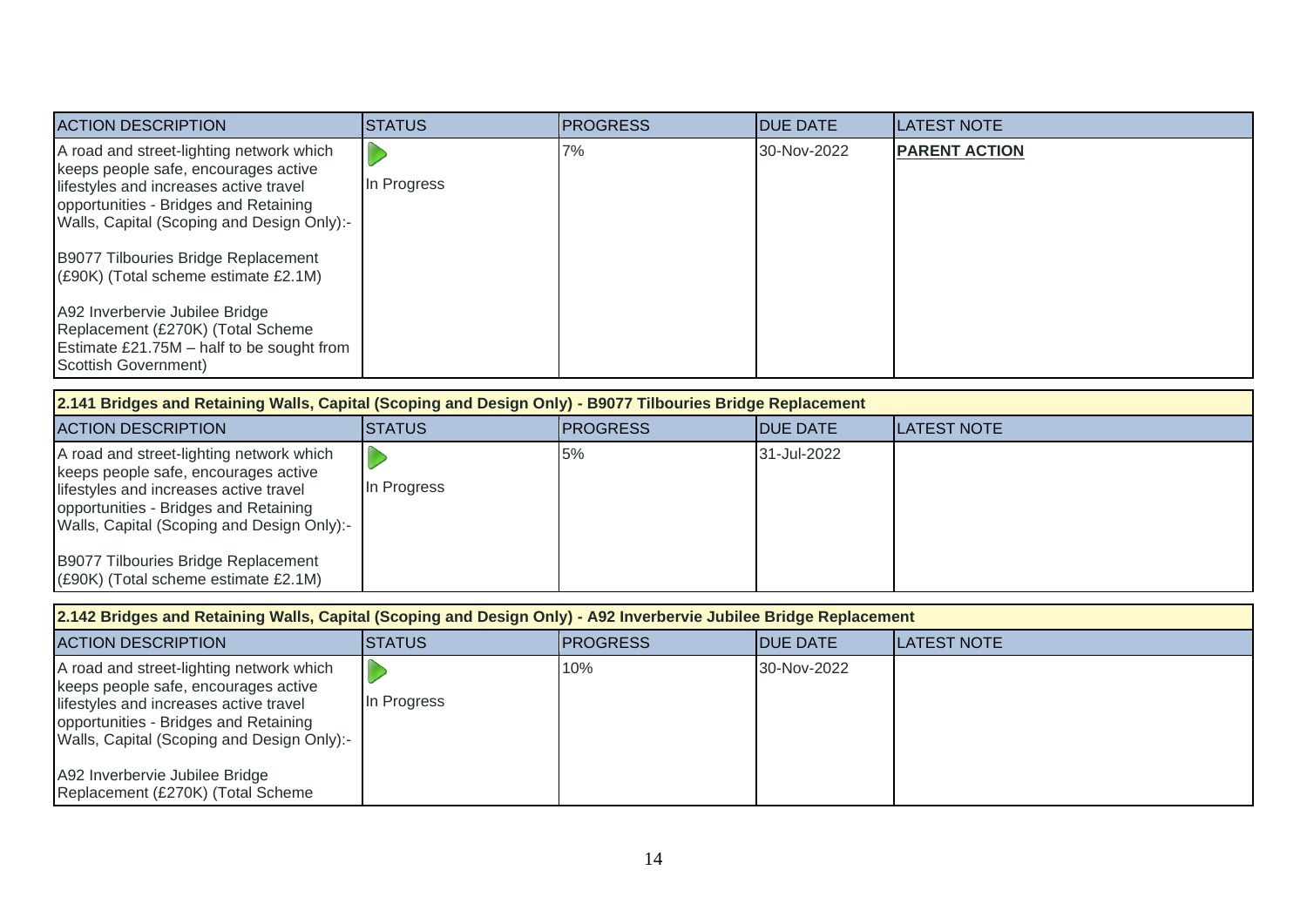| <b>ACTION DESCRIPTION</b>                                                                                                                                                                                                                                                                                                                                                                                                                    | <b>STATUS</b> | <b>PROGRESS</b> | <b>DUE DATE</b> | <b>LATEST NOTE</b>   |
|----------------------------------------------------------------------------------------------------------------------------------------------------------------------------------------------------------------------------------------------------------------------------------------------------------------------------------------------------------------------------------------------------------------------------------------------|---------------|-----------------|-----------------|----------------------|
| A road and street-lighting network which<br>keeps people safe, encourages active<br>lifestyles and increases active travel<br>opportunities - Bridges and Retaining<br>Walls, Capital (Scoping and Design Only):-<br>B9077 Tilbouries Bridge Replacement<br>(£90K) (Total scheme estimate £2.1M)<br>A92 Inverbervie Jubilee Bridge<br>Replacement (£270K) (Total Scheme<br>Estimate £21.75M - half to be sought from<br>Scottish Government) | In Progress   | 7%              | 30-Nov-2022     | <b>PARENT ACTION</b> |
| 2.141 Bridges and Retaining Walls, Capital (Scoping and Design Only) - B9077 Tilbouries Bridge Replacement                                                                                                                                                                                                                                                                                                                                   |               |                 |                 |                      |
| <b>ACTION DESCRIPTION</b>                                                                                                                                                                                                                                                                                                                                                                                                                    | <b>STATUS</b> | <b>PROGRESS</b> | <b>DUE DATE</b> | <b>LATEST NOTE</b>   |
| A road and street-lighting network which<br>keeps people safe, encourages active<br>lifestyles and increases active travel<br>opportunities - Bridges and Retaining<br>Walls, Capital (Scoping and Design Only):-                                                                                                                                                                                                                            | In Progress   | 5%              | 31-Jul-2022     |                      |
| B9077 Tilbouries Bridge Replacement<br>(£90K) (Total scheme estimate £2.1M)                                                                                                                                                                                                                                                                                                                                                                  |               |                 |                 |                      |
|                                                                                                                                                                                                                                                                                                                                                                                                                                              |               |                 |                 |                      |
| 2.142 Bridges and Retaining Walls, Capital (Scoping and Design Only) - A92 Inverbervie Jubilee Bridge Replacement<br><b>ACTION DESCRIPTION</b>                                                                                                                                                                                                                                                                                               | <b>STATUS</b> | <b>PROGRESS</b> | <b>DUE DATE</b> | <b>LATEST NOTE</b>   |

lifestyles and increases active travel opportunities - Bridges and Retaining Walls, Capital (Scoping and Design Only):-

In Progress

A92 Inverbervie Jubilee Bridge Replacement (£270K) (Total Scheme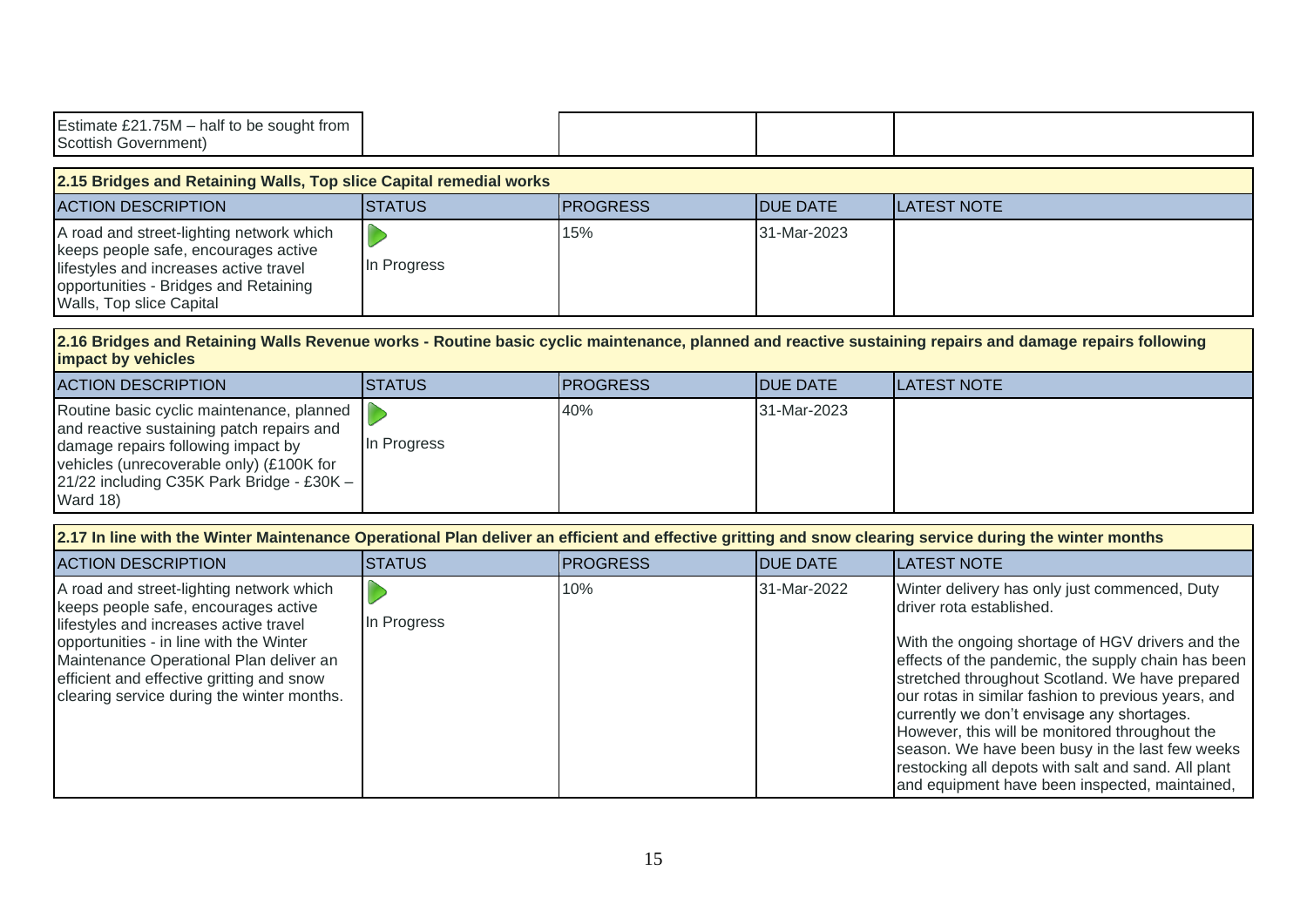| Estimate £21.75M - half to be sought from<br><b>Scottish Government)</b>                                                                                                                                                                                                                                    |                                                                                                                                                         |                 |                 |                                                                                                                                                                                                                                                                                                                                                                                                                                                                                                                                                           |  |  |  |
|-------------------------------------------------------------------------------------------------------------------------------------------------------------------------------------------------------------------------------------------------------------------------------------------------------------|---------------------------------------------------------------------------------------------------------------------------------------------------------|-----------------|-----------------|-----------------------------------------------------------------------------------------------------------------------------------------------------------------------------------------------------------------------------------------------------------------------------------------------------------------------------------------------------------------------------------------------------------------------------------------------------------------------------------------------------------------------------------------------------------|--|--|--|
| 2.15 Bridges and Retaining Walls, Top slice Capital remedial works                                                                                                                                                                                                                                          |                                                                                                                                                         |                 |                 |                                                                                                                                                                                                                                                                                                                                                                                                                                                                                                                                                           |  |  |  |
| <b>ACTION DESCRIPTION</b>                                                                                                                                                                                                                                                                                   | <b>STATUS</b>                                                                                                                                           | <b>PROGRESS</b> | <b>DUE DATE</b> | <b>LATEST NOTE</b>                                                                                                                                                                                                                                                                                                                                                                                                                                                                                                                                        |  |  |  |
| A road and street-lighting network which<br>keeps people safe, encourages active<br>lifestyles and increases active travel<br>opportunities - Bridges and Retaining<br>Walls, Top slice Capital                                                                                                             | In Progress                                                                                                                                             | 15%             | 31-Mar-2023     |                                                                                                                                                                                                                                                                                                                                                                                                                                                                                                                                                           |  |  |  |
| impact by vehicles                                                                                                                                                                                                                                                                                          | 2.16 Bridges and Retaining Walls Revenue works - Routine basic cyclic maintenance, planned and reactive sustaining repairs and damage repairs following |                 |                 |                                                                                                                                                                                                                                                                                                                                                                                                                                                                                                                                                           |  |  |  |
| <b>ACTION DESCRIPTION</b>                                                                                                                                                                                                                                                                                   | <b>STATUS</b>                                                                                                                                           | <b>PROGRESS</b> | <b>DUE DATE</b> | <b>LATEST NOTE</b>                                                                                                                                                                                                                                                                                                                                                                                                                                                                                                                                        |  |  |  |
| Routine basic cyclic maintenance, planned<br>and reactive sustaining patch repairs and<br>damage repairs following impact by<br>vehicles (unrecoverable only) (£100K for<br>21/22 including C35K Park Bridge - £30K -<br>Ward 18)                                                                           | In Progress                                                                                                                                             | 40%             | 31-Mar-2023     |                                                                                                                                                                                                                                                                                                                                                                                                                                                                                                                                                           |  |  |  |
| 2.17 In line with the Winter Maintenance Operational Plan deliver an efficient and effective gritting and snow clearing service during the winter months                                                                                                                                                    |                                                                                                                                                         |                 |                 |                                                                                                                                                                                                                                                                                                                                                                                                                                                                                                                                                           |  |  |  |
| <b>ACTION DESCRIPTION</b>                                                                                                                                                                                                                                                                                   | <b>STATUS</b>                                                                                                                                           | <b>PROGRESS</b> | <b>DUE DATE</b> | <b>LATEST NOTE</b>                                                                                                                                                                                                                                                                                                                                                                                                                                                                                                                                        |  |  |  |
| A road and street-lighting network which<br>keeps people safe, encourages active<br>lifestyles and increases active travel<br>opportunities - in line with the Winter<br>Maintenance Operational Plan deliver an<br>efficient and effective gritting and snow<br>clearing service during the winter months. | In Progress                                                                                                                                             | 10%             | 31-Mar-2022     | Winter delivery has only just commenced, Duty<br>driver rota established.<br>With the ongoing shortage of HGV drivers and the<br>effects of the pandemic, the supply chain has been<br>stretched throughout Scotland. We have prepared<br>our rotas in similar fashion to previous years, and<br>currently we don't envisage any shortages.<br>However, this will be monitored throughout the<br>season. We have been busy in the last few weeks<br>restocking all depots with salt and sand. All plant<br>and equipment have been inspected, maintained, |  |  |  |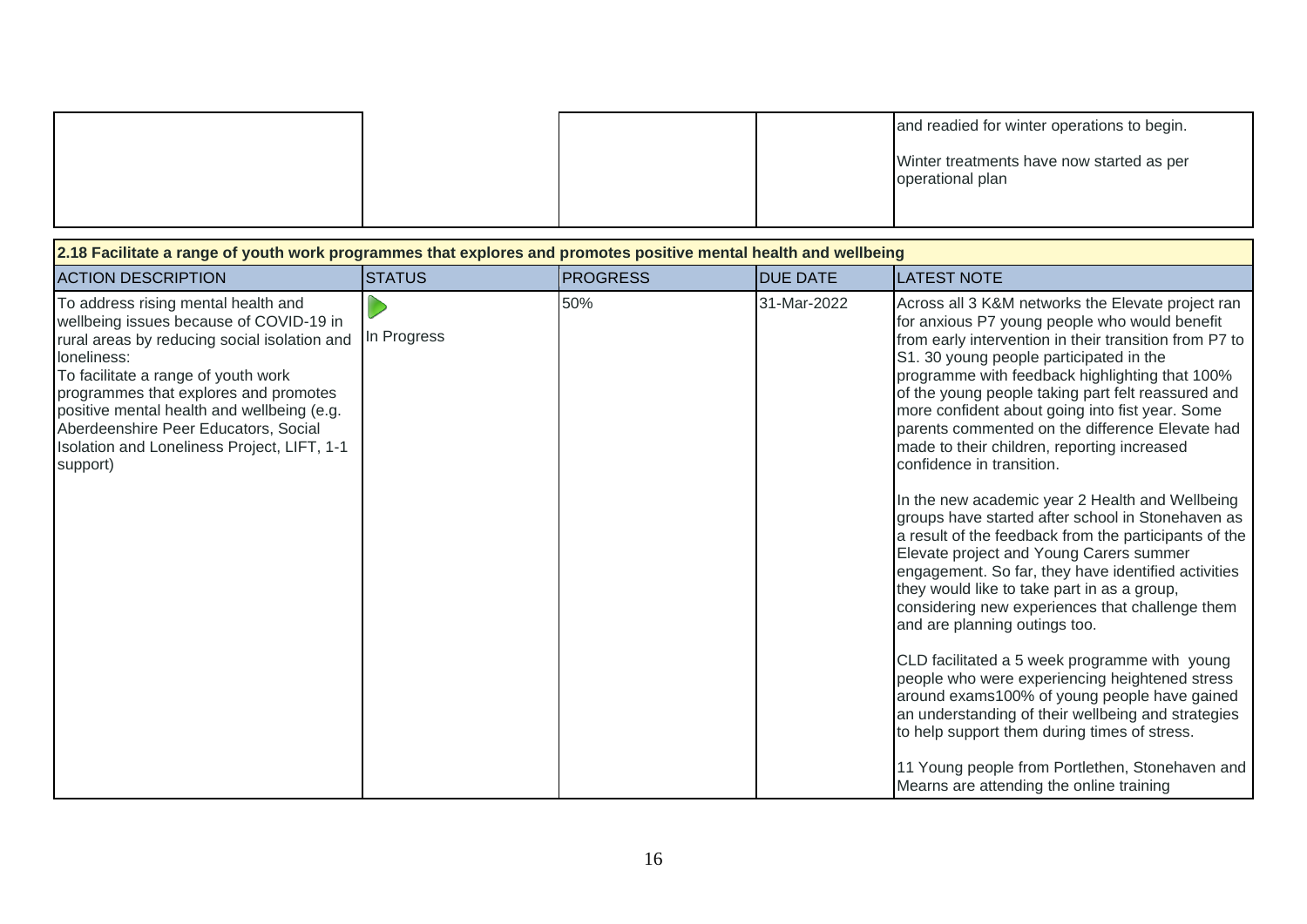|  |  | and readied for winter operations to begin.                   |
|--|--|---------------------------------------------------------------|
|  |  | Winter treatments have now started as per<br>operational plan |

| 2.18 Facilitate a range of youth work programmes that explores and promotes positive mental health and wellbeing                                                                                                                                                                                                                                                               |               |                 |                 |                                                                                                                                                                                                                                                                                                                                                                                                                                                                                                                                                                                                                                                                                                                                                                                                                                                                                                                                                                                                                                                                                                                                                                                                                                                                 |  |  |
|--------------------------------------------------------------------------------------------------------------------------------------------------------------------------------------------------------------------------------------------------------------------------------------------------------------------------------------------------------------------------------|---------------|-----------------|-----------------|-----------------------------------------------------------------------------------------------------------------------------------------------------------------------------------------------------------------------------------------------------------------------------------------------------------------------------------------------------------------------------------------------------------------------------------------------------------------------------------------------------------------------------------------------------------------------------------------------------------------------------------------------------------------------------------------------------------------------------------------------------------------------------------------------------------------------------------------------------------------------------------------------------------------------------------------------------------------------------------------------------------------------------------------------------------------------------------------------------------------------------------------------------------------------------------------------------------------------------------------------------------------|--|--|
| <b>ACTION DESCRIPTION</b>                                                                                                                                                                                                                                                                                                                                                      | <b>STATUS</b> | <b>PROGRESS</b> | <b>DUE DATE</b> | <b>LATEST NOTE</b>                                                                                                                                                                                                                                                                                                                                                                                                                                                                                                                                                                                                                                                                                                                                                                                                                                                                                                                                                                                                                                                                                                                                                                                                                                              |  |  |
| To address rising mental health and<br>wellbeing issues because of COVID-19 in<br>rural areas by reducing social isolation and<br>loneliness:<br>To facilitate a range of youth work<br>programmes that explores and promotes<br>positive mental health and wellbeing (e.g.<br>Aberdeenshire Peer Educators, Social<br>Isolation and Loneliness Project, LIFT, 1-1<br>support) | In Progress   | 50%             | 31-Mar-2022     | Across all 3 K&M networks the Elevate project ran<br>for anxious P7 young people who would benefit<br>from early intervention in their transition from P7 to<br>S1. 30 young people participated in the<br>programme with feedback highlighting that 100%<br>of the young people taking part felt reassured and<br>more confident about going into fist year. Some<br>parents commented on the difference Elevate had<br>made to their children, reporting increased<br>confidence in transition.<br>In the new academic year 2 Health and Wellbeing<br>groups have started after school in Stonehaven as<br>a result of the feedback from the participants of the<br>Elevate project and Young Carers summer<br>engagement. So far, they have identified activities<br>they would like to take part in as a group,<br>considering new experiences that challenge them<br>and are planning outings too.<br>CLD facilitated a 5 week programme with young<br>people who were experiencing heightened stress<br>around exams100% of young people have gained<br>an understanding of their wellbeing and strategies<br>to help support them during times of stress.<br>11 Young people from Portlethen, Stonehaven and<br>Mearns are attending the online training |  |  |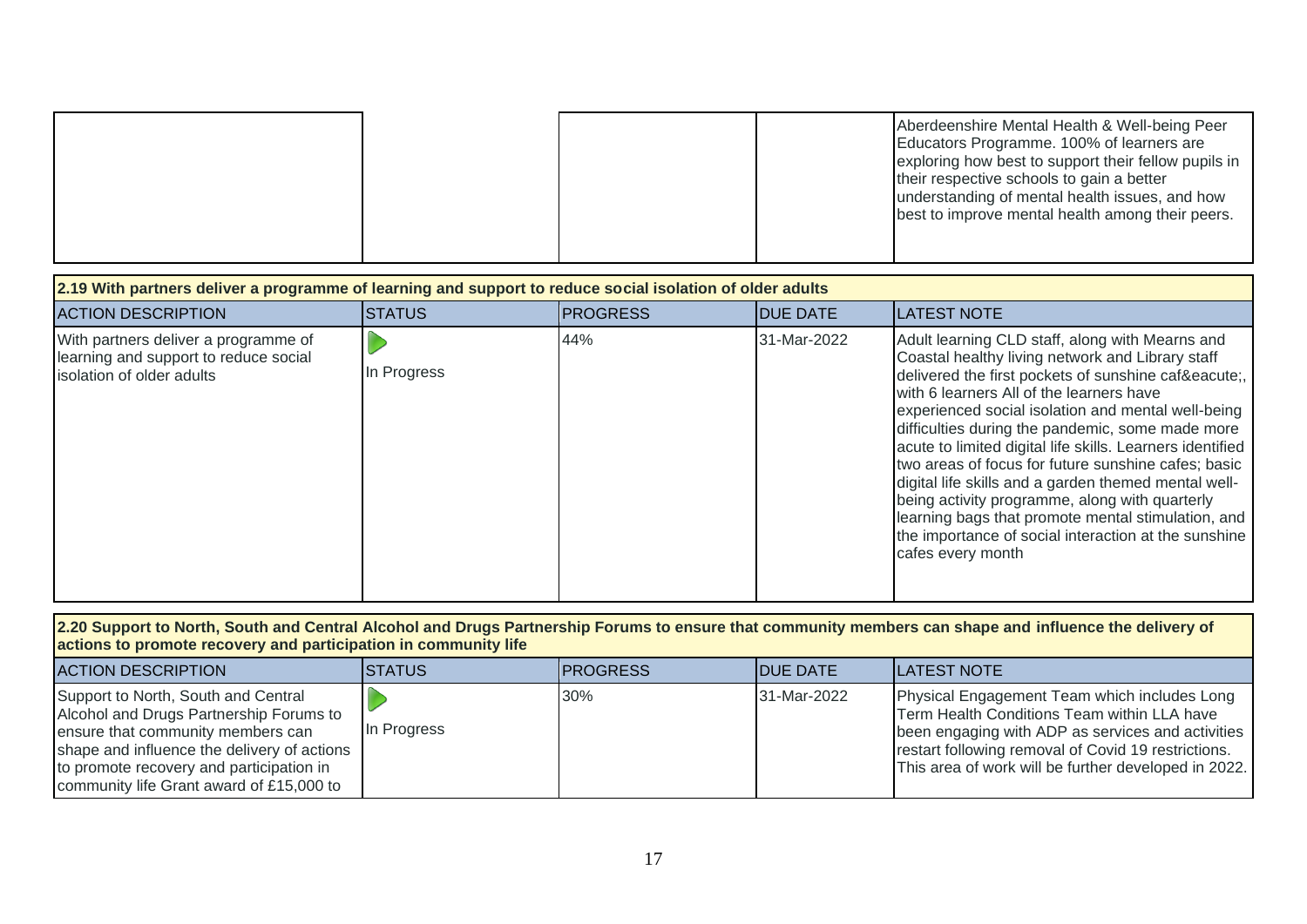| 2.19 With partners deliver a programme of learning and support to reduce social isolation of older adults |               |                  |                  |                                                                                                                                                                                                                                                                                                                                                                                                                                                                                                                                                                                                                                                                             |  |  |  |
|-----------------------------------------------------------------------------------------------------------|---------------|------------------|------------------|-----------------------------------------------------------------------------------------------------------------------------------------------------------------------------------------------------------------------------------------------------------------------------------------------------------------------------------------------------------------------------------------------------------------------------------------------------------------------------------------------------------------------------------------------------------------------------------------------------------------------------------------------------------------------------|--|--|--|
| <b>ACTION DESCRIPTION</b>                                                                                 | <b>STATUS</b> | <b>IPROGRESS</b> | <b>IDUE DATE</b> | <b>LATEST NOTE</b>                                                                                                                                                                                                                                                                                                                                                                                                                                                                                                                                                                                                                                                          |  |  |  |
| With partners deliver a programme of<br>learning and support to reduce social<br>solation of older adults | In Progress   | 44%              | 31-Mar-2022      | Adult learning CLD staff, along with Mearns and<br>Coastal healthy living network and Library staff<br>delivered the first pockets of sunshine café,<br>with 6 learners All of the learners have<br>experienced social isolation and mental well-being<br>difficulties during the pandemic, some made more<br>acute to limited digital life skills. Learners identified<br>two areas of focus for future sunshine cafes; basic<br>digital life skills and a garden themed mental well-<br>being activity programme, along with quarterly<br>learning bags that promote mental stimulation, and<br>the importance of social interaction at the sunshine<br>cafes every month |  |  |  |

| 2.20 Support to North, South and Central Alcohol and Drugs Partnership Forums to ensure that community members can shape and influence the delivery of |  |  |  |  |
|--------------------------------------------------------------------------------------------------------------------------------------------------------|--|--|--|--|
| actions to promote recovery and participation in community life                                                                                        |  |  |  |  |

| ACTION DESCRIPTION                                                                                                                                                                                                                                         | <b>ISTATUS</b> | <b>IPROGRESS</b> | <b>IDUE DATE</b> | <b>ILATEST NOTE</b>                                                                                                                                                                                                                                             |
|------------------------------------------------------------------------------------------------------------------------------------------------------------------------------------------------------------------------------------------------------------|----------------|------------------|------------------|-----------------------------------------------------------------------------------------------------------------------------------------------------------------------------------------------------------------------------------------------------------------|
| Support to North, South and Central<br>Alcohol and Drugs Partnership Forums to<br>ensure that community members can<br>shape and influence the delivery of actions<br>to promote recovery and participation in<br>community life Grant award of £15,000 to | In Progress    | 30%              | 31-Mar-2022      | Physical Engagement Team which includes Long<br>Term Health Conditions Team within LLA have<br>been engaging with ADP as services and activities<br>restart following removal of Covid 19 restrictions.<br>This area of work will be further developed in 2022. |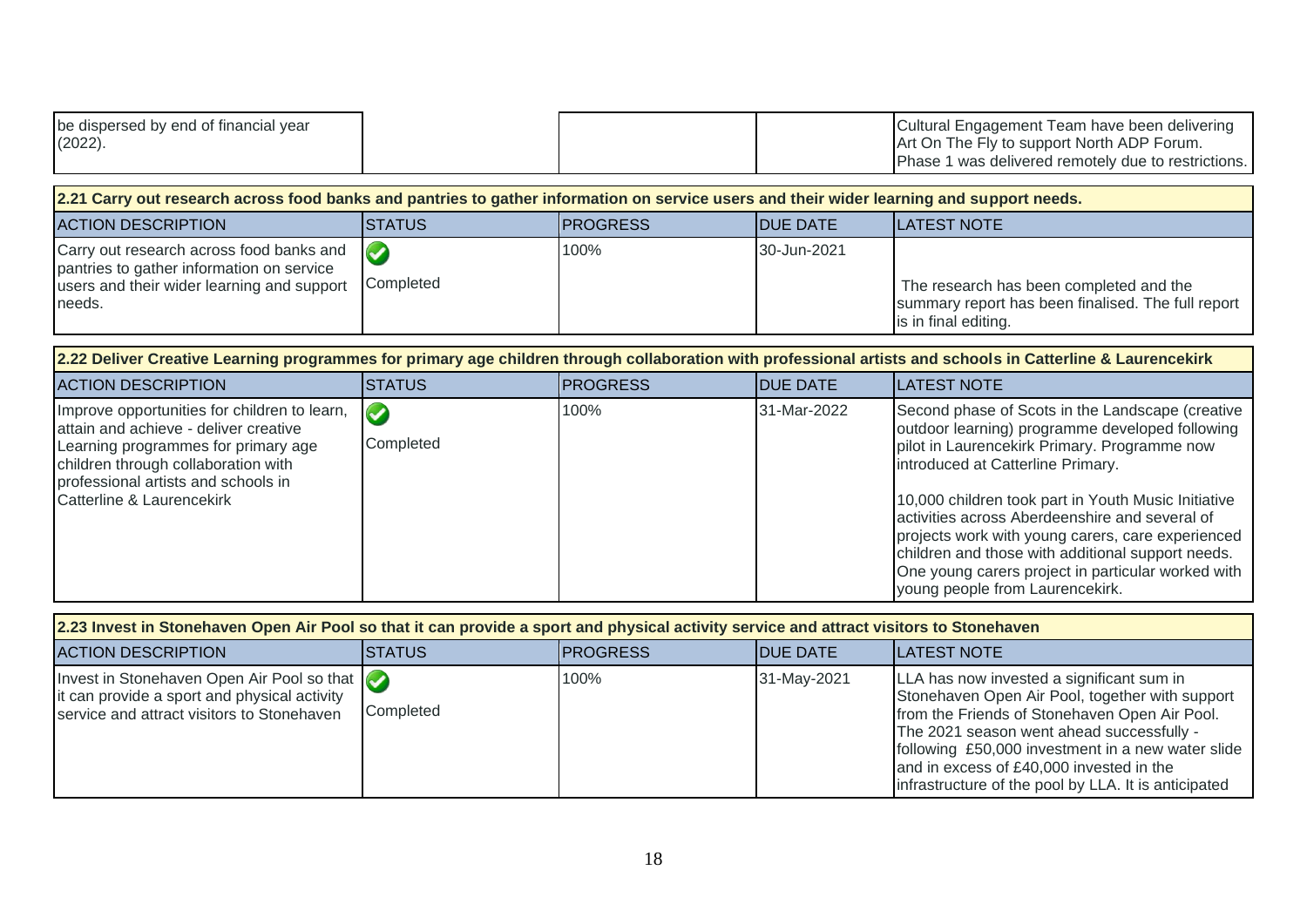| be dispersed by end of financial year |  | Cultural Engagement Team have been delivering       |
|---------------------------------------|--|-----------------------------------------------------|
| $(2022)$ .                            |  | Art On The Fly to support North ADP Forum.          |
|                                       |  | Phase 1 was delivered remotely due to restrictions. |

| 2.21 Carry out research across food banks and pantries to gather information on service users and their wider learning and support needs.            |                |                  |                  |                                                                                                                       |  |  |
|------------------------------------------------------------------------------------------------------------------------------------------------------|----------------|------------------|------------------|-----------------------------------------------------------------------------------------------------------------------|--|--|
| <b>ACTION DESCRIPTION</b>                                                                                                                            | <b>ISTATUS</b> | <b>IPROGRESS</b> | <b>IDUE DATE</b> | <b>ILATEST NOTE</b>                                                                                                   |  |  |
| Carry out research across food banks and $\sim$<br>pantries to gather information on service<br>users and their wider learning and support<br>needs. | Completed      | 100%             | 30-Jun-2021      | The research has been completed and the<br>summary report has been finalised. The full report<br>is in final editing. |  |  |

| 2.22 Deliver Creative Learning programmes for primary age children through collaboration with professional artists and schools in Catterline & Laurencekirk                                                                             |                                   |                 |                  |                                                                                                                                                                                                                                                                                                                                                                                                                                                                                                      |  |  |
|-----------------------------------------------------------------------------------------------------------------------------------------------------------------------------------------------------------------------------------------|-----------------------------------|-----------------|------------------|------------------------------------------------------------------------------------------------------------------------------------------------------------------------------------------------------------------------------------------------------------------------------------------------------------------------------------------------------------------------------------------------------------------------------------------------------------------------------------------------------|--|--|
| <b>ACTION DESCRIPTION</b>                                                                                                                                                                                                               | ISTATUS.                          | <b>PROGRESS</b> | <b>IDUE DATE</b> | ILATEST NOTE                                                                                                                                                                                                                                                                                                                                                                                                                                                                                         |  |  |
| Improve opportunities for children to learn,<br>attain and achieve - deliver creative<br>Learning programmes for primary age<br>children through collaboration with<br>professional artists and schools in<br>Catterline & Laurencekirk | $\blacktriangledown$<br>Completed | 100%            | 31-Mar-2022      | Second phase of Scots in the Landscape (creative<br>outdoor learning) programme developed following<br>pilot in Laurencekirk Primary. Programme now<br>introduced at Catterline Primary.<br>10,000 children took part in Youth Music Initiative<br>activities across Aberdeenshire and several of<br>projects work with young carers, care experienced<br>children and those with additional support needs.<br>One young carers project in particular worked with<br>young people from Laurencekirk. |  |  |

| 2.23 Invest in Stonehaven Open Air Pool so that it can provide a sport and physical activity service and attract visitors to Stonehaven  |           |                  |                  |                                                                                                                                                                                                                                                                                                                                                     |  |  |
|------------------------------------------------------------------------------------------------------------------------------------------|-----------|------------------|------------------|-----------------------------------------------------------------------------------------------------------------------------------------------------------------------------------------------------------------------------------------------------------------------------------------------------------------------------------------------------|--|--|
| <b>ACTION DESCRIPTION</b>                                                                                                                | ISTATUS.  | <b>IPROGRESS</b> | <b>IDUE DATE</b> | <b>ILATEST NOTE</b>                                                                                                                                                                                                                                                                                                                                 |  |  |
| Invest in Stonehaven Open Air Pool so that<br>it can provide a sport and physical activity<br>service and attract visitors to Stonehaven | Completed | 100%             | 31-May-2021      | LLA has now invested a significant sum in<br>Stonehaven Open Air Pool, together with support<br>from the Friends of Stonehaven Open Air Pool.<br>The 2021 season went ahead successfully -<br>following £50,000 investment in a new water slide<br>and in excess of £40,000 invested in the<br>infrastructure of the pool by LLA. It is anticipated |  |  |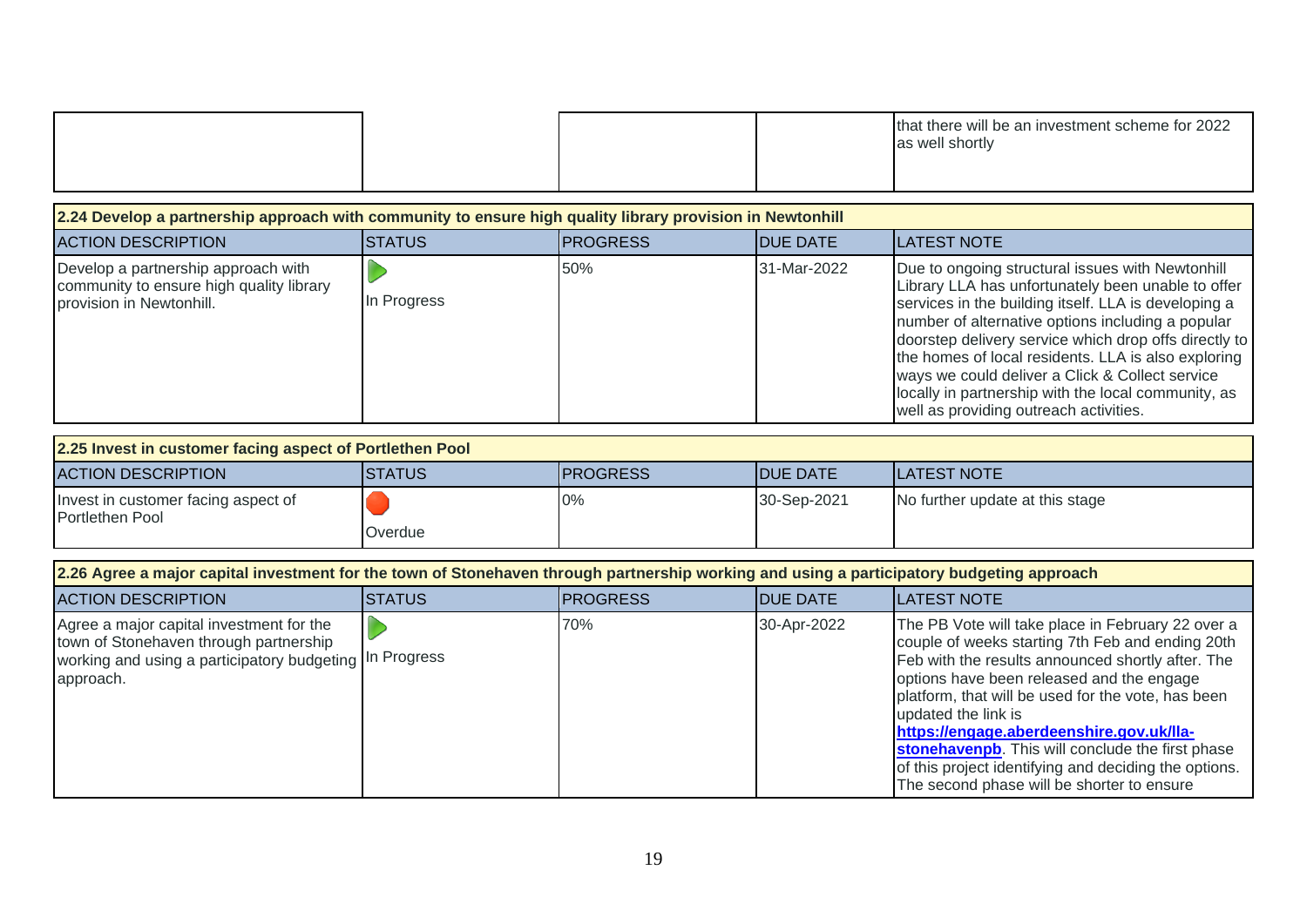|  |  |  |  | that there will be an investment scheme for 2022<br>as well shortly |
|--|--|--|--|---------------------------------------------------------------------|
|--|--|--|--|---------------------------------------------------------------------|

#### **2.24 Develop a partnership approach with community to ensure high quality library provision in Newtonhill** ACTION DESCRIPTION **STATUS** STATUS **PROGRESS** DUE DATE LATEST NOTE Develop a partnership approach with  $\triangleright$ 50% 31-Mar-2022 Due to ongoing structural issues with Newtonhill community to ensure high quality library Library LLA has unfortunately been unable to offer In Progress provision in Newtonhill. services in the building itself. LLA is developing a number of alternative options including a popular doorstep delivery service which drop offs directly to the homes of local residents. LLA is also exploring ways we could deliver a Click & Collect service locally in partnership with the local community, as well as providing outreach activities.

| 2.25 Invest in customer facing aspect of Portlethen Pool |               |                  |                  |                                 |  |
|----------------------------------------------------------|---------------|------------------|------------------|---------------------------------|--|
| <b>ACTION DESCRIPTION</b>                                | <b>STATUS</b> | <b>IPROGRESS</b> | <b>IDUE DATE</b> | <b>ILATEST NOTE</b>             |  |
| Invest in customer facing aspect of<br>Portlethen Pool   | Overdue       | $0\%$            | 30-Sep-2021      | No further update at this stage |  |

| 2.26 Agree a major capital investment for the town of Stonehaven through partnership working and using a participatory budgeting approach                  |                |                 |                  |                                                                                                                                                                                                                                                                                                                                                                                                                                                                                             |  |  |
|------------------------------------------------------------------------------------------------------------------------------------------------------------|----------------|-----------------|------------------|---------------------------------------------------------------------------------------------------------------------------------------------------------------------------------------------------------------------------------------------------------------------------------------------------------------------------------------------------------------------------------------------------------------------------------------------------------------------------------------------|--|--|
| <b>ACTION DESCRIPTION</b>                                                                                                                                  | <b>ISTATUS</b> | <b>PROGRESS</b> | <b>IDUE DATE</b> | <b>LATEST NOTE</b>                                                                                                                                                                                                                                                                                                                                                                                                                                                                          |  |  |
| Agree a major capital investment for the<br>town of Stonehaven through partnership<br>working and using a participatory budgeting In Progress<br>approach. |                | 70%             | 30-Apr-2022      | The PB Vote will take place in February 22 over a<br>couple of weeks starting 7th Feb and ending 20th<br>Feb with the results announced shortly after. The<br>options have been released and the engage<br>platform, that will be used for the vote, has been<br>updated the link is<br>https://engage.aberdeenshire.gov.uk/lla-<br>stonehavenpb. This will conclude the first phase<br>of this project identifying and deciding the options.<br>The second phase will be shorter to ensure |  |  |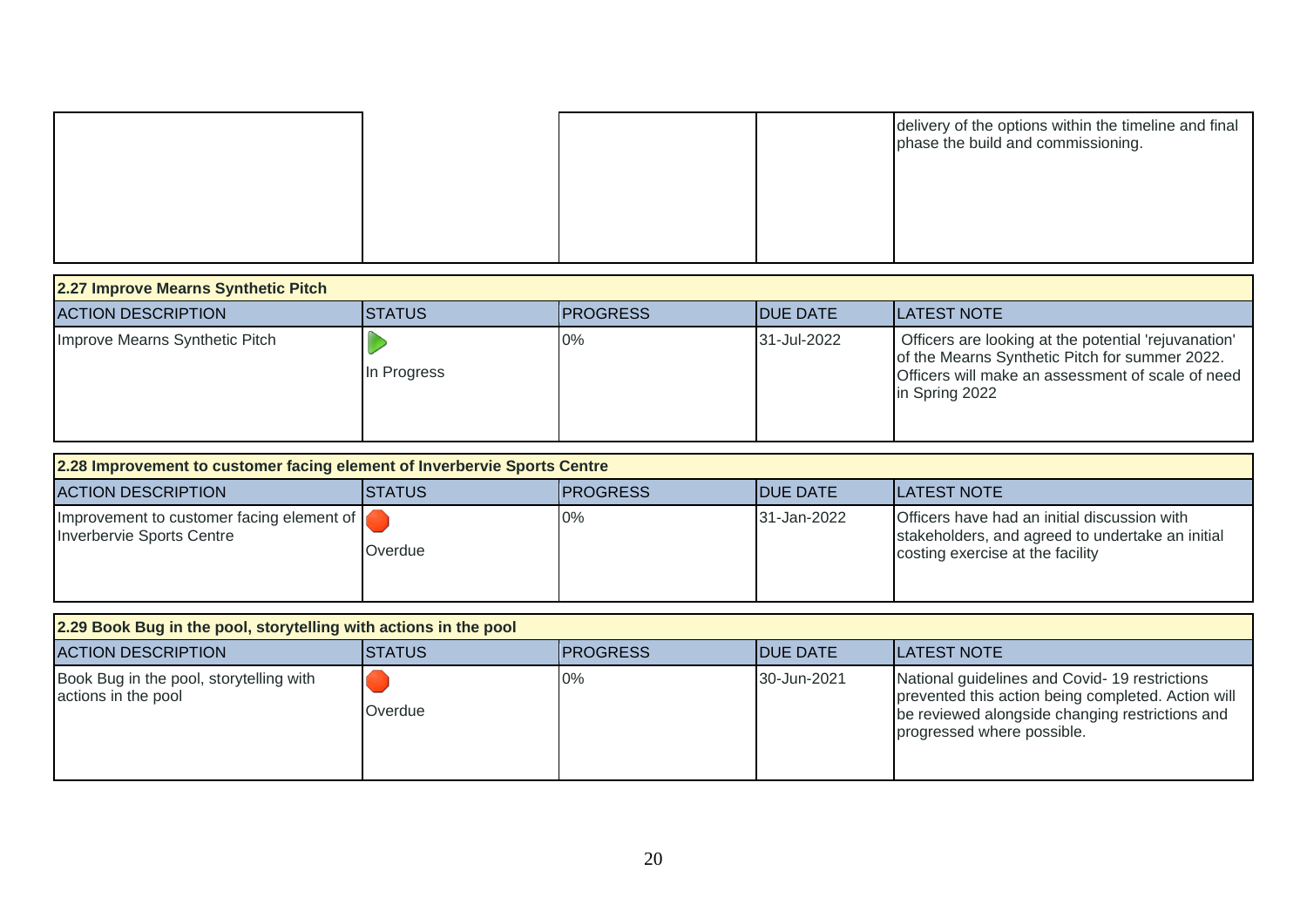|  |  | delivery of the options within the timeline and final<br>phase the build and commissioning. |
|--|--|---------------------------------------------------------------------------------------------|
|  |  |                                                                                             |
|  |  |                                                                                             |

| 2.27 Improve Mearns Synthetic Pitch |                |                  |                  |                                                                                                                                                                               |  |  |
|-------------------------------------|----------------|------------------|------------------|-------------------------------------------------------------------------------------------------------------------------------------------------------------------------------|--|--|
| <b>ACTION DESCRIPTION</b>           | <b>ISTATUS</b> | <b>IPROGRESS</b> | <b>IDUE DATE</b> | <b>ILATEST NOTE</b>                                                                                                                                                           |  |  |
| Improve Mearns Synthetic Pitch      | In Progress    | 0%               | 31-Jul-2022      | Officers are looking at the potential 'rejuvanation'<br>of the Mearns Synthetic Pitch for summer 2022.<br>Officers will make an assessment of scale of need<br>in Spring 2022 |  |  |

| 2.28 Improvement to customer facing element of Inverbervie Sports Centre |         |                  |                  |                                                                                                                                      |  |  |
|--------------------------------------------------------------------------|---------|------------------|------------------|--------------------------------------------------------------------------------------------------------------------------------------|--|--|
| <b>ACTION DESCRIPTION</b>                                                | ISTATUS | <b>IPROGRESS</b> | <b>IDUE DATE</b> | <b>ILATEST NOTE</b>                                                                                                                  |  |  |
| Improvement to customer facing element of<br>Inverbervie Sports Centre   | Overdue | 0%               | 31-Jan-2022      | Officers have had an initial discussion with<br>stakeholders, and agreed to undertake an initial<br>costing exercise at the facility |  |  |

| 2.29 Book Bug in the pool, storytelling with actions in the pool |                |                  |                  |                                                                                                                                                                                      |  |  |
|------------------------------------------------------------------|----------------|------------------|------------------|--------------------------------------------------------------------------------------------------------------------------------------------------------------------------------------|--|--|
| <b>ACTION DESCRIPTION</b>                                        | <b>ISTATUS</b> | <b>IPROGRESS</b> | <b>IDUE DATE</b> | <b>ILATEST NOTE</b>                                                                                                                                                                  |  |  |
| Book Bug in the pool, storytelling with<br>actions in the pool   | Overdue        | 0%               | 30-Jun-2021      | National guidelines and Covid-19 restrictions<br>prevented this action being completed. Action will<br>be reviewed alongside changing restrictions and<br>progressed where possible. |  |  |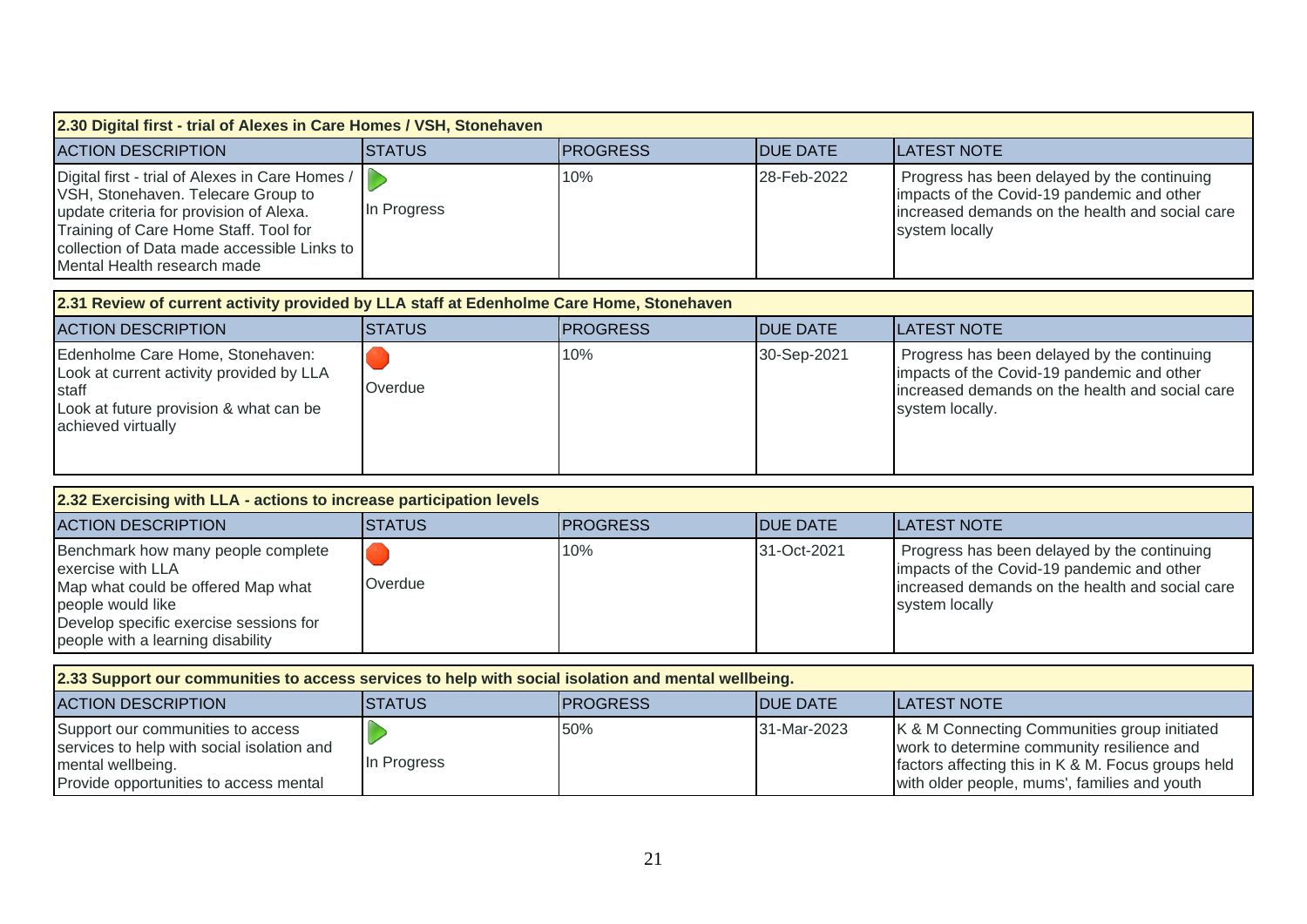| 2.30 Digital first - trial of Alexes in Care Homes / VSH, Stonehaven                                                                                                                                                                                    |               |                 |                 |                                                                                                                                                                                                  |  |  |
|---------------------------------------------------------------------------------------------------------------------------------------------------------------------------------------------------------------------------------------------------------|---------------|-----------------|-----------------|--------------------------------------------------------------------------------------------------------------------------------------------------------------------------------------------------|--|--|
| <b>ACTION DESCRIPTION</b>                                                                                                                                                                                                                               | <b>STATUS</b> | <b>PROGRESS</b> | <b>DUE DATE</b> | <b>LATEST NOTE</b>                                                                                                                                                                               |  |  |
| Digital first - trial of Alexes in Care Homes /<br>VSH, Stonehaven. Telecare Group to<br>update criteria for provision of Alexa.<br>Training of Care Home Staff. Tool for<br>collection of Data made accessible Links to<br>Mental Health research made | In Progress   | 10%             | 28-Feb-2022     | Progress has been delayed by the continuing<br>impacts of the Covid-19 pandemic and other<br>increased demands on the health and social care<br>system locally                                   |  |  |
| 2.31 Review of current activity provided by LLA staff at Edenholme Care Home, Stonehaven                                                                                                                                                                |               |                 |                 |                                                                                                                                                                                                  |  |  |
| <b>ACTION DESCRIPTION</b>                                                                                                                                                                                                                               | <b>STATUS</b> | <b>PROGRESS</b> | <b>DUE DATE</b> | <b>LATEST NOTE</b>                                                                                                                                                                               |  |  |
| Edenholme Care Home, Stonehaven:<br>Look at current activity provided by LLA<br>staff<br>Look at future provision & what can be<br>achieved virtually                                                                                                   | Overdue       | 10%             | 30-Sep-2021     | Progress has been delayed by the continuing<br>impacts of the Covid-19 pandemic and other<br>increased demands on the health and social care<br>system locally.                                  |  |  |
| 2.32 Exercising with LLA - actions to increase participation levels                                                                                                                                                                                     |               |                 |                 |                                                                                                                                                                                                  |  |  |
| <b>ACTION DESCRIPTION</b>                                                                                                                                                                                                                               | <b>STATUS</b> | <b>PROGRESS</b> | <b>DUE DATE</b> | <b>LATEST NOTE</b>                                                                                                                                                                               |  |  |
| Benchmark how many people complete<br>exercise with LLA<br>Map what could be offered Map what<br>people would like<br>Develop specific exercise sessions for<br>people with a learning disability                                                       | Overdue       | 10%             | 31-Oct-2021     | Progress has been delayed by the continuing<br>impacts of the Covid-19 pandemic and other<br>increased demands on the health and social care<br>system locally                                   |  |  |
| 2.33 Support our communities to access services to help with social isolation and mental wellbeing.                                                                                                                                                     |               |                 |                 |                                                                                                                                                                                                  |  |  |
| <b>ACTION DESCRIPTION</b>                                                                                                                                                                                                                               | <b>STATUS</b> | <b>PROGRESS</b> | <b>DUE DATE</b> | <b>LATEST NOTE</b>                                                                                                                                                                               |  |  |
| Support our communities to access<br>services to help with social isolation and<br>mental wellbeing.<br>Provide opportunities to access mental                                                                                                          | In Progress   | 50%             | 31-Mar-2023     | K & M Connecting Communities group initiated<br>work to determine community resilience and<br>factors affecting this in K & M. Focus groups held<br>with older people, mums', families and youth |  |  |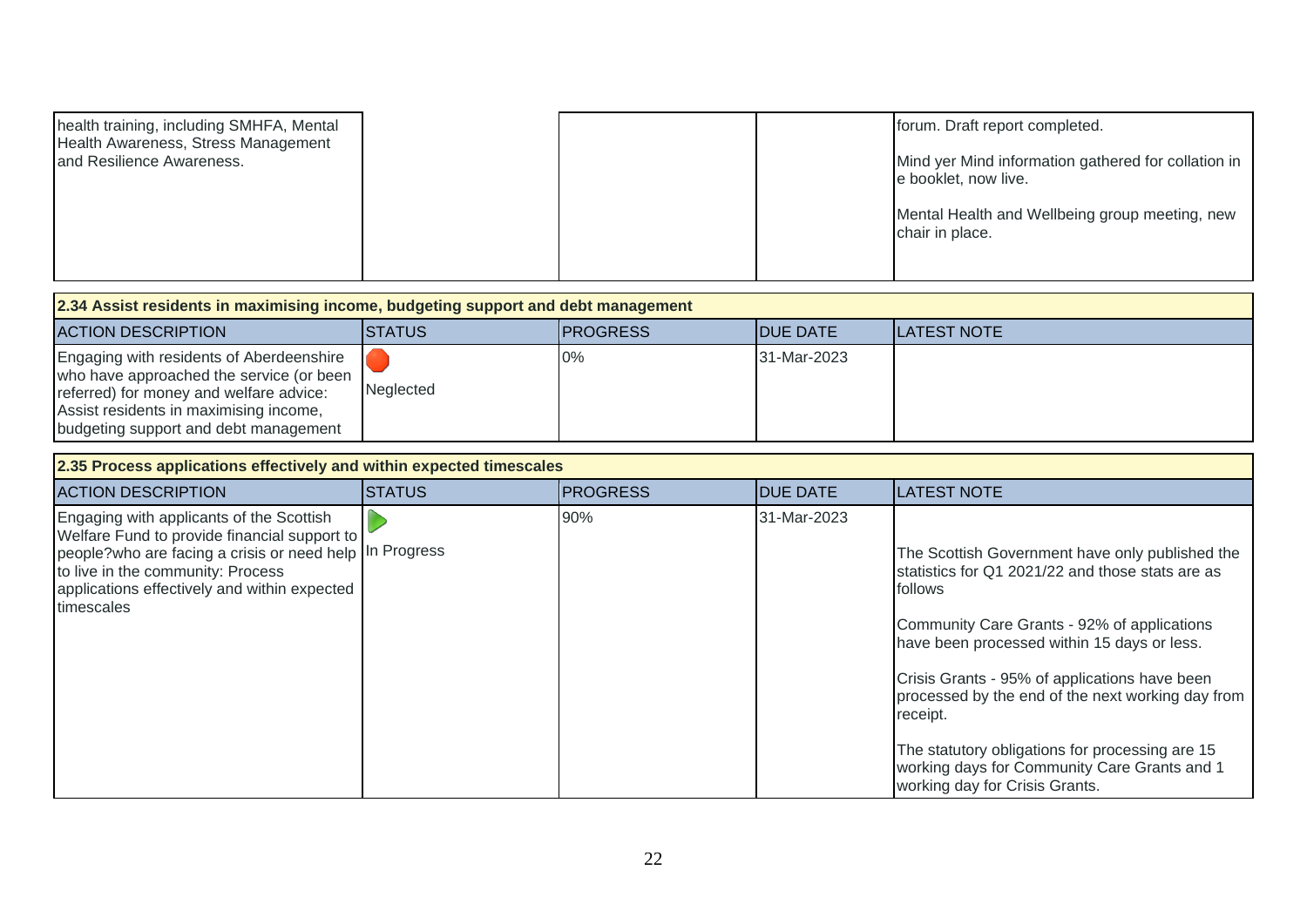| health training, including SMHFA, Mental<br>Health Awareness, Stress Management |  | forum. Draft report completed.                                              |
|---------------------------------------------------------------------------------|--|-----------------------------------------------------------------------------|
| and Resilience Awareness.                                                       |  | Mind yer Mind information gathered for collation in<br>e booklet, now live. |
|                                                                                 |  |                                                                             |
|                                                                                 |  | Mental Health and Wellbeing group meeting, new<br>chair in place.           |
|                                                                                 |  |                                                                             |

| 2.34 Assist residents in maximising income, budgeting support and debt management                                                                                                                                  |                |                  |                  |              |  |  |
|--------------------------------------------------------------------------------------------------------------------------------------------------------------------------------------------------------------------|----------------|------------------|------------------|--------------|--|--|
| <b>ACTION DESCRIPTION</b>                                                                                                                                                                                          | <b>ISTATUS</b> | <b>IPROGRESS</b> | <b>IDUE DATE</b> | ILATEST NOTE |  |  |
| Engaging with residents of Aberdeenshire<br>who have approached the service (or been<br>referred) for money and welfare advice:<br>Assist residents in maximising income,<br>budgeting support and debt management | Neglected      | 0%               | 31-Mar-2023      |              |  |  |

| 2.35 Process applications effectively and within expected timescales                                                                                                                                                                                   |                |                  |                  |                                                                                                                                                                                                                                                                                                                                                                                                                                                                     |  |  |  |
|--------------------------------------------------------------------------------------------------------------------------------------------------------------------------------------------------------------------------------------------------------|----------------|------------------|------------------|---------------------------------------------------------------------------------------------------------------------------------------------------------------------------------------------------------------------------------------------------------------------------------------------------------------------------------------------------------------------------------------------------------------------------------------------------------------------|--|--|--|
| <b>ACTION DESCRIPTION</b>                                                                                                                                                                                                                              | <b>ISTATUS</b> | <b>IPROGRESS</b> | <b>IDUE DATE</b> | <b>LATEST NOTE</b>                                                                                                                                                                                                                                                                                                                                                                                                                                                  |  |  |  |
| Engaging with applicants of the Scottish<br>Welfare Fund to provide financial support to<br>people?who are facing a crisis or need help In Progress<br>to live in the community: Process<br>applications effectively and within expected<br>timescales |                | 90%              | 31-Mar-2023      | The Scottish Government have only published the<br>statistics for Q1 2021/22 and those stats are as<br>follows<br>Community Care Grants - 92% of applications<br>have been processed within 15 days or less.<br>Crisis Grants - 95% of applications have been<br>processed by the end of the next working day from<br>receipt.<br>The statutory obligations for processing are 15<br>working days for Community Care Grants and 1<br>working day for Crisis Grants. |  |  |  |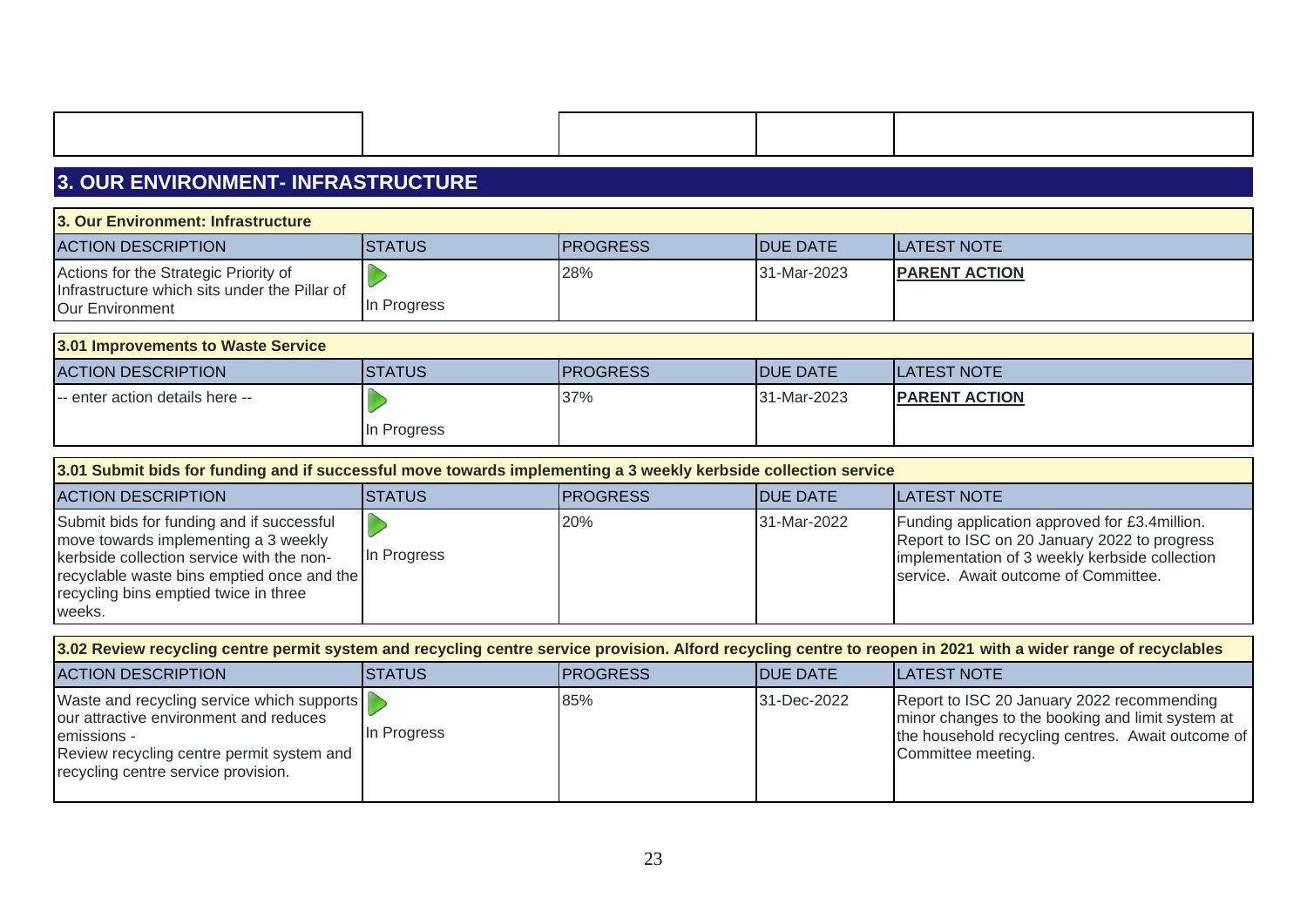|  |  |  | <b>3. OUR ENVIRONMENT-INFRASTRUCTURE</b> |  |
|--|--|--|------------------------------------------|--|
|  |  |  |                                          |  |

| 3. Our Environment: Infrastructure                                                     |               |                 |                 |                      |  |  |
|----------------------------------------------------------------------------------------|---------------|-----------------|-----------------|----------------------|--|--|
| <b>ACTION DESCRIPTION</b>                                                              | <b>STATUS</b> | <b>PROGRESS</b> | <b>DUE DATE</b> | <b>LATEST NOTE</b>   |  |  |
| Actions for the Strategic Priority of<br>Infrastructure which sits under the Pillar of |               | 28%             | 31-Mar-2023     | <b>PARENT ACTION</b> |  |  |
| Our Environment                                                                        | In Progress   |                 |                 |                      |  |  |
| 3.01 Improvements to Waste Service                                                     |               |                 |                 |                      |  |  |
| <b>ACTION DESCRIPTION</b>                                                              | <b>STATUS</b> | <b>PROGRESS</b> | <b>DUE DATE</b> | <b>LATEST NOTE</b>   |  |  |
| -- enter action details here --                                                        |               | 37%             | 31-Mar-2023     | <b>PARENT ACTION</b> |  |  |
|                                                                                        | In Progress   |                 |                 |                      |  |  |

| 3.01 Submit bids for funding and if successful move towards implementing a 3 weekly kerbside collection service                                                                                                                 |             |                  |                  |                                                                                                                                                                                          |  |  |  |
|---------------------------------------------------------------------------------------------------------------------------------------------------------------------------------------------------------------------------------|-------------|------------------|------------------|------------------------------------------------------------------------------------------------------------------------------------------------------------------------------------------|--|--|--|
| <b>ACTION DESCRIPTION</b>                                                                                                                                                                                                       | ISTATUS     | <b>IPROGRESS</b> | <b>IDUE DATE</b> | <b>ILATEST NOTE</b>                                                                                                                                                                      |  |  |  |
| Submit bids for funding and if successful<br>move towards implementing a 3 weekly<br>kerbside collection service with the non-<br>recyclable waste bins emptied once and the<br>recycling bins emptied twice in three<br>weeks. | In Progress | 20%              | 31-Mar-2022      | Funding application approved for £3.4 million.<br>Report to ISC on 20 January 2022 to progress<br>implementation of 3 weekly kerbside collection<br>service. Await outcome of Committee. |  |  |  |

| 3.02 Review recycling centre permit system and recycling centre service provision. Alford recycling centre to reopen in 2021 with a wider range of recyclables                          |             |                  |                  |                                                                                                                                                                           |  |  |  |
|-----------------------------------------------------------------------------------------------------------------------------------------------------------------------------------------|-------------|------------------|------------------|---------------------------------------------------------------------------------------------------------------------------------------------------------------------------|--|--|--|
| <b>ACTION DESCRIPTION</b>                                                                                                                                                               | ISTATUS     | <b>IPROGRESS</b> | <b>IDUE DATE</b> | <b>ILATEST NOTE</b>                                                                                                                                                       |  |  |  |
| Waste and recycling service which supports<br>our attractive environment and reduces<br>emissions -<br>Review recycling centre permit system and<br>recycling centre service provision. | In Progress | 85%              | 31-Dec-2022      | Report to ISC 20 January 2022 recommending<br>minor changes to the booking and limit system at<br>the household recycling centres. Await outcome of<br>Committee meeting. |  |  |  |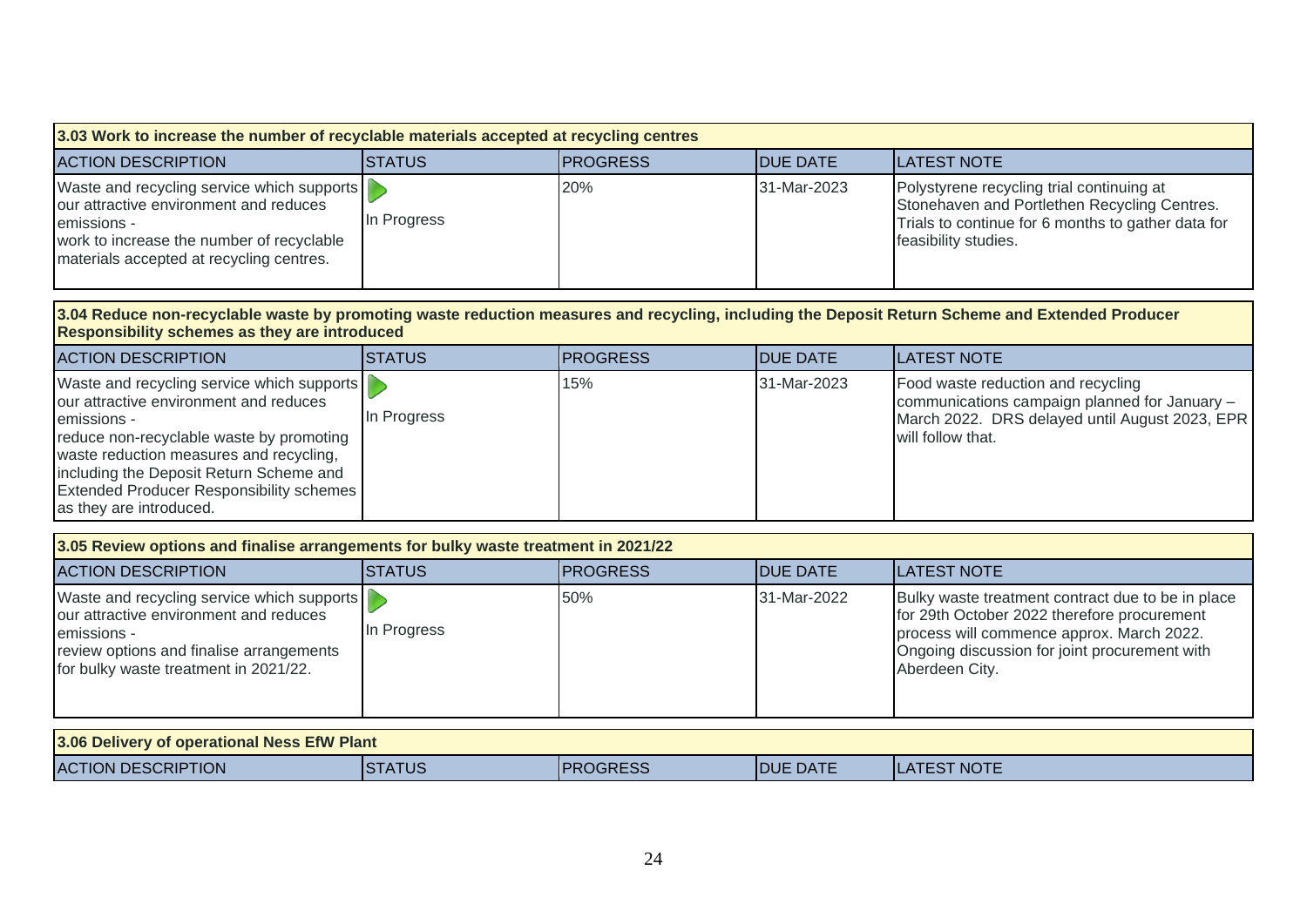| 3.03 Work to increase the number of recyclable materials accepted at recycling centres                                                                                                                                                                                                                              |                             |                 |                 |                                                                                                                                                                                                                  |  |  |  |
|---------------------------------------------------------------------------------------------------------------------------------------------------------------------------------------------------------------------------------------------------------------------------------------------------------------------|-----------------------------|-----------------|-----------------|------------------------------------------------------------------------------------------------------------------------------------------------------------------------------------------------------------------|--|--|--|
| <b>ACTION DESCRIPTION</b>                                                                                                                                                                                                                                                                                           | <b>STATUS</b>               | <b>PROGRESS</b> | <b>DUE DATE</b> | <b>LATEST NOTE</b>                                                                                                                                                                                               |  |  |  |
| Waste and recycling service which supports<br>our attractive environment and reduces<br>emissions -<br>work to increase the number of recyclable<br>materials accepted at recycling centres.                                                                                                                        | $\mathbb{D}$<br>In Progress | 20%             | 31-Mar-2023     | Polystyrene recycling trial continuing at<br>Stonehaven and Portlethen Recycling Centres.<br>Trials to continue for 6 months to gather data for<br>feasibility studies.                                          |  |  |  |
| Responsibility schemes as they are introduced                                                                                                                                                                                                                                                                       |                             |                 |                 | 3.04 Reduce non-recyclable waste by promoting waste reduction measures and recycling, including the Deposit Return Scheme and Extended Producer                                                                  |  |  |  |
| <b>ACTION DESCRIPTION</b>                                                                                                                                                                                                                                                                                           | <b>STATUS</b>               | <b>PROGRESS</b> | <b>DUE DATE</b> | <b>LATEST NOTE</b>                                                                                                                                                                                               |  |  |  |
| Waste and recycling service which supports<br>our attractive environment and reduces<br>emissions -<br>reduce non-recyclable waste by promoting<br>waste reduction measures and recycling,<br>including the Deposit Return Scheme and<br><b>Extended Producer Responsibility schemes</b><br>as they are introduced. | In Progress                 | 15%             | 31-Mar-2023     | Food waste reduction and recycling<br>communications campaign planned for January -<br>March 2022. DRS delayed until August 2023, EPR<br>will follow that.                                                       |  |  |  |
| 3.05 Review options and finalise arrangements for bulky waste treatment in 2021/22                                                                                                                                                                                                                                  |                             |                 |                 |                                                                                                                                                                                                                  |  |  |  |
| <b>ACTION DESCRIPTION</b>                                                                                                                                                                                                                                                                                           | <b>STATUS</b>               | <b>PROGRESS</b> | <b>DUE DATE</b> | <b>LATEST NOTE</b>                                                                                                                                                                                               |  |  |  |
| Waste and recycling service which supports<br>our attractive environment and reduces<br>emissions -<br>review options and finalise arrangements<br>for bulky waste treatment in 2021/22.                                                                                                                            | $\mathbb{D}$<br>In Progress | 50%             | 31-Mar-2022     | Bulky waste treatment contract due to be in place<br>for 29th October 2022 therefore procurement<br>process will commence approx. March 2022.<br>Ongoing discussion for joint procurement with<br>Aberdeen City. |  |  |  |
| 3.06 Delivery of operational Ness EfW Plant                                                                                                                                                                                                                                                                         |                             |                 |                 |                                                                                                                                                                                                                  |  |  |  |
| <b>ACTION DESCRIPTION</b>                                                                                                                                                                                                                                                                                           | <b>STATUS</b>               | <b>PROGRESS</b> | <b>DUE DATE</b> | <b>LATEST NOTE</b>                                                                                                                                                                                               |  |  |  |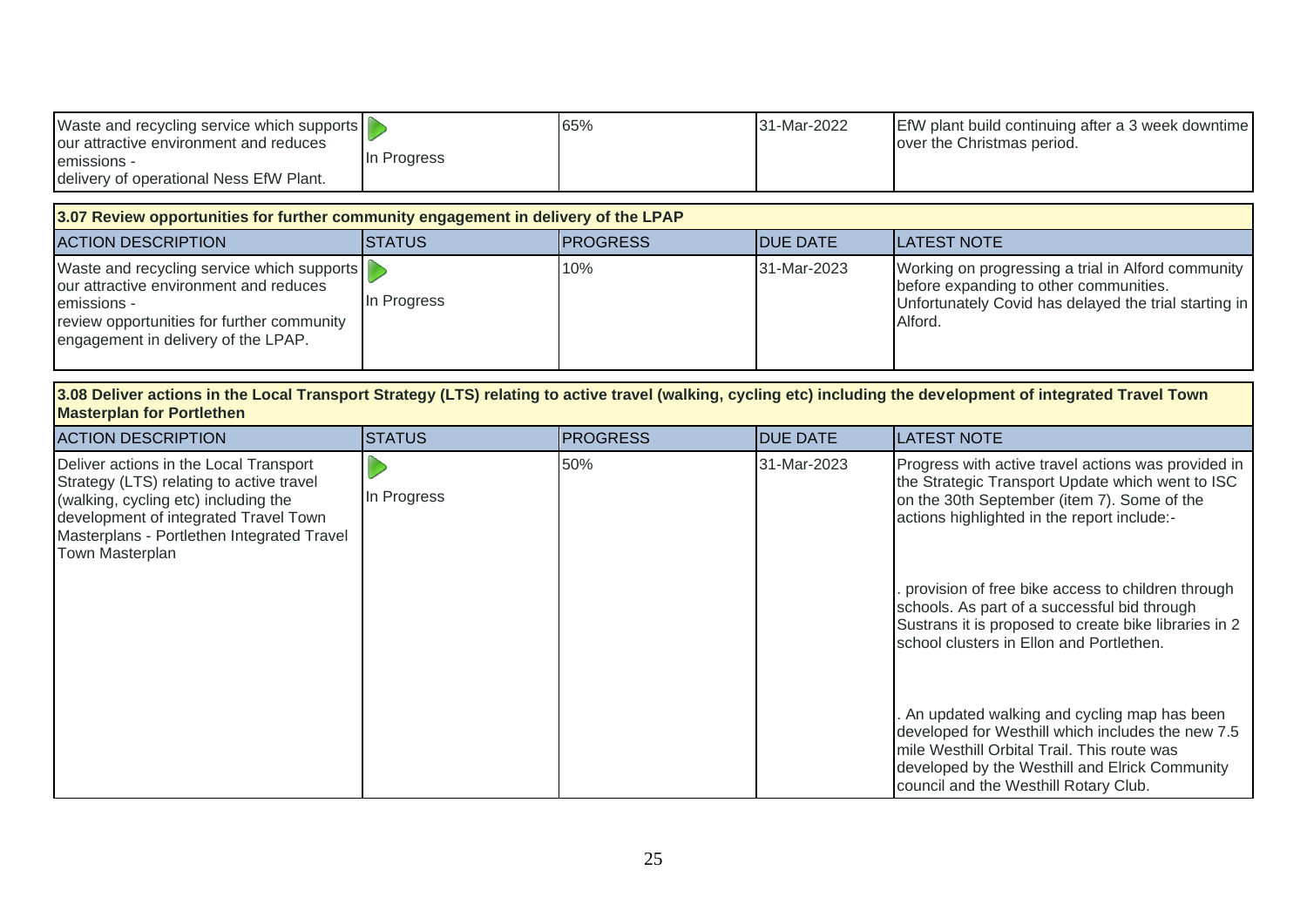| Waste and recycling service which supports |             | 65% | <b>31-Mar-2022</b> | EfW plant build continuing after a 3 week downtime |
|--------------------------------------------|-------------|-----|--------------------|----------------------------------------------------|
| our attractive environment and reduces     |             |     |                    | lover the Christmas period.                        |
| emissions -                                | In Progress |     |                    |                                                    |
| delivery of operational Ness EfW Plant.    |             |     |                    |                                                    |

| 3.07 Review opportunities for further community engagement in delivery of the LPAP                                                                                                       |                |                  |                  |                                                                                                                                                                  |  |  |  |
|------------------------------------------------------------------------------------------------------------------------------------------------------------------------------------------|----------------|------------------|------------------|------------------------------------------------------------------------------------------------------------------------------------------------------------------|--|--|--|
| <b>ACTION DESCRIPTION</b>                                                                                                                                                                | <b>ISTATUS</b> | <b>IPROGRESS</b> | <b>IDUE DATE</b> | <b>LATEST NOTE</b>                                                                                                                                               |  |  |  |
| Waste and recycling service which supports<br>our attractive environment and reduces<br>emissions -<br>review opportunities for further community<br>engagement in delivery of the LPAP. | In Progress    | 10%              | 31-Mar-2023      | Working on progressing a trial in Alford community<br>before expanding to other communities.<br>Unfortunately Covid has delayed the trial starting in<br>Alford. |  |  |  |

**3.08 Deliver actions in the Local Transport Strategy (LTS) relating to active travel (walking, cycling etc) including the development of integrated Travel Town Masterplan for Portlethen**

| <b>ACTION DESCRIPTION</b>                                                                                                                                                                                                            | <b>STATUS</b> | <b>PROGRESS</b> | <b>IDUE DATE</b> | <b>ILATEST NOTE</b>                                                                                                                                                                                                                          |
|--------------------------------------------------------------------------------------------------------------------------------------------------------------------------------------------------------------------------------------|---------------|-----------------|------------------|----------------------------------------------------------------------------------------------------------------------------------------------------------------------------------------------------------------------------------------------|
| Deliver actions in the Local Transport<br>Strategy (LTS) relating to active travel<br>(walking, cycling etc) including the<br>development of integrated Travel Town<br>Masterplans - Portlethen Integrated Travel<br>Town Masterplan | In Progress   | 50%             | 31-Mar-2023      | Progress with active travel actions was provided in<br>the Strategic Transport Update which went to ISC<br>on the 30th September (item 7). Some of the<br>actions highlighted in the report include:-                                        |
|                                                                                                                                                                                                                                      |               |                 |                  | provision of free bike access to children through<br>schools. As part of a successful bid through<br>Sustrans it is proposed to create bike libraries in 2<br>school clusters in Ellon and Portlethen.                                       |
|                                                                                                                                                                                                                                      |               |                 |                  | . An updated walking and cycling map has been<br>developed for Westhill which includes the new 7.5<br>mile Westhill Orbital Trail. This route was<br>developed by the Westhill and Elrick Community<br>council and the Westhill Rotary Club. |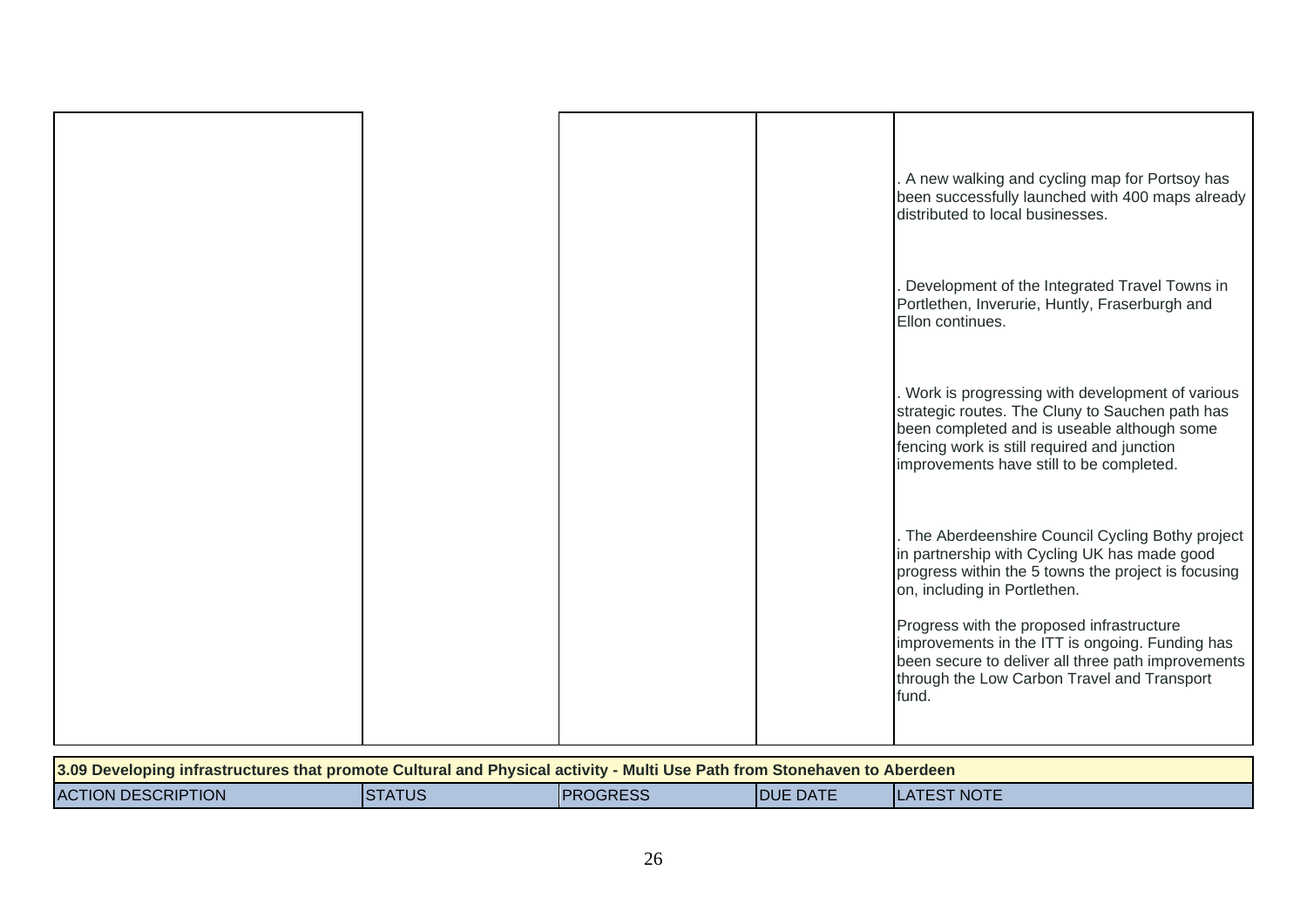|  |  | A new walking and cycling map for Portsoy has<br>been successfully launched with 400 maps already<br>distributed to local businesses.                                                                                                                                                                                                                                                                |
|--|--|------------------------------------------------------------------------------------------------------------------------------------------------------------------------------------------------------------------------------------------------------------------------------------------------------------------------------------------------------------------------------------------------------|
|  |  | Development of the Integrated Travel Towns in<br>Portlethen, Inverurie, Huntly, Fraserburgh and<br>Ellon continues.                                                                                                                                                                                                                                                                                  |
|  |  | Work is progressing with development of various<br>strategic routes. The Cluny to Sauchen path has<br>been completed and is useable although some<br>fencing work is still required and junction<br>improvements have still to be completed.                                                                                                                                                         |
|  |  | The Aberdeenshire Council Cycling Bothy project<br>in partnership with Cycling UK has made good<br>progress within the 5 towns the project is focusing<br>on, including in Portlethen.<br>Progress with the proposed infrastructure<br>improvements in the ITT is ongoing. Funding has<br>been secure to deliver all three path improvements<br>through the Low Carbon Travel and Transport<br>fund. |
|  |  |                                                                                                                                                                                                                                                                                                                                                                                                      |

| 3.09 Developing infrastructures that promote Cultural and Physical activity - Multi Use Path from Stonehaven to Aberdeen |               |                 |                  |                     |  |
|--------------------------------------------------------------------------------------------------------------------------|---------------|-----------------|------------------|---------------------|--|
| <b>ACTION DESCRIPTION</b>                                                                                                | <b>STATUS</b> | <b>PROGRESS</b> | <b>IDUE DATE</b> | <b>ILATEST NOTE</b> |  |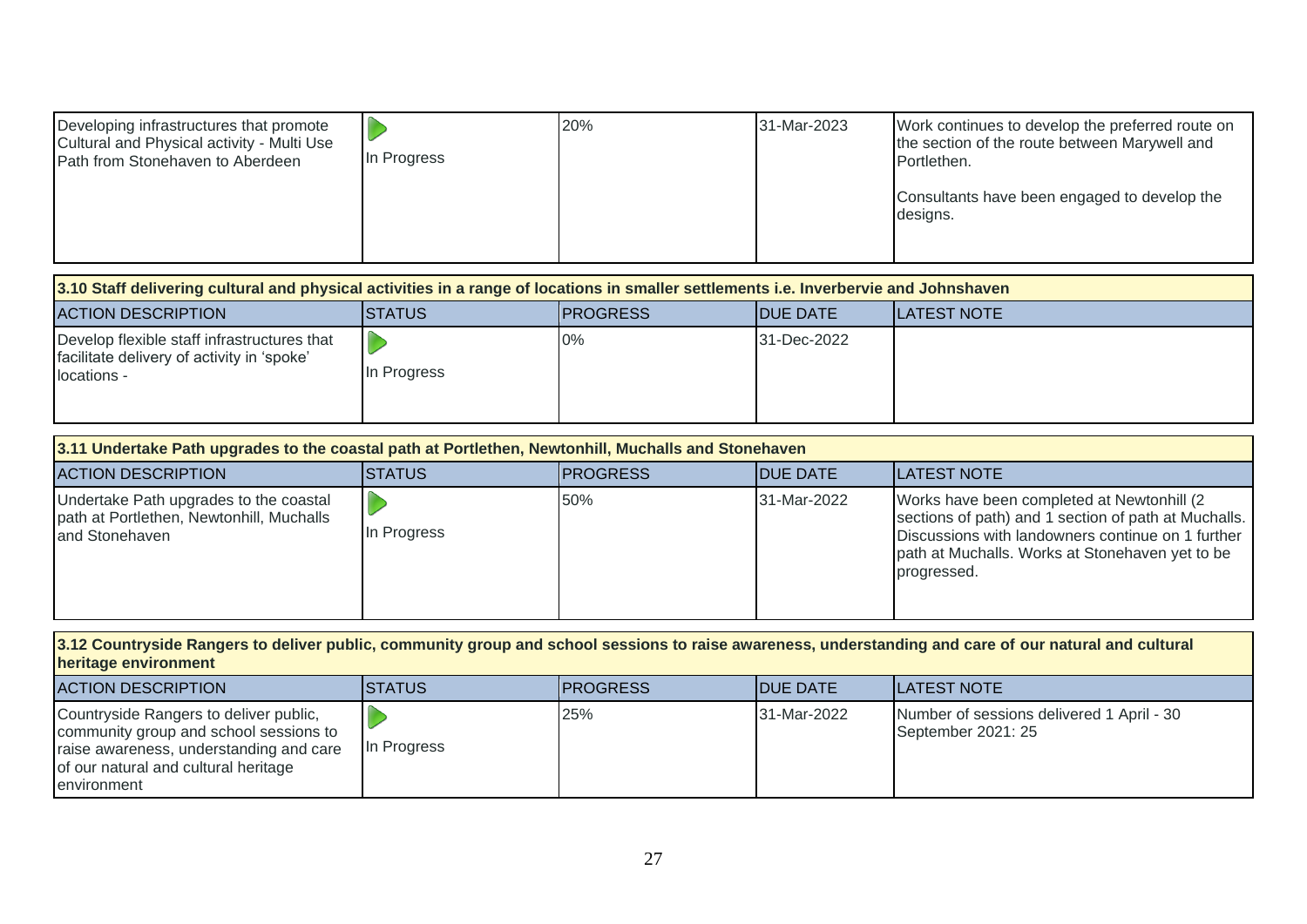| Developing infrastructures that promote<br>Cultural and Physical activity - Multi Use<br>Path from Stonehaven to Aberdeen | In Progress | 20% | 31-Mar-2023 | Work continues to develop the preferred route on<br>the section of the route between Marywell and<br>Portlethen. |
|---------------------------------------------------------------------------------------------------------------------------|-------------|-----|-------------|------------------------------------------------------------------------------------------------------------------|
|                                                                                                                           |             |     |             | Consultants have been engaged to develop the<br>designs.                                                         |

| 3.10 Staff delivering cultural and physical activities in a range of locations in smaller settlements i.e. Inverbervie and Johnshaven |                |                  |                  |                     |  |
|---------------------------------------------------------------------------------------------------------------------------------------|----------------|------------------|------------------|---------------------|--|
| <b>ACTION DESCRIPTION</b>                                                                                                             | <b>ISTATUS</b> | <b>IPROGRESS</b> | <b>IDUE DATE</b> | <b>ILATEST NOTE</b> |  |
| Develop flexible staff infrastructures that<br>facilitate delivery of activity in 'spoke'<br>locations -                              | In Progress    | $0\%$            | 31-Dec-2022      |                     |  |

| 3.11 Undertake Path upgrades to the coastal path at Portlethen, Newtonhill, Muchalls and Stonehaven  |             |                  |                  |                                                                                                                                                                                                                            |  |  |
|------------------------------------------------------------------------------------------------------|-------------|------------------|------------------|----------------------------------------------------------------------------------------------------------------------------------------------------------------------------------------------------------------------------|--|--|
| <b>ACTION DESCRIPTION</b>                                                                            | ISTATUS     | <b>IPROGRESS</b> | <b>IDUE DATE</b> | ILATEST NOTE                                                                                                                                                                                                               |  |  |
| Undertake Path upgrades to the coastal<br>path at Portlethen, Newtonhill, Muchalls<br>and Stonehaven | In Progress | 50%              | 31-Mar-2022      | Works have been completed at Newtonhill (2)<br>sections of path) and 1 section of path at Muchalls.<br>Discussions with landowners continue on 1 further<br>path at Muchalls. Works at Stonehaven yet to be<br>progressed. |  |  |

**3.12 Countryside Rangers to deliver public, community group and school sessions to raise awareness, understanding and care of our natural and cultural heritage environment**

| <b>ACTION DESCRIPTION</b>                                                                                                                                                          | ISTATUS     | <b>IPROGRESS</b> | <b>IDUE DATE</b> | <b>ILATEST NOTE</b>                                             |
|------------------------------------------------------------------------------------------------------------------------------------------------------------------------------------|-------------|------------------|------------------|-----------------------------------------------------------------|
| Countryside Rangers to deliver public,<br>community group and school sessions to<br>raise awareness, understanding and care<br>of our natural and cultural heritage<br>environment | In Progress | 25%              | 31-Mar-2022      | Number of sessions delivered 1 April - 30<br>September 2021: 25 |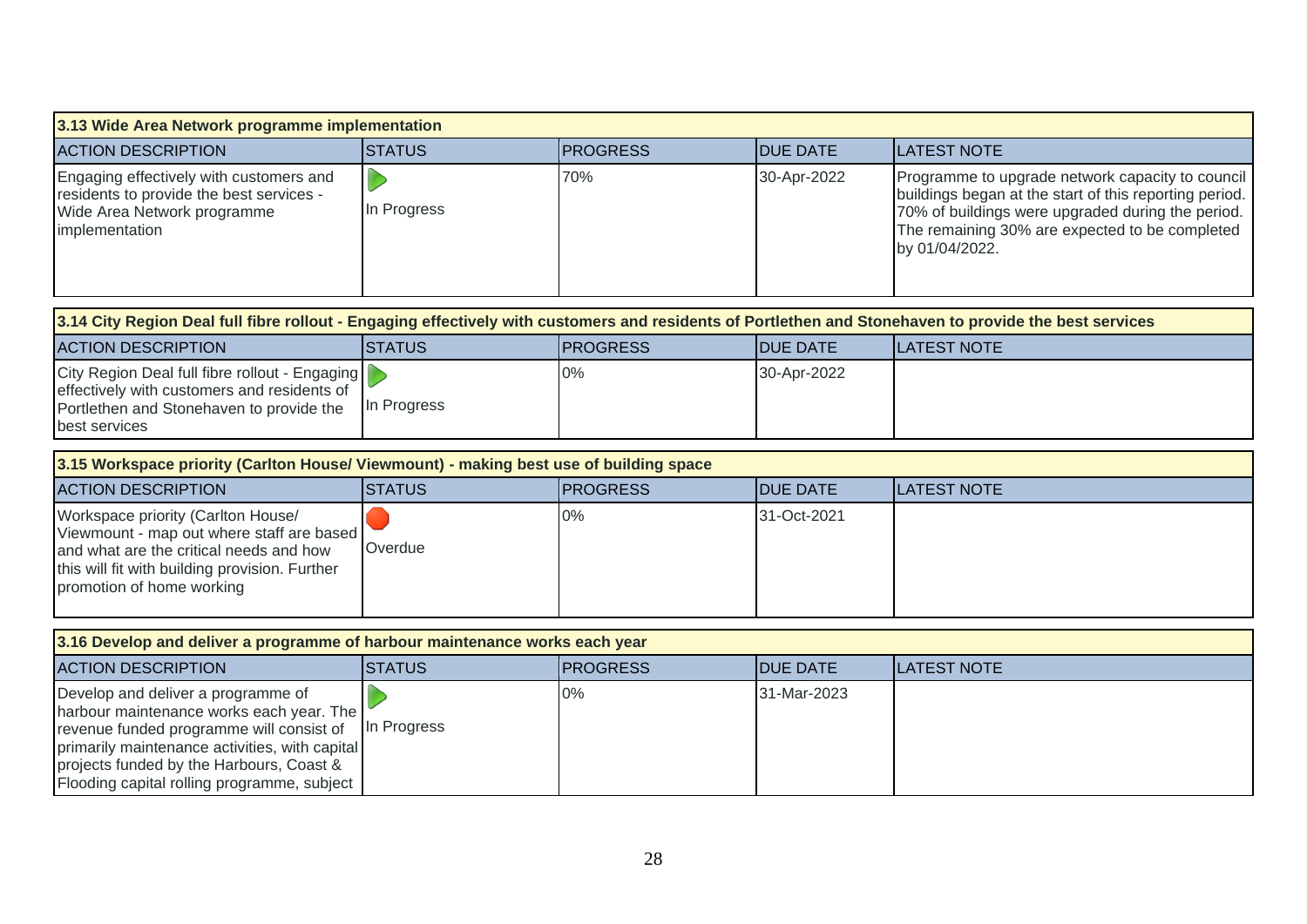| 3.13 Wide Area Network programme implementation                                                                                                        |                |                  |                  |                                                                                                                                                                                                                                     |  |  |
|--------------------------------------------------------------------------------------------------------------------------------------------------------|----------------|------------------|------------------|-------------------------------------------------------------------------------------------------------------------------------------------------------------------------------------------------------------------------------------|--|--|
| <b>ACTION DESCRIPTION</b>                                                                                                                              | <b>STATUS</b>  | <b>PROGRESS</b>  | <b>DUE DATE</b>  | ILATEST NOTE                                                                                                                                                                                                                        |  |  |
| Engaging effectively with customers and<br>residents to provide the best services -<br>Wide Area Network programme<br>implementation                   | In Progress    | 70%              | 30-Apr-2022      | Programme to upgrade network capacity to council<br>buildings began at the start of this reporting period.<br>70% of buildings were upgraded during the period.<br>The remaining 30% are expected to be completed<br>by 01/04/2022. |  |  |
| 3.14 City Region Deal full fibre rollout - Engaging effectively with customers and residents of Portlethen and Stonehaven to provide the best services |                |                  |                  |                                                                                                                                                                                                                                     |  |  |
| <b>ACTION DESCRIPTION</b>                                                                                                                              | <b>ISTATUS</b> | <b>IPROGRESS</b> | <b>IDUE DATE</b> | <b>ILATEST NOTE</b>                                                                                                                                                                                                                 |  |  |

| <b>ACTION DESCRIPTION</b>                                                                                                                                  | ISTATUS      | <b>IPROGRESS</b> | <b>IDUE DATE</b> | ILATEST NOTE |
|------------------------------------------------------------------------------------------------------------------------------------------------------------|--------------|------------------|------------------|--------------|
| City Region Deal full fibre rollout - Engaging<br>effectively with customers and residents of<br>Portlethen and Stonehaven to provide the<br>best services | IIn Progress | 0%               | 30-Apr-2022      |              |

| 3.15 Workspace priority (Carlton House/ Viewmount) - making best use of building space                                                                                                                    |                |                  |                  |                     |  |
|-----------------------------------------------------------------------------------------------------------------------------------------------------------------------------------------------------------|----------------|------------------|------------------|---------------------|--|
| <b>ACTION DESCRIPTION</b>                                                                                                                                                                                 | <b>ISTATUS</b> | <b>IPROGRESS</b> | <b>IDUE DATE</b> | <b>ILATEST NOTE</b> |  |
| Workspace priority (Carlton House/<br>Viewmount - map out where staff are based<br>and what are the critical needs and how<br>this will fit with building provision. Further<br>promotion of home working | Overdue        | $0\%$            | 31-Oct-2021      |                     |  |

| 3.16 Develop and deliver a programme of harbour maintenance works each year                                                                                                                                                                                             |                |                  |                  |              |
|-------------------------------------------------------------------------------------------------------------------------------------------------------------------------------------------------------------------------------------------------------------------------|----------------|------------------|------------------|--------------|
| <b>ACTION DESCRIPTION</b>                                                                                                                                                                                                                                               | <b>ISTATUS</b> | <b>IPROGRESS</b> | <b>IDUE DATE</b> | ILATEST NOTE |
| Develop and deliver a programme of<br>harbour maintenance works each year. The<br>revenue funded programme will consist of<br>primarily maintenance activities, with capital<br>projects funded by the Harbours, Coast &<br>Flooding capital rolling programme, subject | In Progress    | 0%               | 31-Mar-2023      |              |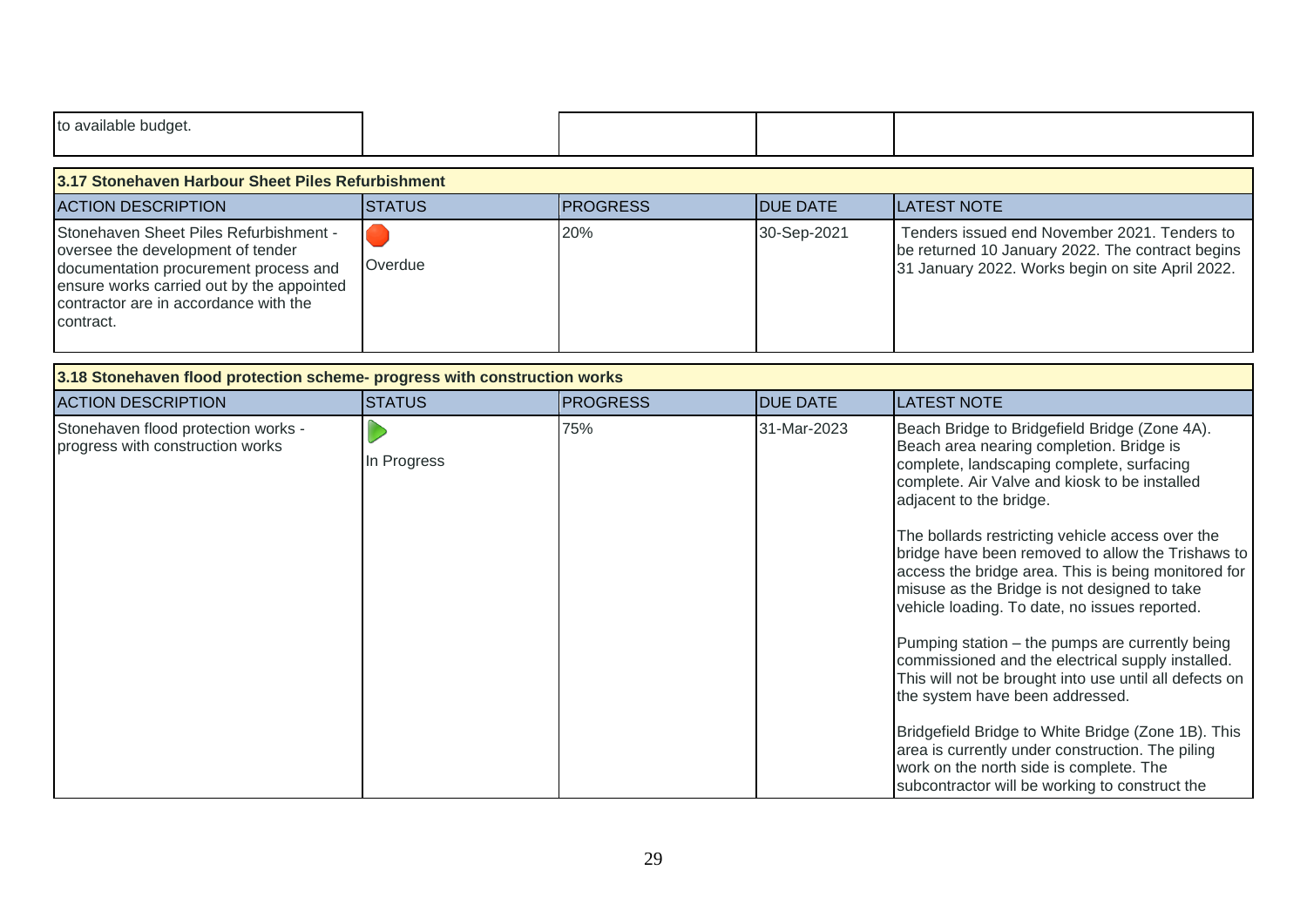| to available budget.                                                                                                                                                                                                    |               |                 |                 |                                                                                                                                                                                                                                                                                                                                                                                                                                                                                                                                                                                                                                                                                                                                                                                                                                                                                                 |  |  |
|-------------------------------------------------------------------------------------------------------------------------------------------------------------------------------------------------------------------------|---------------|-----------------|-----------------|-------------------------------------------------------------------------------------------------------------------------------------------------------------------------------------------------------------------------------------------------------------------------------------------------------------------------------------------------------------------------------------------------------------------------------------------------------------------------------------------------------------------------------------------------------------------------------------------------------------------------------------------------------------------------------------------------------------------------------------------------------------------------------------------------------------------------------------------------------------------------------------------------|--|--|
| 3.17 Stonehaven Harbour Sheet Piles Refurbishment                                                                                                                                                                       |               |                 |                 |                                                                                                                                                                                                                                                                                                                                                                                                                                                                                                                                                                                                                                                                                                                                                                                                                                                                                                 |  |  |
| <b>ACTION DESCRIPTION</b>                                                                                                                                                                                               | <b>STATUS</b> | <b>PROGRESS</b> | <b>DUE DATE</b> | <b>LATEST NOTE</b>                                                                                                                                                                                                                                                                                                                                                                                                                                                                                                                                                                                                                                                                                                                                                                                                                                                                              |  |  |
| Stonehaven Sheet Piles Refurbishment -<br>oversee the development of tender<br>documentation procurement process and<br>ensure works carried out by the appointed<br>contractor are in accordance with the<br>contract. | Overdue       | 20%             | 30-Sep-2021     | Tenders issued end November 2021. Tenders to<br>be returned 10 January 2022. The contract begins<br>31 January 2022. Works begin on site April 2022.                                                                                                                                                                                                                                                                                                                                                                                                                                                                                                                                                                                                                                                                                                                                            |  |  |
| 3.18 Stonehaven flood protection scheme- progress with construction works                                                                                                                                               |               |                 |                 |                                                                                                                                                                                                                                                                                                                                                                                                                                                                                                                                                                                                                                                                                                                                                                                                                                                                                                 |  |  |
| <b>ACTION DESCRIPTION</b>                                                                                                                                                                                               | <b>STATUS</b> | <b>PROGRESS</b> | <b>DUE DATE</b> | <b>LATEST NOTE</b>                                                                                                                                                                                                                                                                                                                                                                                                                                                                                                                                                                                                                                                                                                                                                                                                                                                                              |  |  |
| Stonehaven flood protection works -<br>progress with construction works                                                                                                                                                 | In Progress   | 75%             | 31-Mar-2023     | Beach Bridge to Bridgefield Bridge (Zone 4A).<br>Beach area nearing completion. Bridge is<br>complete, landscaping complete, surfacing<br>complete. Air Valve and kiosk to be installed<br>adjacent to the bridge.<br>The bollards restricting vehicle access over the<br>bridge have been removed to allow the Trishaws to<br>access the bridge area. This is being monitored for<br>misuse as the Bridge is not designed to take<br>vehicle loading. To date, no issues reported.<br>Pumping station - the pumps are currently being<br>commissioned and the electrical supply installed.<br>This will not be brought into use until all defects on<br>the system have been addressed.<br>Bridgefield Bridge to White Bridge (Zone 1B). This<br>area is currently under construction. The piling<br>work on the north side is complete. The<br>subcontractor will be working to construct the |  |  |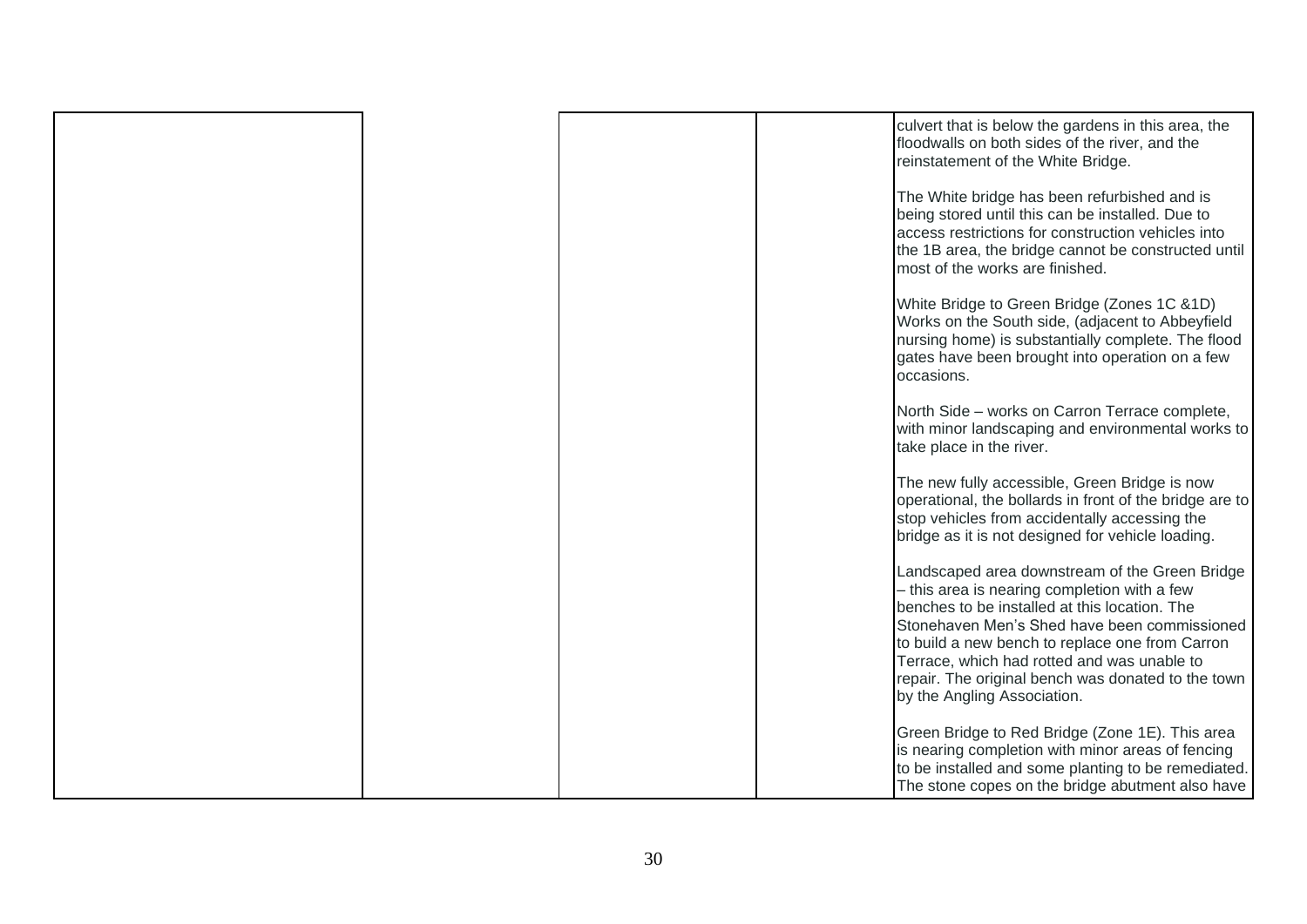|  |  | culvert that is below the gardens in this area, the<br>floodwalls on both sides of the river, and the<br>reinstatement of the White Bridge.                                                                                                                                                                                                                                            |
|--|--|----------------------------------------------------------------------------------------------------------------------------------------------------------------------------------------------------------------------------------------------------------------------------------------------------------------------------------------------------------------------------------------|
|  |  | The White bridge has been refurbished and is<br>being stored until this can be installed. Due to<br>access restrictions for construction vehicles into<br>the 1B area, the bridge cannot be constructed until<br>most of the works are finished.                                                                                                                                       |
|  |  | White Bridge to Green Bridge (Zones 1C & 1D)<br>Works on the South side, (adjacent to Abbeyfield<br>nursing home) is substantially complete. The flood<br>gates have been brought into operation on a few<br>occasions.                                                                                                                                                                |
|  |  | North Side - works on Carron Terrace complete,<br>with minor landscaping and environmental works to<br>take place in the river.                                                                                                                                                                                                                                                        |
|  |  | The new fully accessible, Green Bridge is now<br>operational, the bollards in front of the bridge are to<br>stop vehicles from accidentally accessing the<br>bridge as it is not designed for vehicle loading.                                                                                                                                                                         |
|  |  | Landscaped area downstream of the Green Bridge<br>- this area is nearing completion with a few<br>benches to be installed at this location. The<br>Stonehaven Men's Shed have been commissioned<br>to build a new bench to replace one from Carron<br>Terrace, which had rotted and was unable to<br>repair. The original bench was donated to the town<br>by the Angling Association. |
|  |  | Green Bridge to Red Bridge (Zone 1E). This area<br>is nearing completion with minor areas of fencing<br>to be installed and some planting to be remediated.<br>The stone copes on the bridge abutment also have                                                                                                                                                                        |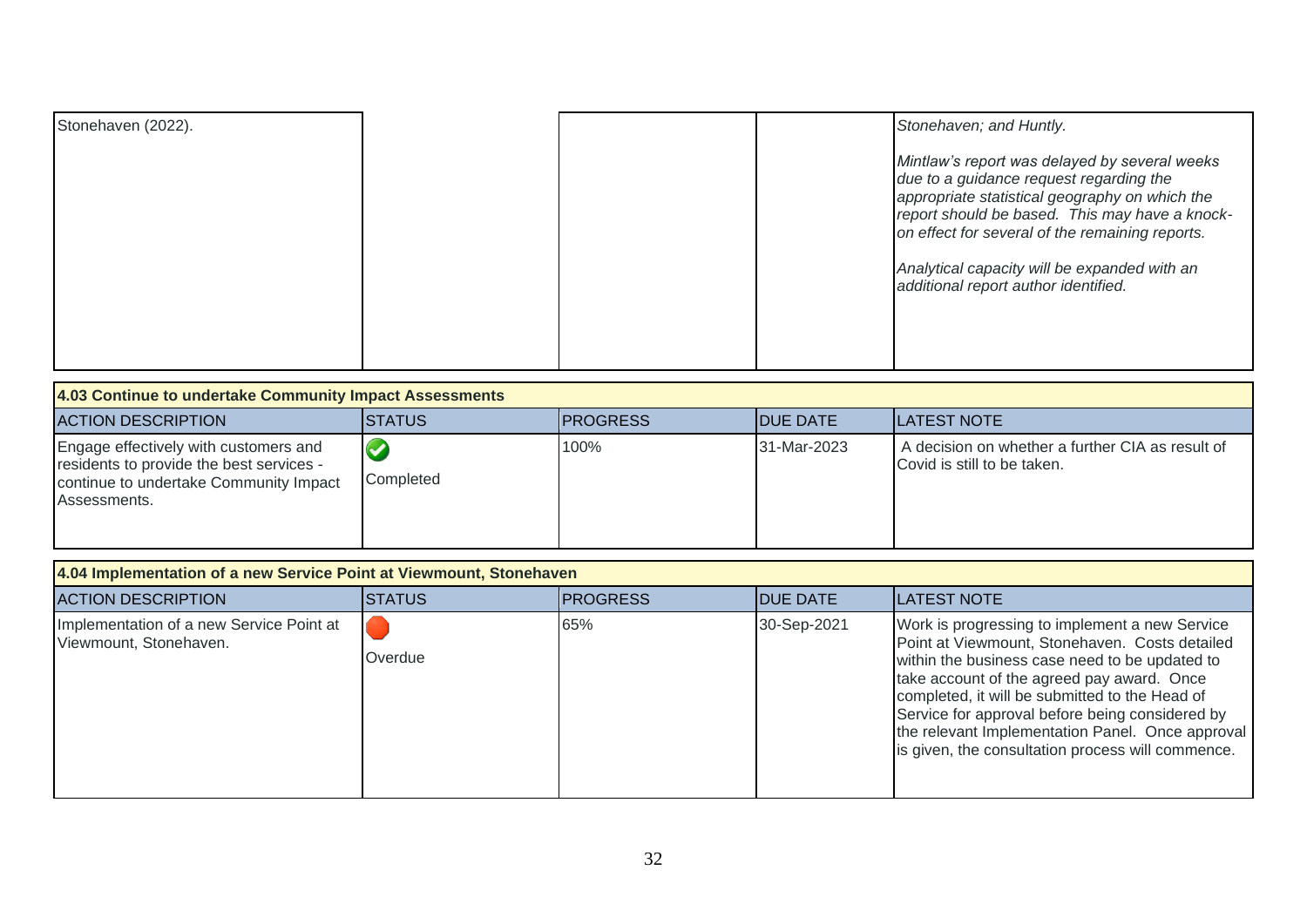| nuunto and womboma |  |  |
|--------------------|--|--|
|                    |  |  |

- 4.3 There are no staffing or financial implications arising directly from this report.
- 4.4 An integrated impact assessment has been carried out at the screening stage (IIA-000260) and no further detailed assessments are required. This report is a high-level planning document and does not have any differential impact on any of the protected characteristics. Any service changes made as a result of this plan will be subject to separate reporting and integrated impact assessments carried out as appropriate.
- No risks have been identified as relevant to this matter on a Corporate or  $4.5$ Directorate Level 7KHHWAMAMHOMM Corporate Risk Register2021 (aberdeenshire.gov.uk) and Business Services Directorate Risk Register (aberdeenshire.gov.uk)

#### $\overline{5}$ 86

 $5.1$ The Head of Finance and Monitoring Officer within Business Services have been consulted in the preparation of this report and are satisfied that the report complies with the Scheme of Governance and relevant legislation 5.2. The Committee is able to consider and approve this item in terms of Section B.1.1 of the List of Committee Powers in Part 2A of the Scheme of Governance as it may determine any matter that is specific to their Area not otherwise properly delegated to any other Committee.

**KW**  $\mathbf d$ 

#### **HME**

Report prepared by: - Emma Storey, Area Committee Officer Date 27 January 2022

### 琳

Appendix 1  $\pm$  Mid-Year Progress on Projects/Actions (April 2021-September 2021)